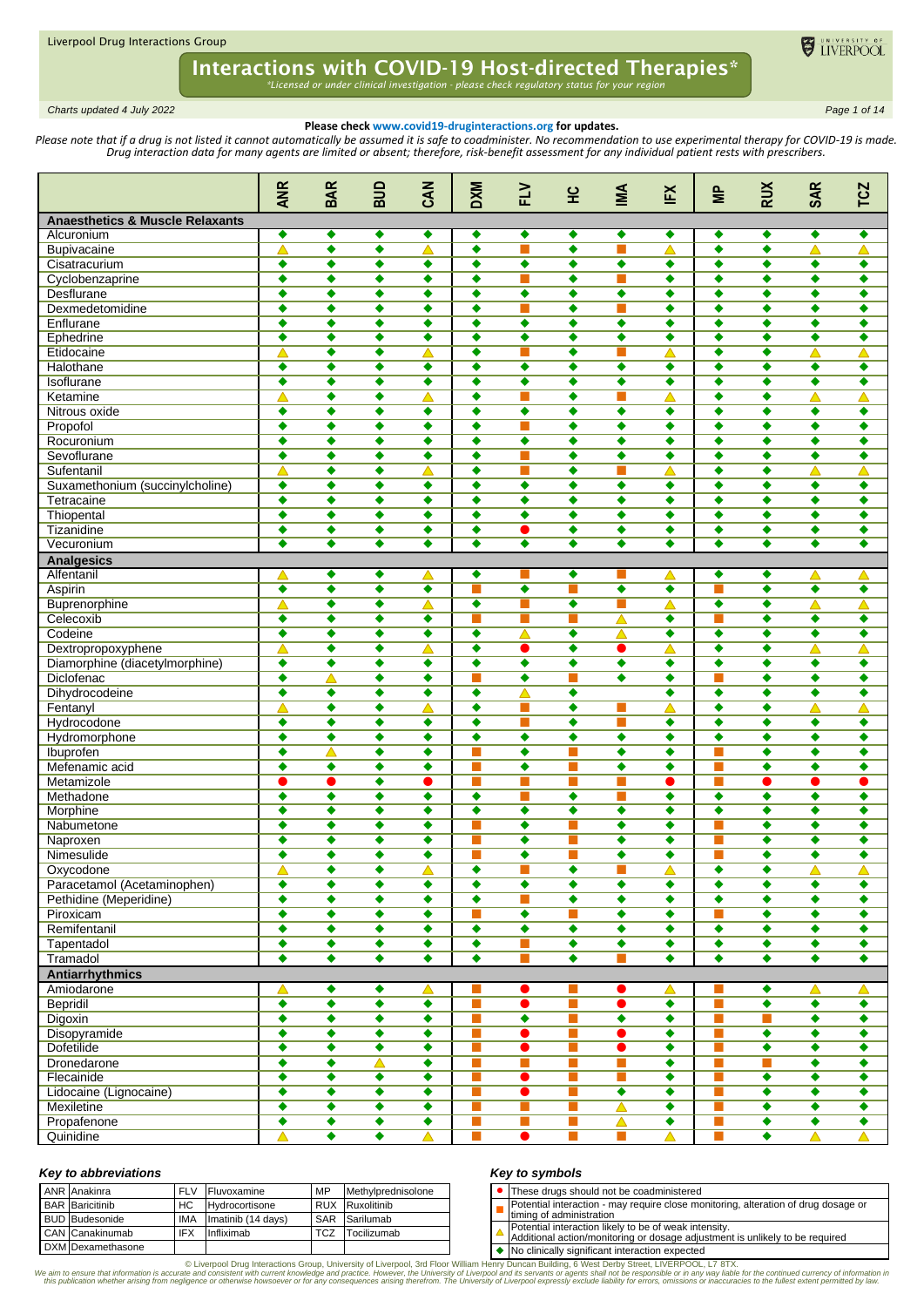

*Charts updated 4 July 2022 Page 1 of 14*

## **Please check www.covid19-druginteractions.org for updates.**

Please note that if a drug is not listed it cannot automatically be assumed it is safe to coadminister. No recommendation to use experimental therapy for COVID-19 is made. *Drug interaction data for many agents are limited or absent; therefore, risk-benefit assessment for any individual patient rests with prescribers.* 

|                                            | <b>ANR</b>           | <b>BAR</b>           | aua                       | CAN                       | <b>DXM</b>                | FLV                                                                                                                   | 잎                         | МŊ                   | EX                        | $\equiv$                  | RUX                       | <b>SAR</b>           | TCZ                         |
|--------------------------------------------|----------------------|----------------------|---------------------------|---------------------------|---------------------------|-----------------------------------------------------------------------------------------------------------------------|---------------------------|----------------------|---------------------------|---------------------------|---------------------------|----------------------|-----------------------------|
| <b>Anaesthetics &amp; Muscle Relaxants</b> |                      |                      |                           |                           |                           |                                                                                                                       |                           |                      |                           |                           |                           |                      |                             |
| Alcuronium                                 | ٠                    | ٠                    | ٠                         | ٠                         | ٠                         | ٠                                                                                                                     | ٠                         | ٠                    | ٠                         | ٠                         | ٠                         | ٠                    | ٠                           |
| Bupivacaine                                | $\blacktriangle$     | ٠                    | ٠                         | $\blacktriangle$          | ٠                         |                                                                                                                       | ٠                         | П                    | $\blacktriangle$          | ٠                         | ٠                         | $\blacktriangle$     | △                           |
| Cisatracurium                              | ٠                    | ٠                    | ٠                         | ٠                         | ٠                         | ٠                                                                                                                     | ٠                         | ۰                    | ٠                         | ٠                         | ٠                         | ٠                    | ٠                           |
| Cyclobenzaprine                            | $\bullet$            | ٠                    | ٠                         | ٠                         | ٠                         |                                                                                                                       | ٠                         | П                    | ٠                         | ٠                         | ٠                         | ٠                    | ٠                           |
| Desflurane                                 | $\bullet$            | ٠                    | ٠                         | ٠                         | ٠                         | ٠                                                                                                                     | ٠                         | ٠                    | ٠                         | ٠                         | ٠                         | ٠                    | ٠                           |
| Dexmedetomidine                            | ٠                    | ٠                    | ٠                         | ٠                         | ٠                         | T.                                                                                                                    | ٠                         | П                    | ٠                         | ٠                         | ٠                         | ٠                    | ٠                           |
| Enflurane                                  | $\overline{\bullet}$ | ٠                    | ٠                         | ٠                         | $\overline{\bullet}$      | ٠                                                                                                                     | ٠                         | $\bullet$            | ٠                         | $\bullet$                 | ٠                         | ٠                    | ٠                           |
| Ephedrine                                  | ٠                    | ٠                    | ٠                         | ٠                         | ٠                         | $\bullet$                                                                                                             | ٠                         | $\bullet$            | ٠                         | $\bullet$                 | ٠                         | ٠                    | ٠                           |
| Etidocaine                                 | △                    | ٠                    | ٠                         | △                         | ٠                         |                                                                                                                       | ٠                         | ш                    | △                         | ٠                         | ٠                         | ∧                    | △                           |
| Halothane                                  | $\bullet$            | ٠                    | $\overline{\bullet}$      | ٠                         | $\overline{\bullet}$      | ٠                                                                                                                     | ٠                         | ٠                    | ٠                         | $\bullet$                 | $\overline{\bullet}$      | ٠                    | ٠                           |
| Isoflurane                                 | ٠                    | ٠                    | ٠                         | ٠                         | ٠                         | ٠                                                                                                                     | ٠                         | ٠                    | ٠                         | ٠                         | ٠                         | ٠                    | ٠                           |
| Ketamine                                   | △                    | ٠                    | ٠                         | Δ                         | ٠                         | П                                                                                                                     | ٠                         | П                    | △                         | ٠                         | ٠                         | $\blacktriangle$     | △                           |
| Nitrous oxide                              | ٠                    | ٠                    | ٠                         | ٠                         | ٠                         | ٠                                                                                                                     | ٠                         | ٠                    | ٠                         | $\bullet$                 | ٠                         | ٠                    | $\overline{\bullet}$        |
| Propofol                                   | $\bullet$            | ٠                    | ٠                         | ٠                         | ٠                         |                                                                                                                       | ٠                         | ٠                    | ٠                         | ٠                         | ٠                         | ٠                    | ٠                           |
| Rocuronium                                 | ٠                    | ٠                    | ٠                         | ٠                         | ٠                         | ٠                                                                                                                     | ٠                         | ٠                    | ٠                         | ٠                         | ٠                         | ٠                    | ٠                           |
| Sevoflurane                                | $\bullet$            | ٠                    | ٠                         | ٠                         | ٠                         |                                                                                                                       | ٠                         | ٠                    | ٠                         | ٠                         | ٠                         | ٠                    | ٠                           |
| Sufentanil                                 | $\triangle$          | ٠                    | ٠                         | $\blacktriangle$          | ٠                         | ш                                                                                                                     | ٠                         | <b>Tale</b>          | $\blacktriangle$          | ٠                         | ٠                         | $\blacktriangle$     | $\blacktriangle$            |
| Suxamethonium (succinylcholine)            | ٠                    | ٠                    | ٠                         | ٠                         | ٠                         | ٠                                                                                                                     | ٠                         | ٠                    | ٠                         | ٠                         | ٠                         | ٠                    | ٠                           |
| Tetracaine                                 | $\overline{\bullet}$ | ٠                    | ٠                         | ٠                         | ٠                         | ٠                                                                                                                     | ٠                         | ٠                    | ٠                         | ٠                         | ٠                         | ٠                    | ٠                           |
| Thiopental                                 | $\bullet$            | ٠                    | ٠                         | ٠                         | ٠                         | ٠                                                                                                                     | ٠                         | ٠                    | ٠                         | ٠                         | ٠                         | ٠                    | ٠                           |
| Tizanidine                                 |                      |                      |                           |                           |                           |                                                                                                                       |                           |                      |                           |                           |                           |                      |                             |
|                                            | ٠<br>٠               | ٠<br>٠               | ٠<br>$\overline{\bullet}$ | ٠<br>$\overline{\bullet}$ | ٠<br>$\overline{\bullet}$ | O<br>٠                                                                                                                | ٠<br>$\overline{\bullet}$ | ٠<br>٠               | ٠<br>$\overline{\bullet}$ | ٠<br>$\overline{\bullet}$ | ٠<br>$\overline{\bullet}$ | ٠<br>٠               | ٠<br>$\overline{\bullet}$   |
| Vecuronium                                 |                      |                      |                           |                           |                           |                                                                                                                       |                           |                      |                           |                           |                           |                      |                             |
| <b>Analgesics</b>                          |                      |                      |                           |                           |                           |                                                                                                                       |                           |                      |                           |                           |                           |                      |                             |
| Alfentanil                                 | △                    | ٠                    | ٠                         | △                         | ٠                         |                                                                                                                       | ٠                         |                      | Δ                         | ٠                         | ٠                         | △                    | △                           |
| Aspirin                                    | ۰                    | ٠                    | $\overline{\bullet}$      | ٠                         | ш                         | ٠                                                                                                                     | П                         | $\bullet$            | ٠                         |                           | $\overline{\bullet}$      | ٠                    | ٠                           |
| Buprenorphine                              | Δ                    | ٠                    | ٠                         | Δ                         | ٠                         | ı.                                                                                                                    | ٠                         | П                    | △                         | ٠                         | ٠                         | $\blacktriangle$     | △                           |
| Celecoxib                                  | $\overline{\bullet}$ | ٠                    | ٠                         | ٠                         | ш                         | <b>The Contract of the Contract of the Contract of the Contract of the Contract of the Contract of The Contract o</b> | <b>Tale</b>               | $\blacktriangle$     | ٠                         | <b>The State</b>          | ٠                         | ٠                    | ٠                           |
| Codeine                                    | ٠                    | ٠                    | ٠                         | ٠                         | ٠                         | △                                                                                                                     | ٠                         | Δ                    | ٠                         | ٠                         | ٠                         | ٠                    | ٠                           |
| Dextropropoxyphene                         | $\blacktriangle$     | ٠                    | ٠                         | Δ                         | $\overline{\bullet}$      |                                                                                                                       | $\overline{\bullet}$      | D                    | Δ                         | $\bullet$                 | ٠                         | Δ                    | Δ                           |
| Diamorphine (diacetylmorphine)             | ۰                    | ٠                    | ٠                         | ٠                         | ٠                         | ٠                                                                                                                     | ٠                         | $\bullet$            | ٠                         | ٠                         | ٠                         | ٠                    | ٠                           |
| Diclofenac                                 | $\bullet$            | ∧                    | ٠                         | ٠                         |                           | ٠                                                                                                                     | $\blacksquare$            | ٠                    | ٠                         |                           | ٠                         | ٠                    | ٠                           |
| Dihydrocodeine                             | ٠                    | ٠                    | ٠                         | ٠                         | ٠                         | $\triangle$                                                                                                           | ٠                         |                      | ٠                         | ٠                         | ٠                         | ٠                    | ٠                           |
| Fentanyl                                   | △                    | ٠                    | ٠                         | △                         | ٠                         | $\blacksquare$                                                                                                        | ٠                         | П                    | △                         | ٠                         | ٠                         | $\blacktriangle$     | △                           |
| Hydrocodone                                | ٠                    | ٠                    | ٠                         | ٠                         | ٠                         | <b>COL</b>                                                                                                            | ٠                         | m.                   | ٠                         | ٠                         | ٠                         | ٠                    | ٠                           |
| Hydromorphone                              | ٠                    | ٠                    | ٠                         | ٠                         | ٠                         | ٠                                                                                                                     | ٠                         | $\bullet$            | ٠                         | $\bullet$                 | ٠                         | ٠                    | ٠                           |
| Ibuprofen                                  | ٠                    | ∧                    | ٠                         | ٠                         |                           | ٠                                                                                                                     | Ш                         | $\bullet$            | ٠                         |                           | ٠                         | ٠                    | ٠                           |
| Mefenamic acid                             | $\bullet$            | ٠                    | ٠                         | ٠                         | ш                         | ٠                                                                                                                     | П                         | ٠                    | ٠                         |                           | ٠                         | ٠                    | ٠                           |
| Metamizole                                 | O                    | ●                    | ٠                         | ●                         | <b>CONTRACTOR</b>         | $\blacksquare$                                                                                                        | <b>Tale</b>               | П                    | O                         | ш                         | ●                         | ●                    | O                           |
| Methadone                                  | ٠                    | ٠                    | ٠                         | ٠                         | ٠                         | ш                                                                                                                     | ٠                         | <b>Tale</b>          | ٠                         | ٠                         | ٠                         | ٠                    | ٠                           |
| Morphine                                   | ٠                    | ٠                    | ٠                         | ٠                         | ٠                         | ٠                                                                                                                     | ٠                         | ٠                    | ٠                         | ٠                         | ٠                         | ٠                    | ٠                           |
| Nabumetone                                 | ٠                    | ٠                    | ٠                         | ٠                         |                           | ٠                                                                                                                     | $\blacksquare$            | ٠                    | ٠                         |                           | ٠                         | ٠                    | ٠                           |
| Naproxen                                   | $\bullet$            | ٠                    | ٠                         | ٠                         |                           | ٠                                                                                                                     | П                         | ٠                    | ٠                         |                           | ٠                         | ٠                    | ٠                           |
| Nimesulide                                 | ٠                    | ٠                    | ٠                         | ٠                         |                           | ٠                                                                                                                     |                           | ٠                    | ٠                         |                           | ٠                         | ٠                    | ٠                           |
| Oxycodone                                  | $\triangle$          | ٠                    | ٠                         | $\blacktriangle$          | ٠                         | п                                                                                                                     | ٠                         | <b>The State</b>     | △                         | ٠                         | ٠                         | $\blacktriangle$     | Δ                           |
| Paracetamol (Acetaminophen)                | ٠                    | ٠                    | ٠                         | ٠                         | ۰                         | ٠                                                                                                                     | ٠                         | ۰                    | ٠                         | ٠                         | ۰                         | ۰                    | ۰                           |
| Pethidine (Meperidine)                     | $\bullet$            | ٠                    | ۰                         | ۰                         | ۰                         | П                                                                                                                     | ٠                         | ۰                    | ٠                         | ٠                         | ۰                         | ۰                    | $\overline{\bullet}$        |
| Piroxicam                                  | $\overline{\bullet}$ | ٠                    | $\overline{\bullet}$      | ٠                         | m.                        | ۰                                                                                                                     | П                         | ۰                    | ۰                         |                           | ۰                         | $\overline{\bullet}$ | $\overline{\bullet}$        |
| Remifentanil                               | $\overline{\bullet}$ | ٠                    | ۰                         | ٠                         | ۰                         | ۰                                                                                                                     | ۰                         | ٠                    | ٠                         | ۰                         | ۰                         | ٠                    | ۰                           |
| Tapentadol                                 | $\overline{\bullet}$ | $\overline{\bullet}$ | $\overline{\bullet}$      | ٠                         | $\overline{\bullet}$      | П                                                                                                                     | $\overline{\bullet}$      | $\overline{\bullet}$ | ٠                         | ۰                         | $\overline{\bullet}$      | $\overline{\bullet}$ | $\overline{\bullet}$        |
| Tramadol                                   | $\overline{\bullet}$ | $\overline{\bullet}$ | $\overline{\bullet}$      | ۰                         | ٠                         |                                                                                                                       | ٠                         | П                    | ٠                         | ۰                         | $\overline{\bullet}$      | ٠                    | $\overline{\bullet}$        |
| <b>Antiarrhythmics</b>                     |                      |                      |                           |                           |                           |                                                                                                                       |                           |                      |                           |                           |                           |                      |                             |
|                                            |                      | ٠                    |                           |                           |                           |                                                                                                                       |                           |                      |                           |                           |                           |                      |                             |
| Amiodarone                                 | $\triangle$          |                      | ٠                         | △                         |                           |                                                                                                                       |                           | 0                    | △                         |                           | ٠                         | △                    | △                           |
| <b>Bepridil</b>                            | $\overline{\bullet}$ | $\overline{\bullet}$ | $\overline{\bullet}$      | $\overline{\bullet}$      | T.                        | $\bullet$                                                                                                             | ш                         | $\bullet$            | ۰                         | п                         | $\overline{\bullet}$      | $\overline{\bullet}$ | $\overline{\bullet}$        |
| Digoxin                                    | ٠                    | ٠                    | ۰                         | ۰                         | $\mathcal{L}$             | ۰                                                                                                                     | <b>Tale</b>               | ٠                    | ٠                         | <b>COL</b>                | П                         | ٠                    | ٠                           |
| Disopyramide                               | $\overline{\bullet}$ | ٠                    | ۰                         | ۰                         | п                         | $\bullet$                                                                                                             | П                         | $\bullet$            | ٠                         | <b>COL</b>                | $\overline{\bullet}$      | ٠                    | ٠                           |
| <b>Dofetilide</b>                          | $\overline{\bullet}$ | $\overline{\bullet}$ | $\overline{\bullet}$      | ٠                         | П                         | $\bullet$                                                                                                             | П                         | $\bullet$            | ٠                         | m.                        | $\overline{\bullet}$      | ٠                    | $\overline{\bullet}$        |
| Dronedarone                                | ۰                    | ٠                    | $\blacktriangle$          | ۰                         | П                         | П                                                                                                                     | П                         | П                    | ٠                         | m.                        | П                         | ٠                    | $\overline{\bullet}$        |
| Flecainide                                 | $\overline{\bullet}$ | $\overline{\bullet}$ | ۰                         | ٠                         | m.                        | $\bullet$                                                                                                             | П                         | П                    | ٠                         | m.                        | $\overline{\bullet}$      | $\bullet$            | $\overline{\bullet}$        |
| Lidocaine (Lignocaine)                     | $\overline{\bullet}$ | ٠                    | $\overline{\bullet}$      | ٠                         | T.                        | $\bullet$                                                                                                             | П                         | $\overline{\bullet}$ | ٠                         | <b>COL</b>                | $\overline{\bullet}$      | $\overline{\bullet}$ | $\overline{\bullet}$        |
| Mexiletine                                 | ٠                    | ٠                    | ٠                         | ٠                         | ш                         | $\blacksquare$                                                                                                        | ш                         | △                    | ٠                         | ш                         | ٠                         | ٠                    | ٠                           |
| Propafenone                                | $\overline{\bullet}$ | ٠                    | $\overline{\bullet}$      | ۰                         | П                         | <b>The Second</b>                                                                                                     | П                         | $\triangle$          | ٠                         | <b>The State</b>          | $\overline{\bullet}$      | ۰                    | $\overline{\bullet}$        |
| Quinidine                                  | $\blacktriangle$     | $\overline{\bullet}$ | $\overline{\bullet}$      | △                         | T.                        | $\bullet$                                                                                                             | П                         | П                    | △                         | <b>The State</b>          | $\overline{\bullet}$      | $\blacktriangle$     | $\overline{\blacktriangle}$ |

#### *Key to abbreviations*

| <b>ANR</b> Anakinra    | <b>FLV</b> | Fluvoxamine        | MP         | Methylprednisolone |
|------------------------|------------|--------------------|------------|--------------------|
| <b>BAR</b> Baricitinib | HC.        | Hydrocortisone     | <b>RUX</b> | Ruxolitinib        |
| <b>BUD</b> Budesonide  | IMA        | Imatinib (14 days) | SAR        | Sarilumab          |
| CAN Canakinumab        | <b>IFX</b> | Infliximab         | <b>TCZ</b> | Tocilizumab        |
| DXM Dexamethasone      |            |                    |            |                    |

### *Key to symbols*

| NGY IO SYNIDOIS                                                                                                                                                                                                                                                                         |
|-----------------------------------------------------------------------------------------------------------------------------------------------------------------------------------------------------------------------------------------------------------------------------------------|
| • These drugs should not be coadministered                                                                                                                                                                                                                                              |
| Potential interaction - may require close monitoring, alteration of drug dosage or<br>timing of administration                                                                                                                                                                          |
| Potential interaction likely to be of weak intensity.<br>tan management of the state of the contract of the contract of the contract of the contract of the contract of the contract of the contract of the contract of the contract of the contract of the contract of the contract of |

Additional action/monitoring or dosage adjustment is unlikely to be required

◆ No clinically significant interaction expected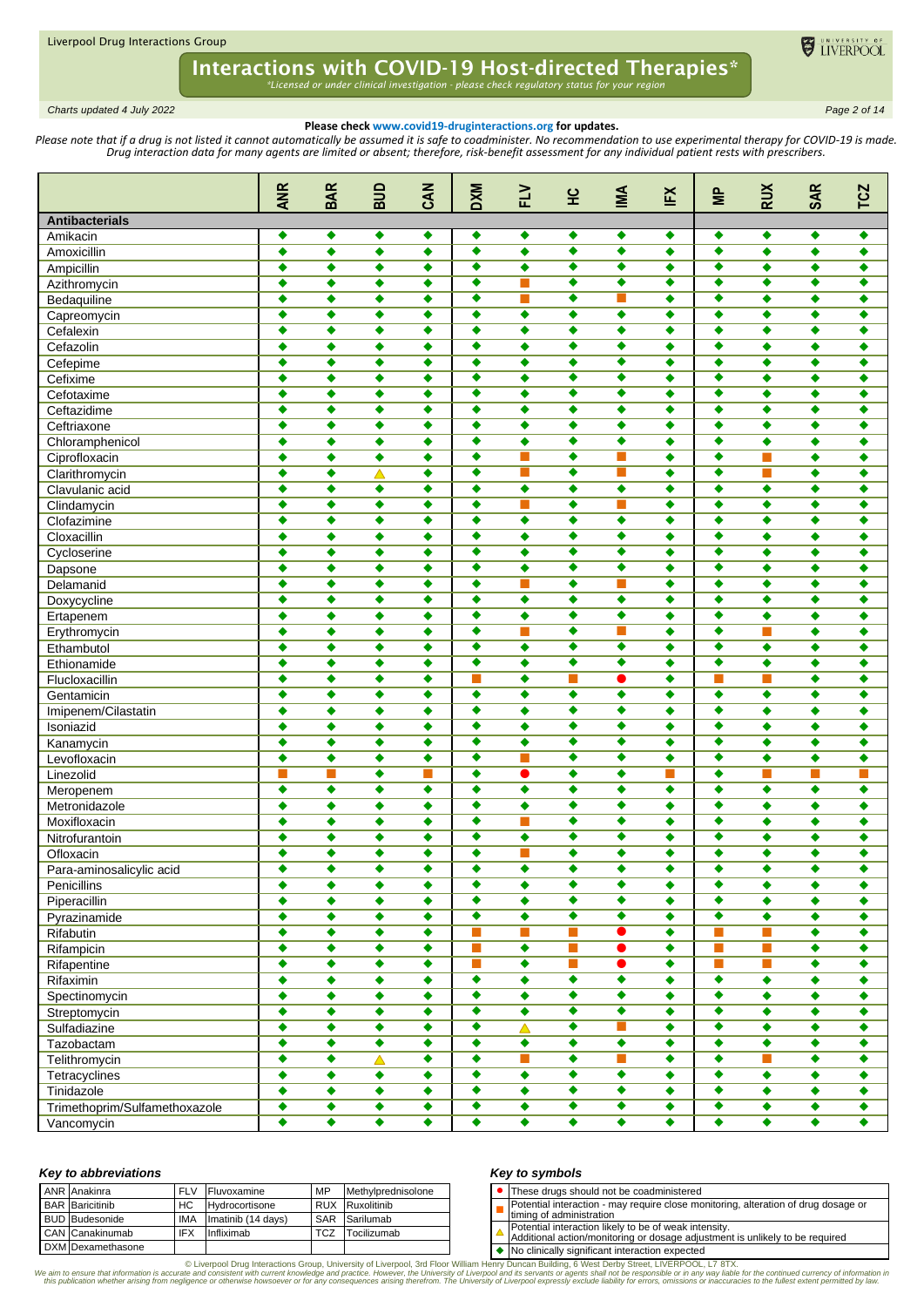

*Charts updated 4 July 2022 Page 2 of 14*

## **Please check www.covid19-druginteractions.org for updates.**

Please note that if a drug is not listed it cannot automatically be assumed it is safe to coadminister. No recommendation to use experimental therapy for COVID-19 is made. *Drug interaction data for many agents are limited or absent; therefore, risk-benefit assessment for any individual patient rests with prescribers.* 

|                               | <b>ANR</b>           | <b>BAR</b>           | BUD                  | <b>CAN</b>           | <b>DXM</b>           | $\geq$               | 잎                    | MI                   | EX                   | $\equiv$             | <b>RUX</b>                  | <b>SAR</b>           | <b>TCZ</b>           |
|-------------------------------|----------------------|----------------------|----------------------|----------------------|----------------------|----------------------|----------------------|----------------------|----------------------|----------------------|-----------------------------|----------------------|----------------------|
| <b>Antibacterials</b>         |                      |                      |                      |                      |                      |                      |                      |                      |                      |                      |                             |                      |                      |
| Amikacin                      | ٠                    | ٠                    | ٠                    | ٠                    | ٠                    | ٠                    | ٠                    | ٠                    | ٠                    | ٠                    | ٠                           | ٠                    | ٠                    |
| Amoxicillin                   | $\overline{\bullet}$ | $\overline{\bullet}$ | $\overline{\bullet}$ | $\overline{\bullet}$ | $\overline{\bullet}$ | ٠                    | $\overline{\bullet}$ | $\overline{\bullet}$ | $\bullet$            | $\overline{\bullet}$ | $\overline{\bullet}$        | ٠                    | ٠                    |
| Ampicillin                    | ٠                    | ٠                    | $\overline{\bullet}$ | ٠                    | $\overline{\bullet}$ | $\bullet$            | $\overline{\bullet}$ | $\overline{\bullet}$ | ٠                    | ٠                    | $\overline{\bullet}$        | ٠                    | ٠                    |
| Azithromycin                  | ٠                    | $\bullet$            | ٠                    | ٠                    | $\overline{\bullet}$ | П                    | ٠                    | ٠                    | $\bullet$            | $\bullet$            | ٠                           | $\bullet$            | ٠                    |
| Bedaquiline                   | ٠                    | ٠                    | ٠                    | ٠                    | ٠                    | $\blacksquare$       | ٠                    | ш                    | ٠                    | ٠                    | ٠                           | ٠                    | ٠                    |
| Capreomycin                   | ٠                    | ٠                    | ٠                    | ٠                    | ٠                    | $\bullet$            | ٠                    | ٠                    | ٠                    | ٠                    | ٠                           | ٠                    | ٠                    |
| Cefalexin                     | ٠                    | ٠                    | ٠                    | ٠                    | $\overline{\bullet}$ | ٠                    | $\overline{\bullet}$ | $\overline{\bullet}$ | ٠                    | $\overline{\bullet}$ | ٠                           | ٠                    | ٠                    |
| Cefazolin                     | ٠                    | ٠                    | ٠                    | ٠                    | ٠                    | ٠                    | ٠                    | ٠                    | ٠                    | ٠                    | ٠                           | ٠                    | ٠                    |
| Cefepime                      | ٠                    | $\bullet$            | ٠                    | ٠                    | $\bullet$            | ٠                    | ٠                    | ٠                    | ٠                    | $\bullet$            | ٠                           | $\bullet$            | ٠                    |
| Cefixime                      | ٠                    | ٠                    | $\bullet$            | ٠                    | $\bullet$            | ٠                    | ٠                    | ٠                    | ٠                    | $\bullet$            | ٠                           | ٠                    | ٠                    |
| Cefotaxime                    | ٠                    | ٠                    | ٠                    | ٠                    | ٠                    | ٠                    | ٠                    | ٠                    | ٠                    | ٠                    | ٠                           | $\bullet$            | ٠                    |
| Ceftazidime                   | $\overline{\bullet}$ | $\overline{\bullet}$ | ٠                    | ٠                    | $\overline{\bullet}$ | ٠                    | $\overline{\bullet}$ | $\overline{\bullet}$ | ٠                    | $\overline{\bullet}$ | ٠                           | ٠                    | ٠                    |
| Ceftriaxone                   | ٠                    | ٠                    | ٠                    | ٠                    | ٠                    | $\bullet$            | ٠                    | ٠                    | ٠                    | ٠                    | ٠                           | ٠                    | ٠                    |
| Chloramphenicol               | ٠                    | $\bullet$            | ٠                    | ٠                    | $\bullet$            | $\bullet$            | ٠                    | ٠                    | ٠                    | $\bullet$            | ٠                           | $\bullet$            | ٠                    |
| Ciprofloxacin                 | ٠                    | ٠                    | ٠                    | ٠                    | ٠                    |                      | ٠                    | ш                    | ٠                    | ٠                    | П                           | ٠                    | ٠                    |
| Clarithromycin                | ٠                    | $\bullet$            | $\blacktriangle$     | ٠                    | ٠                    | $\sim$               | ٠                    | П                    | ٠                    | ٠                    | П                           | ٠                    | ٠                    |
| Clavulanic acid               | ٠                    | ٠                    | ٠                    | ٠                    | $\bullet$            | $\bullet$            | ٠                    | ٠                    | ٠                    | ٠                    | ٠                           | ٠                    | ٠                    |
| Clindamycin                   | ٠                    | ٠                    | ٠                    | ٠                    | ٠                    | ш                    | ٠                    | П                    | ٠                    | ٠                    | ٠                           | ٠                    | ٠                    |
| Clofazimine                   | ٠                    | $\bullet$            | ٠                    | ٠                    | ٠                    | $\bullet$            | ٠                    | ٠                    | ٠                    | ٠                    | ٠                           | $\bullet$            | ٠                    |
| Cloxacillin                   | ٠                    | ٠                    | ٠                    | ٠                    | $\bullet$            | $\bullet$            | ٠                    | ٠                    | ٠                    | ٠                    | ٠                           | ٠                    | ٠                    |
| Cycloserine                   | ٠                    | ٠                    | ٠                    | ٠                    | ٠                    | ٠                    | ٠                    | ٠                    | ٠                    | ٠                    | ٠                           | ٠                    | ٠                    |
| Dapsone                       | ٠                    | ٠                    | ٠                    | ٠                    | ٠                    | $\bullet$            | ٠                    | ٠                    | ٠                    | ٠                    | ٠                           | ٠                    | ٠                    |
| Delamanid                     | ٠                    | ٠                    | ٠                    | ٠                    | ٠                    | $\sim$               | ٠                    | П                    | ٠                    | ٠                    | ٠                           | ٠                    | ٠                    |
| Doxycycline                   | ٠                    | $\bullet$            | ٠                    | ٠                    | $\overline{\bullet}$ | $\bullet$            | ٠                    | ۰                    | ٠                    | $\bullet$            | ٠                           | $\bullet$            | ٠                    |
| Ertapenem                     | ٠                    | ٠                    | ٠                    | ٠                    | $\bullet$            | ٠                    | ٠                    | ٠                    | ٠                    | ٠                    | ٠                           | ٠                    | ٠                    |
| Erythromycin                  | ٠                    | ٠                    | ٠                    | ٠                    | ٠                    | <b>The State</b>     | ٠                    | П                    | ٠                    | ٠                    | П                           | ٠                    | ٠                    |
| Ethambutol                    | ٠                    | ٠                    | ٠                    | ٠                    | ٠                    | ٠                    | ٠                    | ٠                    | ٠                    | ٠                    | $\bullet$                   | ٠                    | ٠                    |
| Ethionamide                   | ٠                    | ٠                    | ٠                    | ٠                    | ٠                    | ٠                    | ٠                    | ٠                    | ٠                    | ٠                    | ٠                           | ٠                    | ٠                    |
| Flucloxacillin                | ٠                    | $\bullet$            | ٠                    | ٠                    | П                    | ٠                    | П                    | ●                    | ٠                    |                      | П                           | $\bullet$            | ٠                    |
| Gentamicin                    | ٠                    | ٠                    | ٠                    | ٠                    | ٠                    | $\bullet$            | ٠                    | ٠                    | ٠                    | ٠                    | $\bullet$                   | ٠                    | ٠                    |
| Imipenem/Cilastatin           | ٠                    | ٠                    | ٠                    | ٠                    | ٠                    | ٠                    | ٠                    | ٠                    | ٠                    | ٠                    | ٠                           | ٠                    | ٠                    |
| Isoniazid                     | ٠                    | ٠                    | ٠                    | ٠                    | ٠                    | $\bullet$            | ٠                    | ٠                    | ٠                    | ٠                    | ٠                           | ٠                    | ٠                    |
| Kanamycin                     | ٠                    | ٠                    | ٠                    | ٠                    | ٠                    | $\bullet$            | ٠                    | ٠                    | ٠                    | ٠                    | ٠                           | ٠                    | ٠                    |
| Levofloxacin                  | $\bullet$            | $\bullet$            | ٠                    | ٠                    | $\bullet$            |                      | ٠                    | ٠                    | ٠                    | $\bullet$            | ٠                           | $\bullet$            | ٠                    |
| Linezolid                     | п                    |                      | ٠                    | п                    | ٠                    | ●                    | ٠                    | ٠                    | П                    | ٠                    | П                           | п                    | П                    |
| Meropenem                     | ٠                    | $\bullet$            | ٠                    | ٠                    | ٠                    | $\bullet$            | $\bullet$            | ٠                    | $\bullet$            | $\bullet$            | ٠                           | ٠                    | ٠                    |
| Metronidazole                 | ٠                    | ٠                    | ٠                    | ٠                    | ٠                    | $\bullet$            | ٠                    | ٠                    | ٠                    | ٠                    | $\bullet$                   | $\bullet$            | ٠                    |
| Moxifloxacin                  | ٠                    | ٠                    | ٠                    | ٠                    | ٠                    | ш                    | ٠                    | ٠                    | ٠                    | ٠                    | ٠                           | ٠                    | ٠                    |
| Nitrofurantoin                | ٠                    | ٠                    | ٠                    | ٠                    | ٠                    | ٠                    | ٠                    | ٠                    | ٠                    | $\bullet$            | ٠                           | ٠                    | ٠                    |
| Ofloxacin                     | ٠                    | ٠                    | ٠                    | ٠                    | ٠                    |                      | ٠                    | ٠                    | ٠                    | ٠                    | ٠                           | ٠                    | ٠                    |
| Para-aminosalicylic acid      | ٠                    | ٠                    | ٠                    | ٠                    | ٠                    | ٠                    | ٠                    | ٠                    | ٠                    | ٠                    | ٠                           | ٠                    | ٠                    |
| Penicillins                   | $\overline{\bullet}$ | $\overline{\bullet}$ | $\overline{\bullet}$ | $\overline{\bullet}$ | $\overline{\bullet}$ | $\overline{\bullet}$ | $\overline{\bullet}$ | $\overline{\bullet}$ | $\overline{\bullet}$ | $\overline{\bullet}$ | $\overline{\bullet}$        | $\overline{\bullet}$ | $\bullet$            |
| Piperacillin                  | ٠                    | ٠                    | ٠                    | ٠                    | ۰                    | ٠                    | $\overline{\bullet}$ | ٠                    | ٠                    | $\bullet$            | ۰                           | ۰                    | ٠                    |
| Pyrazinamide                  | $\bullet$            | ٠                    | ۰                    | ٠                    | $\overline{\bullet}$ | $\overline{\bullet}$ | ٠                    | ۰                    | ۰                    | $\bullet$            | ۰                           | $\bullet$            | ۰                    |
| Rifabutin                     | ٠                    | ٠                    | $\overline{\bullet}$ | ٠                    | П                    |                      | $\blacksquare$       | $\bullet$            | ٠                    | H                    | П                           | $\bullet$            | $\bullet$            |
| Rifampicin                    | $\bullet$            | $\bullet$            | ۰                    | $\bullet$            | П                    | $\overline{\bullet}$ | T.                   | $\bullet$            | ۰                    | П                    | $\mathcal{L}_{\mathcal{A}}$ | $\bullet$            | $\bullet$            |
| Rifapentine                   | ٠                    | $\blacklozenge$      | $\bullet$            | ٠                    | п                    | $\overline{\bullet}$ | П                    | $\overline{\bullet}$ | $\bullet$            | П                    | П                           | $\bullet$            | ٠                    |
| Rifaximin                     | ٠                    | ٠                    | ۰                    | ٠                    | $\overline{\bullet}$ | ٠                    | $\bullet$            | ۰                    | ٠                    | ۰                    | ۰                           | ٠                    | $\bullet$            |
| Spectinomycin                 | $\bullet$            | $\bullet$            | $\blacklozenge$      | $\bullet$            | $\overline{\bullet}$ | $\overline{\bullet}$ | $\overline{\bullet}$ | $\overline{\bullet}$ | ۰                    | $\overline{\bullet}$ | $\overline{\bullet}$        | $\overline{\bullet}$ | ۰                    |
| Streptomycin                  | ٠                    | $\blacklozenge$      | $\bullet$            | ٠                    | $\overline{\bullet}$ | $\bullet$            | $\overline{\bullet}$ | ۰                    | ۰                    | $\bullet$            | $\bullet$                   | ۰                    | ٠                    |
| Sulfadiazine                  | $\bullet$            | ٠                    | ۰                    | ٠                    | $\bullet$            | Δ                    | ٠                    | П                    | ۰                    | ٠                    | ۰                           | $\bullet$            | $\bullet$            |
| Tazobactam                    | ٠                    | $\bullet$            | $\blacklozenge$      | ٠                    | ۰                    | $\overline{\bullet}$ | $\overline{\bullet}$ | $\overline{\bullet}$ | ۰                    | $\bullet$            | $\bullet$                   | $\overline{\bullet}$ | $\blacklozenge$      |
| Telithromycin                 | ٠                    | ٠                    | $\blacktriangle$     | ٠                    | $\bullet$            | T.                   | $\bullet$            | m.                   | ۰                    | $\bullet$            | П                           | ۰                    | ٠                    |
| Tetracyclines                 | $\bullet$            | ٠                    | $\blacklozenge$      | ٠                    | $\overline{\bullet}$ | $\overline{\bullet}$ | ٠                    | $\overline{\bullet}$ | ۰                    | $\bullet$            | $\overline{\bullet}$        | $\bullet$            | ۰                    |
| Tinidazole                    | $\blacklozenge$      | ٠                    | ۰                    | ٠                    | ۰                    | ۰                    | ٠                    | ۰                    | ۰                    | ٠                    | ۰                           | ۰                    | $\bullet$            |
| Trimethoprim/Sulfamethoxazole | $\bullet$            | ٠                    | ۰                    | $\blacklozenge$      | $\overline{\bullet}$ | ۰                    | ٠                    | ۰                    | ۰                    | $\bullet$            | $\blacklozenge$             | $\blacklozenge$      | $\blacklozenge$      |
| Vancomycin                    | $\overline{\bullet}$ | $\overline{\bullet}$ | $\overline{\bullet}$ | $\overline{\bullet}$ | $\overline{\bullet}$ | $\bullet$            | $\overline{\bullet}$ | $\overline{\bullet}$ | $\overline{\bullet}$ | $\overline{\bullet}$ | $\overline{\bullet}$        | $\overline{\bullet}$ | $\overline{\bullet}$ |

#### *Key to abbreviations*

| ANR Anakinra           | <b>FLV</b> | <b>Fluvoxamine</b>    | <b>MP</b>  | Methylprednisolone     |  | These drugs should not be coadministered                                                                                              |
|------------------------|------------|-----------------------|------------|------------------------|--|---------------------------------------------------------------------------------------------------------------------------------------|
| <b>BAR</b> Baricitinib | HC.        | <b>Hydrocortisone</b> |            | <b>RUX</b> Ruxolitinib |  | Potential interaction - may require close monitoring, alteration of drug dosar                                                        |
| <b>BUD</b> Budesonide  | <b>IMA</b> | Imatinib (14 days)    |            | <b>SAR</b> Sarilumab   |  | Itiming of administration                                                                                                             |
| CAN Canakinumab        | ' IFX      | Infliximab            | <b>TCZ</b> | Tocilizumab            |  | Potential interaction likely to be of weak intensity.<br>Additional action/monitoring or dosage adjustment is unlikely to be required |
| DXM Dexamethasone      |            |                       |            |                        |  | $\blacksquare$ No clinically significant interaction expected                                                                         |

## *Key to symbols*

| <b>UCA IN SAILINAIS</b>                                                                                                               |
|---------------------------------------------------------------------------------------------------------------------------------------|
| • These drugs should not be coadministered                                                                                            |
| Itiming of administration                                                                                                             |
| Potential interaction likely to be of weak intensity.<br>Additional action/monitoring or dosage adjustment is unlikely to be required |

◆ No clinically significant interaction expected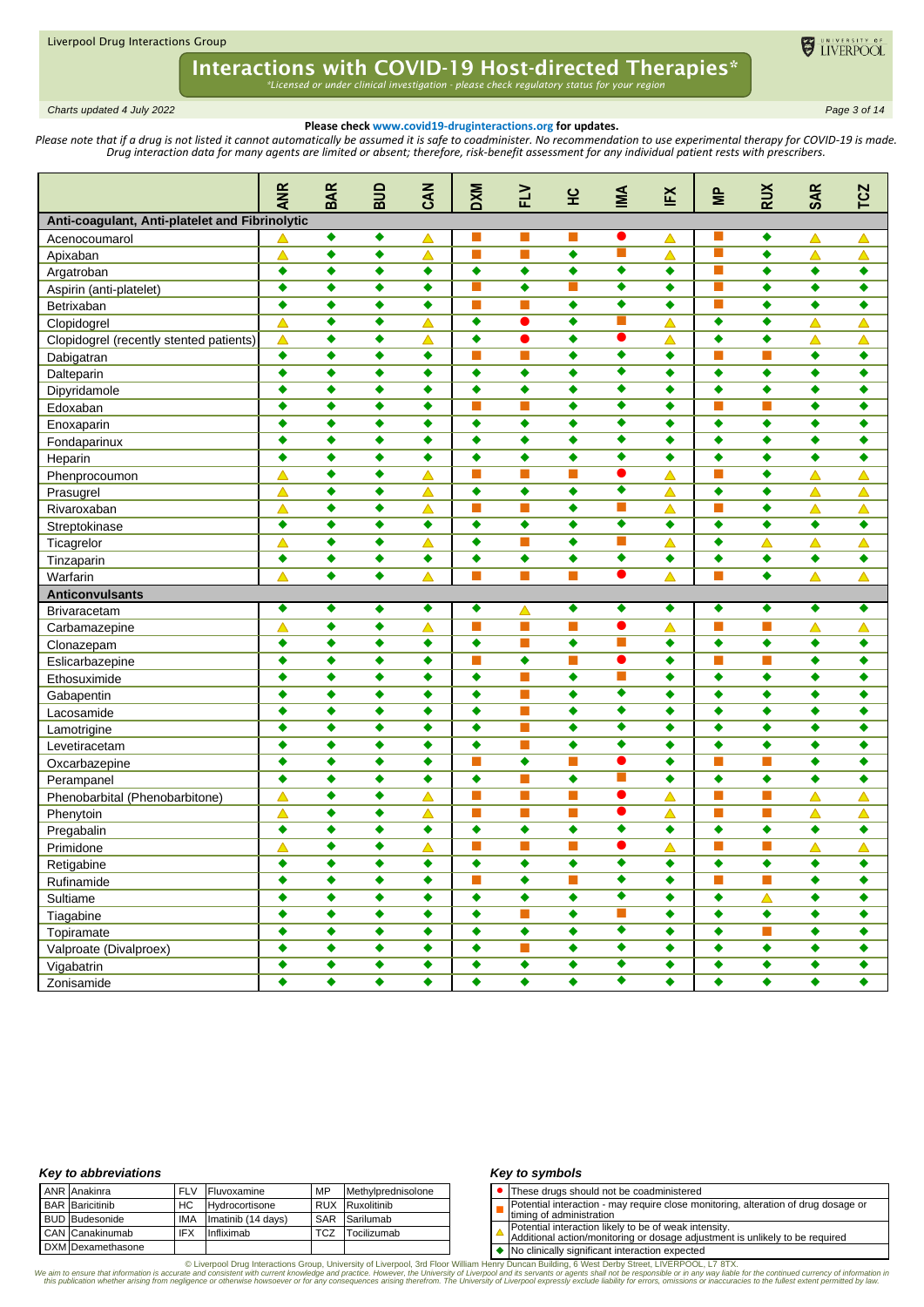

*Charts updated 4 July 2022 Page 3 of 14*

### **Please check www.covid19-druginteractions.org for updates.**

Please note that if a drug is not listed it cannot automatically be assumed it is safe to coadminister. No recommendation to use experimental therapy for COVID-19 is made. *Drug interaction data for many agents are limited or absent; therefore, risk-benefit assessment for any individual patient rests with prescribers.* 

|                                                | <b>ANR</b>           | <b>BAR</b>           | ana                  | <b>CAN</b>       | <b>DXM</b>           | FLV                  | 잎                    | MA                        | EX                   | $\approx$        | <b>RUX</b>                  | <b>SAR</b>           | <b>TCZ</b>       |
|------------------------------------------------|----------------------|----------------------|----------------------|------------------|----------------------|----------------------|----------------------|---------------------------|----------------------|------------------|-----------------------------|----------------------|------------------|
| Anti-coagulant, Anti-platelet and Fibrinolytic |                      |                      |                      |                  |                      |                      |                      |                           |                      |                  |                             |                      |                  |
| Acenocoumarol                                  |                      | ٠                    | ٠                    | △                |                      |                      |                      |                           | △                    |                  | ٠                           | △                    | △                |
| Apixaban                                       | △                    | ٠                    | ٠                    | Δ                | т                    | П                    | ٠                    | П                         | △                    |                  | ٠                           | $\blacktriangle$     | $\blacktriangle$ |
| Argatroban                                     | ٠                    | ٠                    | ٠                    | ٠                | ٠                    | ٠                    | ٠                    | $\bullet$                 | ٠                    | $\blacksquare$   | ٠                           | ٠                    | ۰                |
| Aspirin (anti-platelet)                        | ٠                    | ٠                    | ٠                    | ٠                | т                    | $\bullet$            | П                    | ٠                         | ٠                    | П                | $\bullet$                   | $\bullet$            | ۰                |
| Betrixaban                                     | $\ddot{\bullet}$     | ٠                    | ٠                    | ٠                | П                    | $\blacksquare$       | ٠                    | ٠                         | ٠                    |                  | ٠                           | ٠                    | ٠                |
| Clopidogrel                                    | $\triangle$          | ٠                    | ٠                    | Δ                | ٠                    | ●                    | ٠                    | П                         | $\blacktriangle$     | ٠                | ٠                           | $\blacktriangle$     | $\blacktriangle$ |
| Clopidogrel (recently stented patients)        | $\triangle$          | ٠                    | ٠                    | $\blacktriangle$ | ٠                    | ●                    | ٠                    | ●                         | $\blacktriangle$     | $\bullet$        | ٠                           | $\blacktriangle$     | $\blacktriangle$ |
| Dabigatran                                     | ٠                    | ٠                    | ٠                    | ٠                |                      | ×.                   | ٠                    | ٠                         | ٠                    |                  | П                           | ٠                    | ٠                |
| Dalteparin                                     | ٠                    | ٠                    | ٠                    | ٠                | ٠                    | ٠                    | $\bullet$            | $\overline{\bullet}$      | ٠                    | ٠                | ٠                           | ٠                    | $\bullet$        |
| Dipyridamole                                   | ٠                    | ٠                    | ٠                    | ٠                | ٠                    | ٠                    | ٠                    | ٠                         | ٠                    | $\bullet$        | ٠                           | ٠                    | $\bullet$        |
| Edoxaban                                       | ٠                    | ٠                    | ٠                    | ٠                | П                    |                      | ٠                    | ٠                         | ٠                    |                  | П                           | ٠                    | ٠                |
| Enoxaparin                                     | ٠                    | ٠                    | ٠                    | ٠                | ٠                    | ٠                    | ٠                    | ٠                         | ٠                    | $\bullet$        | ٠                           | ٠                    | ٠                |
| Fondaparinux                                   | ٠                    | ٠                    | ٠                    | ٠                | ٠                    | ٠                    | ٠                    | ٠                         | ٠                    | ٠                | ٠                           | ٠                    | ٠                |
| Heparin                                        | ٠                    | ٠                    | ٠                    | ٠                | ٠                    | ٠                    | ٠                    | ۰                         | ٠                    | ٠                | ٠                           | ٠                    | ۰                |
| Phenprocoumon                                  | $\blacktriangle$     | ٠                    | ٠                    | Δ                | т                    | П                    | П                    | ●                         | $\blacktriangle$     | П                | $\bullet$                   | $\blacktriangle$     | $\blacktriangle$ |
| Prasugrel                                      | △                    | ٠                    | ٠                    | △                | ٠                    | ٠                    | ٠                    | ٠                         | △                    | ٠                | ٠                           | $\blacktriangle$     | $\blacktriangle$ |
| Rivaroxaban                                    | $\blacktriangle$     | ٠                    | ٠                    | △                | m.                   | m.                   | $\bullet$            | П                         | △                    | <b>COL</b>       | ٠                           | $\blacktriangle$     | $\blacktriangle$ |
| Streptokinase                                  | $\bullet$            | ٠                    | ٠                    | ٠                | ٠                    | ٠                    | ٠                    | $\overline{\bullet}$      | ٠                    | $\bullet$        | ٠                           | ٠                    | ۰                |
| Ticagrelor                                     | △                    | ٠                    | ٠                    | $\blacktriangle$ | ٠                    | ×.                   | ٠                    | П                         | $\blacktriangle$     | ٠                | Δ                           | Δ                    | $\blacktriangle$ |
| Tinzaparin                                     | ٠                    | ٠                    | ٠                    | ٠                | ٠                    | $\bullet$            | $\bullet$            | $\overline{\bullet}$      | ٠                    | ٠                | ٠                           | $\bullet$            | ۰                |
| Warfarin                                       | △                    | ٠                    | ٠                    | $\blacktriangle$ | п                    | П                    | П                    | ●                         | Δ                    | <b>Tale</b>      | ٠                           | $\blacktriangle$     | Δ                |
| <b>Anticonvulsants</b>                         |                      |                      |                      |                  |                      |                      |                      |                           |                      |                  |                             |                      |                  |
| <b>Brivaracetam</b>                            | ٠                    | ٠                    | ٠                    | ٠                | ٠                    | Δ                    | ٠                    | ٠                         | ٠                    | ٠                | ٠                           | ٠                    | ٠                |
| Carbamazepine                                  | △                    | ٠                    | ٠                    | △                | П                    | m.                   | П                    | $\bullet$                 | △                    | ш                | П                           | $\blacktriangle$     | $\triangle$      |
| Clonazepam                                     | ٠                    | ٠                    | ٠                    | ٠                | ٠                    | П                    | $\bullet$            | П                         | ٠                    | $\ddot{\bullet}$ | ٠                           | ٠                    | ۰                |
| Eslicarbazepine                                | ٠                    | ٠                    | ٠                    | ٠                | т                    | $\bullet$            | П                    | $\bullet$                 | ٠                    |                  | П                           | $\bullet$            | $\bullet$        |
| Ethosuximide                                   | ٠                    | ٠                    | ٠                    | ٠                | ٠                    | П                    | ٠                    | П                         | ٠                    | ٠                | ٠                           | ٠                    | ٠                |
| Gabapentin                                     | ٠                    | ٠                    | ٠                    | ٠                | ٠                    | <b>The State</b>     | $\bullet$            | ٠                         | ٠                    | ٠                | ٠                           | ٠                    | $\bullet$        |
| Lacosamide                                     | ٠                    | ٠                    | ٠                    | ٠                | ٠                    | <b>The State</b>     | ٠                    | ٠                         | ٠                    | $\bullet$        | ٠                           | ٠                    | ٠                |
| Lamotrigine                                    | ٠                    | ٠                    | ٠                    | ٠                | ٠                    | ı.                   | ٠                    | ٠                         | ٠                    | ٠                | ٠                           | ٠                    | ٠                |
| Levetiracetam                                  | ٠                    | ٠                    | ٠                    | ٠                | ٠                    | m.                   | ٠                    | ٠                         | ٠                    | $\bullet$        | ٠                           | ٠                    | $\bullet$        |
| Oxcarbazepine                                  | ٠                    | ٠                    | ٠                    | ٠                | T.                   | ٠                    | П                    | O                         | ٠                    | <b>Tale</b>      | П                           | ٠                    | $\bullet$        |
| Perampanel                                     | ٠                    | ٠                    | ٠                    | ٠                | ٠                    | П                    | $\bullet$            |                           | ٠                    | ٠                | ٠                           | ٠                    | ٠                |
| Phenobarbital (Phenobarbitone)                 | $\blacktriangle$     | ٠                    | ٠                    | Δ                | П                    | m.                   | П                    | ●                         | $\blacktriangle$     | <b>The State</b> | П                           | Δ                    | $\blacktriangle$ |
| Phenytoin                                      | $\blacktriangle$     | ٠                    | ٠                    | Δ                | П                    | П                    | П                    | ●                         | $\blacktriangle$     | <b>COL</b>       | П                           | $\blacktriangle$     | Δ                |
| Pregabalin                                     | ٠                    | ٠                    | ٠                    | ٠                | ٠                    | ٠                    | ٠                    | ۰                         | ٠                    | ٠                | $\ddot{\bullet}$            | ٠                    | ۰                |
| Primidone                                      | $\blacktriangle$     | ٠                    | ٠                    | $\blacktriangle$ | т                    | П                    | П                    | ●                         | ▲                    |                  | П                           | $\blacktriangle$     | $\blacktriangle$ |
| Retigabine                                     | ٠                    | v                    | ٠                    | ٠                | ٠                    | ▼                    | ▼                    | ٠                         | ٠                    | ▼                | ◢<br>▼                      | ٠                    | ٠                |
| Rufinamide                                     | $\blacklozenge$      | $\bullet$            | ۰                    | ٠                | П                    | $\blacklozenge$      | П                    | $\overline{\bullet}$      | $\bullet$            | П                | $\mathcal{L}_{\mathcal{A}}$ | $\bullet$            | ۰                |
| Sultiame                                       | ٠                    | ٠                    | ۰                    | ٠                | ۰                    | ٠                    | ٠                    | ۰                         | ٠                    | ۰                | $\blacktriangle$            | ۰                    | $\bullet$        |
| Tiagabine                                      | ٠                    | ٠                    | ٠                    | ٠                | ۰                    | ш                    | ٠                    | $\overline{\mathbb{R}^n}$ | ٠                    | ٠                | $\blacklozenge$             | $\bullet$            | $\bullet$        |
| Topiramate                                     | $\overline{\bullet}$ | $\overline{\bullet}$ | $\overline{\bullet}$ | $\bullet$        | $\overline{\bullet}$ | $\overline{\bullet}$ | $\overline{\bullet}$ | $\overline{\bullet}$      | $\overline{\bullet}$ | ٠                | $\overline{\phantom{a}}$    | $\overline{\bullet}$ | $\bullet$        |
| Valproate (Divalproex)                         | $\bullet$            | ٠                    | $\blacklozenge$      | ٠                | $\bullet$            | П                    | $\bullet$            | $\overline{\bullet}$      | ٠                    | ۰                | $\blacklozenge$             | ۰                    | ۰                |
| Vigabatrin                                     | $\blacklozenge$      | $\blacklozenge$      | $\blacklozenge$      | $\blacklozenge$  | $\blacklozenge$      | $\overline{\bullet}$ | ٠                    | $\overline{\bullet}$      | $\blacklozenge$      | $\blacklozenge$  | $\blacklozenge$             | $\blacklozenge$      | $\blacklozenge$  |
| Zonisamide                                     | $\bullet$            | $\blacklozenge$      | $\blacklozenge$      | $\blacklozenge$  | $\overline{\bullet}$ | $\blacklozenge$      | $\overline{\bullet}$ | $\overline{\bullet}$      | ٠                    | $\bullet$        | $\blacklozenge$             | ۰                    | $\bullet$        |

### *Key to abbreviations*

|  | <b>ANR</b> Anakinra    | <b>FLV</b> | Fluvoxamine        | MP         | Methylprednisolone |
|--|------------------------|------------|--------------------|------------|--------------------|
|  | <b>BAR</b> Baricitinib | HC.        | Hydrocortisone     |            | RUX Ruxolitinib    |
|  | <b>BUD</b> Budesonide  | IMA        | Imatinib (14 days) |            | SAR Sarilumab      |
|  | CAN Canakinumab        | <b>IFX</b> | Infliximab         | <b>TCZ</b> | Tocilizumab        |
|  | DXM Dexamethasone      |            |                    |            |                    |

### *Key to symbols*

- ⚫ These drugs should not be coadministered
- П Potential interaction - may require close monitoring, alteration of drug dosage or
- timing of administration
- Potential interaction likely to be of weak intensity. Additional action/monitoring or dosage adjustment is unlikely to be required
- 

◆ No clinically significant interaction expected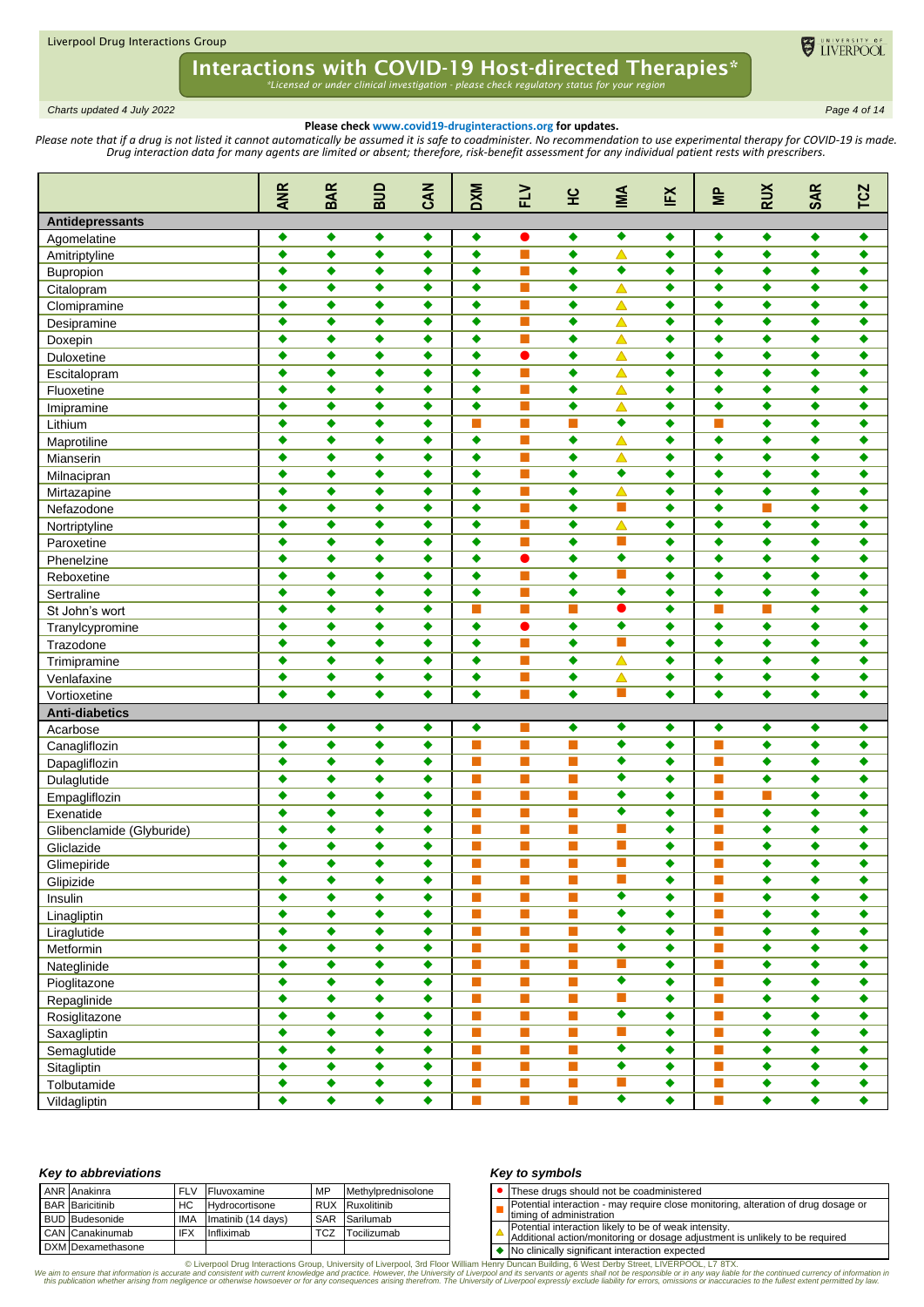

*Charts updated 4 July 2022 Page 4 of 14*

### **Please check www.covid19-druginteractions.org for updates.**

Please note that if a drug is not listed it cannot automatically be assumed it is safe to coadminister. No recommendation to use experimental therapy for COVID-19 is made. *Drug interaction data for many agents are limited or absent; therefore, risk-benefit assessment for any individual patient rests with prescribers.* 

|                           | <b>ANR</b>           | <b>BAR</b>      | ana             | CAN       | <b>DXM</b>     | FLV                         | 잎                           | IMA                   | ĬΞ              | $\equiv$                    | <b>RUX</b>           | <b>SAR</b>      | <b>TCZ</b>           |
|---------------------------|----------------------|-----------------|-----------------|-----------|----------------|-----------------------------|-----------------------------|-----------------------|-----------------|-----------------------------|----------------------|-----------------|----------------------|
| Antidepressants           |                      |                 |                 |           |                |                             |                             |                       |                 |                             |                      |                 |                      |
| Agomelatine               | ٠                    | ٠               | ٠               | ٠         | ۰              | $\bullet$                   | ٠                           | ٠                     | ٠               | ٠                           | ۰                    | ٠               | ۰                    |
| Amitriptyline             | $\bullet$            | ٠               | ٠               | ٠         | $\bullet$      | $\blacksquare$              | ٠                           | $\blacktriangle$      | ٠               | ٠                           | ٠                    | $\bullet$       | ٠                    |
| Bupropion                 | ٠                    | ٠               | ٠               | ٠         | ٠              | <b>The State</b>            | ٠                           | ٠                     | ٠               | ٠                           | ٠                    | ٠               | ٠                    |
| Citalopram                | ٠                    | ٠               | ٠               | ٠         | ٠              | <b>The State</b>            | ٠                           | $\blacktriangle$      | ٠               | ٠                           | ٠                    | ٠               | ٠                    |
| Clomipramine              | $\bullet$            | $\bullet$       | ٠               | ٠         | $\bullet$      | п                           | $\bullet$                   | $\blacktriangle$      | ٠               | $\bullet$                   | ٠                    | $\bullet$       | ٠                    |
| Desipramine               | $\bullet$            | $\bullet$       | ٠               | ٠         | ٠              | <b>The State</b>            | ٠                           | $\blacktriangle$      | ٠               | ٠                           | ٠                    | ٠               | ٠                    |
| Doxepin                   | $\bullet$            | $\blacklozenge$ | ٠               | $\bullet$ | $\bullet$      | п                           | $\bullet$                   | $\triangle$           | ٠               | ٠                           | ٠                    | ٠               | ٠                    |
| Duloxetine                | ٠                    | ٠               | ٠               | ٠         | ٠              | $\bullet$                   | ٠                           | Δ                     | ٠               | ٠                           | ٠                    | $\bullet$       | ٠                    |
| Escitalopram              | ٠                    | ٠               | ٠               | ٠         | ٠              | $\blacksquare$              | ٠                           | Δ                     | ٠               | ٠                           | ٠                    | ٠               | ٠                    |
| Fluoxetine                | $\bullet$            | $\bullet$       | ٠               | ٠         | ٠              | П                           | $\bullet$                   | $\triangle$           | ٠               | ٠                           | ٠                    | $\bullet$       | ٠                    |
| Imipramine                | $\bullet$            | $\bullet$       | ٠               | ٠         | ٠              | п                           | ٠                           | $\triangle$           | ٠               | $\bullet$                   | ٠                    | ٠               | ٠                    |
| Lithium                   | $\bullet$            | ٠               | ٠               | ٠         | П              | П                           | П                           | ٠                     | $\bullet$       |                             | $\bullet$            | ٠               | ٠                    |
| Maprotiline               | ٠                    | ٠               | ٠               | ٠         | ٠              | П                           | ۰                           | △                     | ٠               | $\bullet$                   | ٠                    | $\bullet$       | ٠                    |
| Mianserin                 | ٠                    | ٠               | ٠               | ٠         | ٠              | <b>The State</b>            | ٠                           | $\blacktriangle$      | ٠               | ٠                           | ٠                    | ٠               | ٠                    |
| Milnacipran               | ٠                    | ٠               | ٠               | ٠         | ٠              | <b>The State</b>            | ٠                           | $\bullet$             | ٠               | ٠                           | ٠                    | ٠               | ٠                    |
| Mirtazapine               | $\bullet$            | $\bullet$       | ٠               | ٠         | $\bullet$      | П                           | $\bullet$                   | $\blacktriangle$      | $\bullet$       | $\bullet$                   | $\bullet$            | $\bullet$       | ٠                    |
| Nefazodone                | $\bullet$            | $\bullet$       | ٠               | ٠         | ٠              | <b>The State</b>            | ٠                           | П                     | ٠               | ٠                           | П                    | ٠               | ٠                    |
| Nortriptyline             | $\bullet$            | ٠               | ٠               | ٠         | ٠              | П                           | ٠                           | $\blacktriangle$      | ٠               | ٠                           | ٠                    | ٠               | ٠                    |
| Paroxetine                | ٠                    | $\bullet$       | ٠               | ٠         | ٠              | п                           | $\bullet$                   | m.                    | ٠               | $\bullet$                   | ٠                    | ٠               | ٠                    |
| Phenelzine                | ٠                    | ٠               | ٠               | ٠         | ٠              | ●                           | ٠                           | ٠                     | ٠               | ٠                           | ٠                    | ٠               | ٠                    |
| Reboxetine                | ٠                    | $\bullet$       | ٠               | ٠         | ٠              | П                           | $\bullet$                   | П                     | ٠               | ٠                           | ٠                    | $\bullet$       | ٠                    |
|                           | $\bullet$            | $\bullet$       | ٠               | ٠         | ٠              | ш                           | ٠                           | ٠                     | ٠               | ٠                           | ٠                    | ٠               | ٠                    |
| Sertraline                | $\bullet$            | ٠               | ٠               | ٠         | m.             | П                           | П                           | $\bullet$             | $\bullet$       |                             | П                    | ٠               | ٠                    |
| St John's wort            | ٠                    | ٠               | ٠               | ٠         | ٠              | $\bullet$                   | $\bullet$                   | ٠                     | ٠               | $\bullet$                   | ٠                    | $\bullet$       | ٠                    |
| Tranylcypromine           | ٠                    | ٠               |                 |           | ٠              | П                           | ٠                           | П                     | ٠               | ٠                           | ٠                    | ٠               | ٠                    |
| Trazodone                 | $\bullet$            |                 | ٠               | ٠         | ٠              | <b>The State</b>            | ٠                           |                       | ٠               | ٠                           | ٠                    | ٠               | ٠                    |
| Trimipramine              | $\bullet$            | ٠<br>$\bullet$  | ٠               | ٠         |                | П                           | $\bullet$                   | $\blacktriangle$      |                 | $\bullet$                   | $\bullet$            |                 |                      |
| Venlafaxine               | ٠                    |                 | ٠               | ٠         | $\bullet$      | П                           | $\bullet$                   | $\blacktriangle$<br>П | ٠<br>٠          | ٠                           |                      | $\bullet$       | ٠                    |
| Vortioxetine              |                      | $\bullet$       | ٠               | ٠         | ٠              |                             |                             |                       |                 |                             | ٠                    | ٠               | ٠                    |
| <b>Anti-diabetics</b>     |                      |                 |                 |           |                |                             |                             |                       |                 |                             |                      |                 |                      |
| Acarbose                  | ٠                    | ٠               | ٠               | ٠         | ۰              |                             | ٠                           | ٠                     | ٠               | ٠                           | ٠                    | ٠               | $\bullet$            |
| Canagliflozin             | ٠                    | $\blacklozenge$ | $\blacklozenge$ | ٠         | ×              | П                           | П                           | $\overline{\bullet}$  | ٠               |                             | $\bullet$            | $\bullet$       | ٠                    |
| Dapagliflozin             | $\bullet$            | $\blacklozenge$ | ٠               | ٠         | П              | П                           | П                           | $\bullet$             | ٠               |                             | $\bullet$            | $\bullet$       | ٠                    |
| Dulaglutide               | $\bullet$            | $\bullet$       | ٠               | ٠         | <b>Tale</b>    | <b>The State</b>            | $\blacksquare$              | ٠                     | ٠               | <b>The State</b>            | ٠                    | ٠               | ٠                    |
| Empagliflozin             | $\blacklozenge$      | ٠               | ٠               | ٠         | п              | П                           | П                           | ٠                     | ٠               |                             | П                    | ٠               | ٠                    |
| Exenatide                 | $\bullet$            | ٠               | ٠               | ٠         | m.             | П                           | П                           | ٠                     | ٠               |                             | ٠                    | ٠               | ٠                    |
| Glibenclamide (Glyburide) | ٠                    | ٠               | ٠               | ٠         | п              | П                           | П                           | П                     | ٠               | <b>COL</b>                  | ٠                    | ٠               | ٠                    |
| Gliclazide                | $\bullet$            | ٠               | ٠               | ٠         | ш              |                             | П                           | П                     | ٠               |                             | ٠                    | ٠               | ٠                    |
| Glimepiride               |                      |                 |                 |           | $\blacksquare$ | $\overline{\phantom{a}}$    | <u>is a</u>                 | <u>in the set</u>     |                 | <b>Talling</b>              |                      |                 |                      |
| Glipizide                 | $\bullet$            | ۰               | ٠               | ٠         | П              | п                           | T.                          | П                     | ۰               | $\mathcal{C}^{\mathcal{A}}$ | ۰                    | ۰               | ٠                    |
| Insulin                   | $\ddot{\bullet}$     | $\bullet$       | ٠               | ٠         | П              | п                           | П                           | $\overline{\bullet}$  | ٠               | $\mathcal{C}^{\mathcal{A}}$ | $\blacklozenge$      | $\bullet$       | $\blacklozenge$      |
| Linagliptin               | ٠                    | ٠               | ٠               | ۰         | П              | <b>The State</b>            | T.                          | ٠                     | ٠               | T.                          | ۰                    | ۰               | $\bullet$            |
| Liraglutide               | ٠                    | ۰               | ٠               | ٠         | ×              | п                           | $\mathbb{R}^n$              | $\overline{\bullet}$  | ٠               | П                           | ۰                    | ۰               | ۰                    |
| Metformin                 | $\bullet$            | $\bullet$       | ٠               | ۰         | $\blacksquare$ | п                           | $\mathcal{L}_{\mathcal{A}}$ | $\overline{\bullet}$  | ۰               | T.                          | $\blacklozenge$      | $\blacklozenge$ | $\bullet$            |
| Nateglinide               | $\bullet$            | $\bullet$       | ٠               | ٠         | $\mathbf{r}$   | $\overline{\phantom{a}}$    | $\mathcal{L}_{\mathcal{A}}$ | T.                    | $\bullet$       | T.                          | $\blacklozenge$      | ۰               | ۰                    |
| Pioglitazone              | $\overline{\bullet}$ | $\bullet$       | ٠               | ٠         | П              | П                           | П                           | $\overline{\bullet}$  | $\bullet$       | T.                          | $\overline{\bullet}$ | $\bullet$       | $\overline{\bullet}$ |
| Repaglinide               | $\bullet$            | ۰               | ۰               | ٠         | П              | П                           | П                           | П                     | ٠               | T.                          | $\blacklozenge$      | ۰               | $\bullet$            |
| Rosiglitazone             | ۰                    | ۰               | ٠               | ۰         | П              | <b>I</b>                    | $\mathcal{C}_{\mathcal{A}}$ | $\overline{\bullet}$  | ٠               | T.                          | ۰                    | ۰               | ٠                    |
| Saxagliptin               | $\bullet$            | $\bullet$       | ٠               | ٠         | П              | п                           | $\mathcal{L}_{\mathcal{A}}$ | T.                    | ۰               | $\mathcal{C}^{\mathcal{A}}$ | $\blacklozenge$      | $\bullet$       | $\blacklozenge$      |
| Semaglutide               | $\bullet$            | $\bullet$       | ٠               | $\bullet$ | $\blacksquare$ | $\mathcal{L}_{\mathcal{A}}$ | $\mathcal{C}^{\mathcal{A}}$ | $\overline{\bullet}$  | $\blacklozenge$ | П                           | $\blacklozenge$      | $\bullet$       | $\blacklozenge$      |
| Sitagliptin               | $\bullet$            | ۰               | ٠               | ٠         | П              | П                           | T.                          | $\overline{\bullet}$  | ۰               | T.                          | ۰                    | ۰               | ۰                    |
| Tolbutamide               | $\blacklozenge$      | ٠               | ٠               | ٠         | $\blacksquare$ | п                           | T.                          | T.                    | $\blacklozenge$ | T.                          | $\blacklozenge$      | $\blacklozenge$ | $\blacklozenge$      |
| Vildagliptin              | $\bullet$            | ۰               | ٠               | ٠         | $\blacksquare$ | $\Box$                      | <b>The State</b>            | $\overline{\bullet}$  | $\blacklozenge$ | T.                          | $\blacklozenge$      | $\blacklozenge$ | $\blacklozenge$      |

#### *Key to abbreviations*

| ANR Anakinra           | <b>FLV</b> | MP<br>Fluvoxamine  |            | Methylprednisolone     |
|------------------------|------------|--------------------|------------|------------------------|
| <b>BAR</b> Baricitinib | HC.        | Hydrocortisone     |            | <b>RUX</b> Ruxolitinib |
| <b>BUD</b> Budesonide  | <b>IMA</b> | Imatinib (14 days) |            | SAR Sarilumab          |
| CAN Canakinumab        | IFX.       | Infliximab         | <b>TCZ</b> | Tocilizumab            |
| DXM Dexamethasone      |            |                    |            |                        |

### *Key to symbols*

⚫ These drugs should not be coadministered

П Potential interaction - may require close monitoring, alteration of drug dosage or

timing of administration

Potential interaction likely to be of weak intensity. Additional action/monitoring or dosage adjustment is unlikely to be required

◆ No clinically significant interaction expected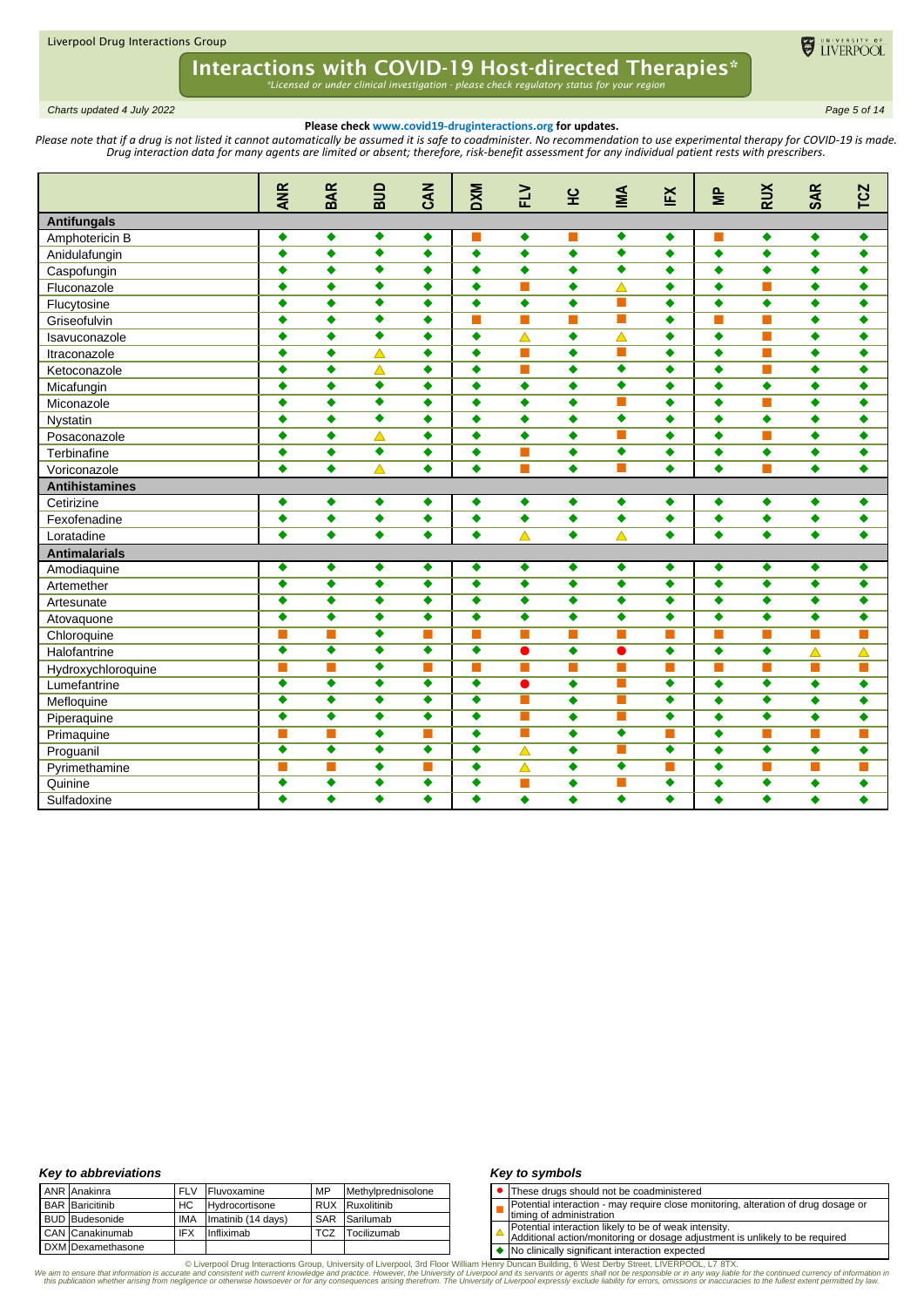

*Charts updated 4 July 2022 Page 5 of 14*

### **Please check www.covid19-druginteractions.org for updates.**

Please note that if a drug is not listed it cannot automatically be assumed it is safe to coadminister. No recommendation to use experimental therapy for COVID-19 is made. *Drug interaction data for many agents are limited or absent; therefore, risk-benefit assessment for any individual patient rests with prescribers.* 

|                       | <b>ANR</b>           | <b>BAR</b>           | ana                  | CAN                  | <b>DXM</b>           | $\geq$               | 잎                    | MA                   | ĔX                   | $\approx$            | <b>RUX</b>           | <b>SAR</b>           | <b>TCZ</b>           |
|-----------------------|----------------------|----------------------|----------------------|----------------------|----------------------|----------------------|----------------------|----------------------|----------------------|----------------------|----------------------|----------------------|----------------------|
| <b>Antifungals</b>    |                      |                      |                      |                      |                      |                      |                      |                      |                      |                      |                      |                      |                      |
| Amphotericin B        | ٠                    | ٠                    | ٠                    | ۰                    |                      | $\bullet$            |                      | ٠                    | ۰                    |                      | $\blacklozenge$      | $\blacklozenge$      | ۰                    |
| Anidulafungin         | $\ddot{\bullet}$     | $\ddot{\bullet}$     | $\overline{\bullet}$ | $\bullet$            | $\ddot{\bullet}$     | $\ddot{\bullet}$     | $\ddot{\bullet}$     | $\overline{\bullet}$ | $\bullet$            | $\blacklozenge$      | $\bullet$            | $\bullet$            | $\ddot{\bullet}$     |
| Caspofungin           | ٠                    | $\bullet$            | ٠                    | ٠                    | ٠                    | $\bullet$            | ٠                    | ٠                    | ٠                    | $\bullet$            | $\bullet$            | ٠                    | ٠                    |
| Fluconazole           | ٠                    | $\bullet$            | $\overline{\bullet}$ | ٠                    | $\bullet$            | <b>The State</b>     | ٠                    | $\blacktriangle$     | ٠                    | $\bullet$            | m.                   | $\bullet$            | ٠                    |
| Flucytosine           | $\bullet$            | $\bullet$            | ٠                    | ٠                    | $\bullet$            | $\bullet$            | $\bullet$            | ш                    | $\bullet$            | $\bullet$            | $\bullet$            | $\bullet$            | ٠                    |
| Griseofulvin          | ٠                    | $\bullet$            | $\overline{\bullet}$ | ٠                    | π                    | П                    | $\blacksquare$       | П                    | $\bullet$            | П                    | П                    | $\bullet$            | ٠                    |
| Isavuconazole         | $\bullet$            | $\bullet$            | $\overline{\bullet}$ | ٠                    | $\bullet$            | $\triangle$          | $\bullet$            | $\blacktriangle$     | $\bullet$            | $\bullet$            | П                    | $\bullet$            | $\bullet$            |
| Itraconazole          | ٠                    | $\bullet$            | $\blacktriangle$     | $\bullet$            | $\bullet$            | П                    | $\bullet$            | П                    | ٠                    | $\overline{\bullet}$ | П                    | $\bullet$            | $\bullet$            |
| Ketoconazole          | $\bullet$            | ٠                    | $\triangle$          | ٠                    | $\bullet$            | <b>Tale</b>          | ٠                    | $\bullet$            | $\bullet$            | $\blacklozenge$      | m.                   | ٠                    | ٠                    |
| Micafungin            | $\bullet$            | $\bullet$            | ٠                    | ٠                    | $\bullet$            | $\bullet$            | ٠                    | ٠                    | $\bullet$            | $\bullet$            | $\overline{\bullet}$ | ٠                    | ٠                    |
| Miconazole            | $\bullet$            | $\bullet$            | ٠                    | ٠                    | $\bullet$            | $\bullet$            | ٠                    | <b>COL</b>           | $\bullet$            | $\bullet$            | $\Box$               | $\bullet$            | ٠                    |
| Nystatin              | ٠                    | ٠                    | ٠                    | ٠                    | ٠                    | ٠                    | ۰                    | $\overline{\bullet}$ | ٠                    | ٠                    | ٠                    | ٠                    | ٠                    |
| Posaconazole          | ٠                    | ٠                    | △                    | ٠                    | ٠                    | ٠                    | ٠                    | I.                   | ٠                    | $\bullet$            | m.                   | ٠                    | ٠                    |
| Terbinafine           | ٠                    | $\ddot{\bullet}$     | $\overline{\bullet}$ | ٠                    | ٠                    |                      | $\bullet$            | ٠                    | ٠                    | ٠                    | $\bullet$            | $\ddot{\bullet}$     | ٠                    |
| Voriconazole          | $\bullet$            | $\bullet$            | $\blacktriangle$     | ٠                    | $\bullet$            |                      | $\bullet$            | m.                   | $\bullet$            | $\bullet$            | m.                   | $\bullet$            | $\bullet$            |
| <b>Antihistamines</b> |                      |                      |                      |                      |                      |                      |                      |                      |                      |                      |                      |                      |                      |
| Cetirizine            | ٠                    | ٠                    | ٠                    | ٠                    | $\bullet$            | ٠                    | ٠                    | $\bullet$            | ٠                    | $\bullet$            | ۰                    | ٠                    | ٠                    |
| Fexofenadine          | ٠                    | ٠                    | ٠                    | ٠                    | $\bullet$            | $\bullet$            | $\bullet$            | $\bullet$            | $\bullet$            | $\bullet$            | ۰                    | ٠                    | ٠                    |
| Loratadine            | ٠                    | $\bullet$            | $\bullet$            | $\bullet$            | $\bullet$            | Δ                    | $\bullet$            | $\blacktriangle$     | $\bullet$            | $\bullet$            | $\bullet$            | $\bullet$            | $\bullet$            |
| <b>Antimalarials</b>  |                      |                      |                      |                      |                      |                      |                      |                      |                      |                      |                      |                      |                      |
| Amodiaquine           | ٠                    | ٠                    | ٠                    | ٠                    | ٠                    | ٠                    | ۰                    | ۰                    | ٠                    | $\bullet$            | ۰                    | ٠                    | ٠                    |
| Artemether            | ٠                    | $\bullet$            | ٠                    | ٠                    | ٠                    | ٠                    | ٠                    | ٠                    | ٠                    | $\bullet$            | ٠                    | ٠                    | ٠                    |
| Artesunate            | $\overline{\bullet}$ | $\overline{\bullet}$ | $\overline{\bullet}$ | $\overline{\bullet}$ | $\overline{\bullet}$ | $\overline{\bullet}$ | $\overline{\bullet}$ | $\overline{\bullet}$ | $\overline{\bullet}$ | $\overline{\bullet}$ | $\overline{\bullet}$ | $\overline{\bullet}$ | $\overline{\bullet}$ |
| Atovaquone            | $\overline{\bullet}$ | $\overline{\bullet}$ | $\overline{\bullet}$ | $\overline{\bullet}$ | $\overline{\bullet}$ | $\overline{\bullet}$ | $\overline{\bullet}$ | $\overline{\bullet}$ | $\overline{\bullet}$ | $\overline{\bullet}$ | $\overline{\bullet}$ | $\overline{\bullet}$ | $\overline{\bullet}$ |
| Chloroquine           | п                    |                      | $\overline{\bullet}$ | m.                   | T.                   | <b>The State</b>     | П                    | ш                    | m.                   |                      | П                    | П                    | m,                   |
| Halofantrine          | $\overline{\bullet}$ | $\overline{\bullet}$ | $\overline{\bullet}$ | $\overline{\bullet}$ | $\overline{\bullet}$ | $\bullet$            | $\bullet$            | $\bullet$            | $\bullet$            | $\bullet$            | $\bullet$            | $\blacktriangle$     | △                    |
| Hydroxychloroquine    | П                    | П                    | ٠                    | m.                   | ш                    | <b>The State</b>     | <b>Tale</b>          | <b>Tale</b>          | п                    | ш                    | m.                   | п                    | п                    |
| Lumefantrine          | $\overline{\bullet}$ | $\overline{\bullet}$ | $\overline{\bullet}$ | $\overline{\bullet}$ | $\overline{\bullet}$ | $\bullet$            | ٠                    | <b>COL</b>           | $\overline{\bullet}$ | $\bullet$            | $\overline{\bullet}$ | ٠                    | ٠                    |
| Mefloquine            | ٠                    | ٠                    | ٠                    | ٠                    | ٠                    |                      | ٠                    | m.                   | ٠                    | ٠                    | ٠                    | ٠                    | ٠                    |
| Piperaquine           | $\overline{\bullet}$ | $\overline{\bullet}$ | $\overline{\bullet}$ | $\overline{\bullet}$ | $\overline{\bullet}$ |                      | $\bullet$            | П                    | $\overline{\bullet}$ | $\bullet$            | $\overline{\bullet}$ | $\ddot{\bullet}$     | $\ddot{\bullet}$     |
| Primaquine            | П                    | П                    | $\ddot{\bullet}$     | П                    | $\bullet$            |                      | $\bullet$            | ٠                    | П                    | ٠                    | П                    | m,                   | П                    |
| Proguanil             | $\overline{\bullet}$ | $\overline{\bullet}$ | $\overline{\bullet}$ | $\overline{\bullet}$ | $\overline{\bullet}$ | $\triangle$          | $\bullet$            | П                    | $\overline{\bullet}$ | $\bullet$            | $\overline{\bullet}$ | $\ddot{\bullet}$     | $\bullet$            |
| Pyrimethamine         | п                    | П                    | $\bullet$            | п                    | $\bullet$            | $\blacktriangle$     | $\bullet$            | $\overline{\bullet}$ | m.                   | $\bullet$            | П                    | m,                   | m,                   |
| Quinine               | $\overline{\bullet}$ | $\overline{\bullet}$ | $\overline{\bullet}$ | $\overline{\bullet}$ | $\overline{\bullet}$ | П                    | $\ddot{\bullet}$     | П                    | $\overline{\bullet}$ | $\bullet$            | $\overline{\bullet}$ | ٠                    | $\bullet$            |
| Sulfadoxine           | ٠                    | $\overline{\bullet}$ | $\overline{\bullet}$ | $\overline{\bullet}$ | ٠                    | ٠                    | ٠                    | $\overline{\bullet}$ | $\overline{\bullet}$ | ٠                    | ٠                    | ٠                    | ٠                    |

### *Key to abbreviations*

|  | <b>ANR</b> Anakinra    | <b>FLV</b> | Fluvoxamine        | MP  | Methylprednisolone |
|--|------------------------|------------|--------------------|-----|--------------------|
|  | <b>BAR</b> Baricitinib | HC.        | Hydrocortisone     |     | RUX Ruxolitinib    |
|  | <b>BUD</b> Budesonide  | <b>IMA</b> | Imatinib (14 days) | SAR | Sarilumab          |
|  | CAN Canakinumab        | <b>IFX</b> | Infliximab         | TCZ | Tocilizumab        |
|  | DXM Dexamethasone      |            |                    |     |                    |

### *Key to symbols*

- ⚫ These drugs should not be coadministered
- П Potential interaction - may require close monitoring, alteration of drug dosage or
- timing of administration
- Potential interaction likely to be of weak intensity. Additional action/monitoring or dosage adjustment is unlikely to be required
- 

◆ No clinically significant interaction expected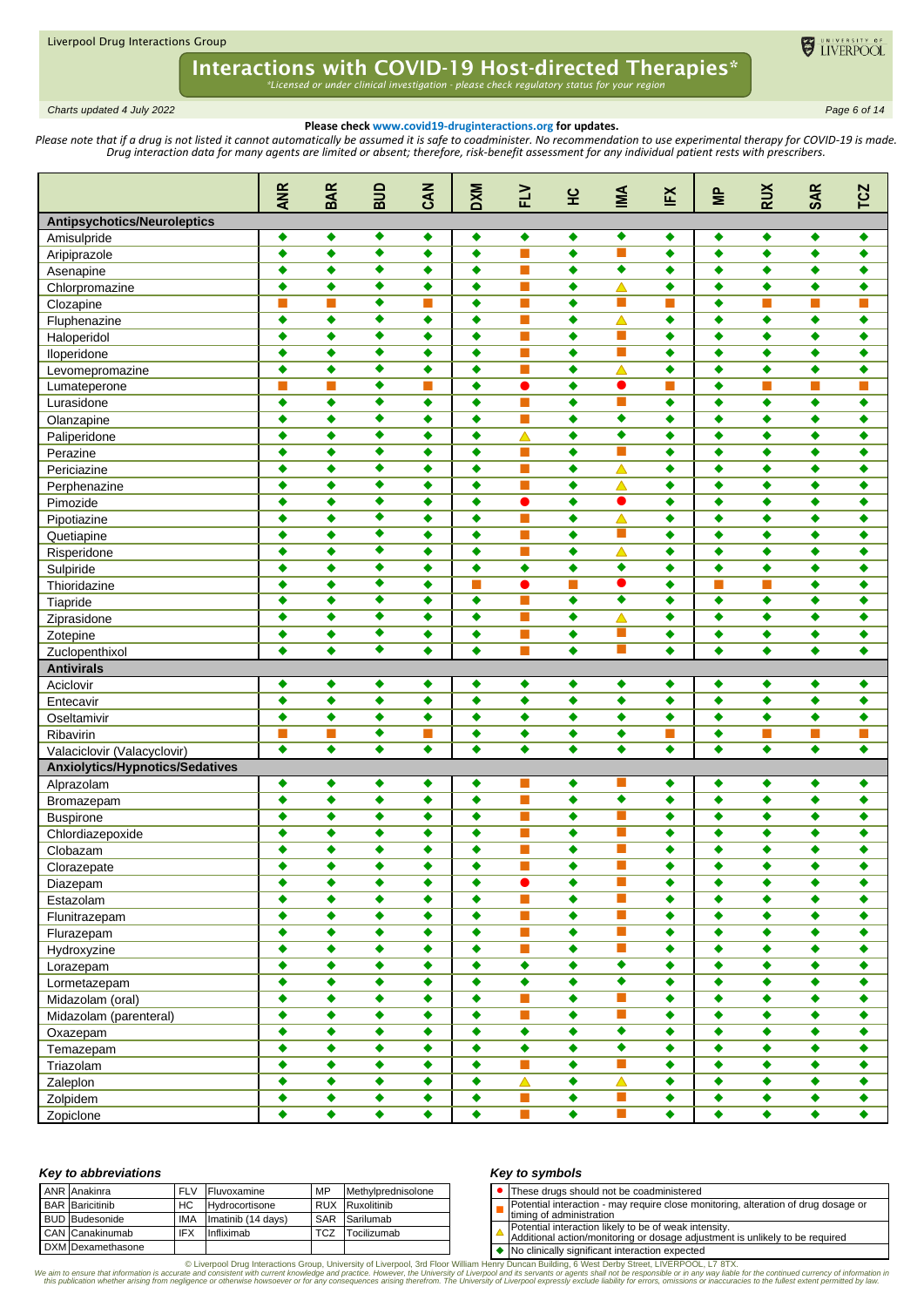

*Charts updated 4 July 2022 Page 6 of 14*

## **Please check www.covid19-druginteractions.org for updates.**

Please note that if a drug is not listed it cannot automatically be assumed it is safe to coadminister. No recommendation to use experimental therapy for COVID-19 is made. *Drug interaction data for many agents are limited or absent; therefore, risk-benefit assessment for any individual patient rests with prescribers.* 

|                                        | <b>ANR</b>           | <b>BAR</b>           | ana                  | CAN                  | <b>DXM</b>           | FLV                       | 잎                    | IMA                         | EX                   | $\geq$                    | <b>RUX</b>           | <b>SAR</b>           | <b>TCZ</b>                |
|----------------------------------------|----------------------|----------------------|----------------------|----------------------|----------------------|---------------------------|----------------------|-----------------------------|----------------------|---------------------------|----------------------|----------------------|---------------------------|
| <b>Antipsychotics/Neuroleptics</b>     |                      |                      |                      |                      |                      |                           |                      |                             |                      |                           |                      |                      |                           |
| Amisulpride                            | ٠                    | ٠                    | ٠                    | ٠                    | ٠                    | ٠                         | ٠                    | ٠                           | ٠                    | ٠                         | ٠                    | ٠                    | ٠                         |
| Aripiprazole                           | $\blacklozenge$      | ٠                    | ٠                    | ٠                    | $\bullet$            | П                         | $\bullet$            | П                           | ٠                    | ٠                         | ٠                    | ٠                    | ٠                         |
| Asenapine                              | ٠                    | ٠                    | ٠                    | ٠                    | ٠                    | ı.                        | ٠                    | ٠                           | ٠                    | ٠                         | ٠                    | ٠                    | ٠                         |
| Chlorpromazine                         | $\bullet$            | ٠                    | ٠                    | ٠                    | ٠                    | П                         | ٠                    | Δ                           | ٠                    | ٠                         | ٠                    | ٠                    | ٠                         |
| Clozapine                              | п                    | П                    | ٠                    | п                    | ٠                    | П                         | $\ddot{\bullet}$     | m.                          | n.                   | ٠                         | П                    | m.                   | ×                         |
| Fluphenazine                           | $\blacklozenge$      | ٠                    | ۰                    | ٠                    | ٠                    | $\sim$                    | ٠                    | $\blacktriangle$            | ٠                    | ٠                         | ٠                    | ٠                    | ٠                         |
| Haloperidol                            | ٠                    | ٠                    | ٠                    | ٠                    | ٠                    | П                         | ٠                    | ш                           | ٠                    | ٠                         | ٠                    | ٠                    | ٠                         |
| Iloperidone                            | ٠                    | ٠                    | ۰                    | ٠                    | ٠                    | П                         | ٠                    | П                           | ٠                    | ٠                         | ٠                    | ٠                    | ٠                         |
| Levomepromazine                        | ٠                    | ٠                    | ۰                    | ٠                    | ٠                    | П                         | ٠                    | $\blacktriangle$            | ٠                    | ٠                         | ٠                    | ٠                    | ٠                         |
| Lumateperone                           | П                    |                      | ٠                    | П                    | ٠                    | $\bullet$                 | ٠                    | $\bullet$                   | п                    | ٠                         | П                    | ш                    | П                         |
| Lurasidone                             | $\bullet$            | ٠                    | ٠                    | ٠                    | $\bullet$            | П                         | ٠                    | П                           | ٠                    | ٠                         | ٠                    | ٠                    | ٠                         |
| Olanzapine                             | ٠                    | ٠                    | ٠                    | ٠                    | ٠                    | П                         | ٠                    | ٠                           | ٠                    | ٠                         | ٠                    | ٠                    | ٠                         |
| Paliperidone                           | $\bullet$            | ٠                    | ٠                    | ٠                    | ٠                    | Δ                         | ٠                    | ٠                           | ٠                    | ٠                         | ٠                    | ٠                    | ٠                         |
| Perazine                               | ٠                    | ٠                    | ٠                    | ٠                    | ٠                    | П                         | ٠                    | П                           | ٠                    | ٠                         | ٠                    | ٠                    | ٠                         |
| Periciazine                            | $\bullet$            | ٠                    | ۰                    | ٠                    | ٠                    | П                         | ٠                    | △                           | ٠                    | ٠                         | ٠                    | ٠                    | ٠                         |
| Perphenazine                           | ٠                    | ٠                    | ٠                    | ٠                    | ٠                    | П                         | ٠                    | △                           | ٠                    | ٠                         | ٠                    | ٠                    | ٠                         |
| Pimozide                               | ٠                    | ٠                    | ۰                    | ٠                    | ٠                    | ●                         | $\bullet$            | $\bullet$                   | ٠                    | ٠                         | ٠                    | ٠                    | ٠                         |
| Pipotiazine                            | ٠                    | ٠                    | $\bullet$            | ٠                    | ٠                    | П                         | ٠                    | $\blacktriangle$            | ٠                    | ٠                         | ٠                    | ٠                    | ٠                         |
| Quetiapine                             | ٠                    | ٠                    | $\overline{\bullet}$ | ٠                    | ٠                    |                           | ٠                    | m.                          | ٠                    | ٠                         | ٠                    | ٠                    | ٠                         |
| Risperidone                            | ٠                    | ٠                    | ٠                    | ٠                    | ٠                    | П                         | ٠                    | $\blacktriangle$            | ٠                    | ٠                         | ٠                    | ٠                    | ٠                         |
| Sulpiride                              | ٠                    | ٠                    | ٠                    | ٠                    | ٠                    | ٠                         | ٠                    | ٠                           | ٠                    | ٠                         | ٠                    | ٠                    | ٠                         |
| Thioridazine                           | ٠                    | ٠                    | ٠                    | ٠                    |                      | ●                         | П                    | ●                           | ٠                    | П                         | П                    | ٠                    | ٠                         |
| Tiapride                               | ٠                    | ٠                    | ٠                    | ٠                    | ٠                    | П                         | ٠                    | ٠                           | ٠                    | ٠                         | ٠                    | ٠                    | ٠                         |
| Ziprasidone                            | $\bullet$            | $\bullet$            | $\overline{\bullet}$ | ٠                    | $\bullet$            | П                         | ٠                    | Δ                           | ٠                    | ٠                         | ٠                    | ٠                    | ٠                         |
| Zotepine                               | ٠                    | ٠                    | ٠                    | ٠                    | ٠                    | П                         | ٠                    | ш                           | ٠                    | ٠                         | ٠                    | ٠                    | ٠                         |
| Zuclopenthixol                         | $\bullet$            | $\bullet$            | $\overline{\bullet}$ | ٠                    | ٠                    |                           | $\bullet$            | П                           | ٠                    | $\bullet$                 | ٠                    | ٠                    | ٠                         |
| <b>Antivirals</b>                      |                      |                      |                      |                      |                      |                           |                      |                             |                      |                           |                      |                      |                           |
| Aciclovir                              | ٠                    | ٠                    | ٠                    | ٠                    | ٠                    | ٠                         | ٠                    | ٠                           | ٠                    | ٠                         | ٠                    | ٠                    | ٠                         |
| Entecavir                              | ٠                    | ٠                    | ۰                    | ٠                    | $\bullet$            | ٠                         | ٠                    | ٠                           | ٠                    | ٠                         | ٠                    | ٠                    | ٠                         |
| Oseltamivir                            | ٠                    | ٠                    | ٠                    | ٠                    | ٠                    | ٠                         | ٠                    | ٠                           | ٠                    | ٠                         | ٠                    | ٠                    | ٠                         |
| Ribavirin                              | П                    | П                    | ٠                    | П                    | ٠                    | ٠                         | ٠                    | ٠                           | ×                    | ٠                         | П                    | П                    | ×                         |
| Valaciclovir (Valacyclovir)            | $\overline{\bullet}$ | $\overline{\bullet}$ | $\overline{\bullet}$ | $\overline{\bullet}$ | $\overline{\bullet}$ | $\overline{\bullet}$      | $\overline{\bullet}$ | $\overline{\bullet}$        | $\overline{\bullet}$ | $\overline{\bullet}$      | $\overline{\bullet}$ | $\overline{\bullet}$ | $\overline{\bullet}$      |
| <b>Anxiolytics/Hypnotics/Sedatives</b> |                      |                      |                      |                      |                      |                           |                      |                             |                      |                           |                      |                      |                           |
| Alprazolam                             | ٠                    | ٠                    | ٠                    | ٠                    | ٠                    |                           | ٠                    |                             | ٠                    | ٠                         | ٠                    | ٠                    | ٠                         |
| Bromazepam                             | $\ddot{\bullet}$     | $\blacklozenge$      | ٠                    | ٠                    | ٠                    | П                         | ٠                    | $\overline{\bullet}$        | ٠                    | ٠                         | ٠                    | ٠                    | ٠                         |
| <b>Buspirone</b>                       | ٠                    | ٠                    | $\bullet$            | ٠                    | ٠                    | П                         | ٠                    | П                           | ٠                    | ٠                         | ٠                    | ٠                    | ٠                         |
| Chlordiazepoxide                       | ٠                    | ٠                    | ٠                    | ٠                    | ٠                    | $\blacksquare$            | ٠                    | П                           | ٠                    | ٠                         | ٠                    | ٠                    | ٠                         |
| Clobazam                               | ٠                    | ٠                    | ٠                    | ٠                    | ٠                    | П                         | ٠                    | П                           | ٠                    | ٠                         | $\bullet$            | ٠                    | ٠                         |
|                                        | ٠                    | ٠                    | ٠                    | ٠                    | ٠                    |                           | ٠                    |                             | ٠                    |                           | ٠                    | ٠                    | ٠                         |
| Clorazepate                            | $\overline{\bullet}$ | $\overline{\bullet}$ | $\overline{\bullet}$ | $\overline{\bullet}$ | $\overline{\bullet}$ | $\bullet$                 | $\overline{\bullet}$ | П                           | $\overline{\bullet}$ | ٠<br>$\overline{\bullet}$ | $\overline{\bullet}$ | $\overline{\bullet}$ | $\overline{\bullet}$      |
| Diazepam                               | ۰                    | ٠                    | $\bullet$            | ٠                    | $\bullet$            | П                         | ٠                    | П                           | ٠                    | ٠                         | $\bullet$            | ٠                    | ٠                         |
| Estazolam                              | $\bullet$            | ۰                    | ۰                    | ٠                    | $\bullet$            | П                         | $\bullet$            | П                           | ٠                    | ٠                         | ٠                    | $\bullet$            | ۰                         |
| Flunitrazepam                          | ٠                    | ٠                    | ۰                    | ٠                    | ٠                    | <b>The State</b>          | ٠                    | T.                          | ٠                    | ٠                         | ٠                    | ۰                    | ٠                         |
| Flurazepam                             | ٠                    | $\bullet$            |                      |                      |                      | П                         | ٠                    | $\overline{\phantom{a}}$    | ٠                    | ٠                         |                      |                      |                           |
| Hydroxyzine                            |                      |                      | ۰                    | ٠                    | ٠                    |                           |                      | $\overline{\bullet}$        |                      |                           | ٠                    | ۰                    | ٠<br>$\overline{\bullet}$ |
| Lorazepam                              | $\bullet$            | $\bullet$            | $\blacklozenge$      | ٠                    | $\bullet$            | $\bullet$                 | $\bullet$            |                             | ۰                    | ٠                         | $\blacklozenge$      | ۰                    |                           |
| Lormetazepam                           | $\bullet$            | $\bullet$            | $\blacklozenge$      | ٠                    | $\bullet$            | $\bullet$                 | $\ddot{\bullet}$     | $\overline{\bullet}$<br>П   | ٠                    | $\bullet$                 | ٠                    | $\bullet$            | ۰                         |
| Midazolam (oral)                       | ٠                    | ٠                    | $\blacklozenge$      | ٠                    | $\overline{\bullet}$ | П                         | ٠                    |                             | ٠                    | ٠                         | $\blacklozenge$      | ۰                    | ۰                         |
| Midazolam (parenteral)                 | ٠                    | ٠                    | ۰                    | ٠                    | ٠                    | П                         | ٠                    | П                           | ٠                    | ٠                         | ۰                    | ۰                    | ۰                         |
| Oxazepam                               | $\bullet$            | $\bullet$            | $\bullet$            | ٠                    | ٠                    | ٠                         | $\bullet$            | ۰                           | ۰                    | ٠                         | ۰                    | ۰                    | ۰                         |
| Temazepam                              | $\bullet$            | $\bullet$            | $\bullet$            | ٠                    | $\bullet$            | $\bullet$                 | ٠                    | $\overline{\bullet}$        | ٠                    | ۰                         | $\bullet$            | ۰                    | ٠                         |
| Triazolam                              | $\bullet$            | $\bullet$            | $\overline{\bullet}$ | $\bullet$            | $\overline{\bullet}$ | П                         | $\bullet$            | П                           | $\blacklozenge$      | $\blacklozenge$           | $\overline{\bullet}$ | $\bullet$            | $\blacklozenge$           |
| Zaleplon                               | ٠                    | ٠                    | ۰                    | ٠                    | ٠                    | $\triangle$               | ٠                    | $\triangle$                 | ٠                    | ٠                         | ٠                    | ٠                    | ۰                         |
| Zolpidem                               | ۰                    | ۰                    | ۰                    | ٠                    | ٠                    | П                         | ٠                    | $\mathcal{L}_{\mathcal{A}}$ | ۰                    | ٠                         | $\blacklozenge$      | ۰                    | $\blacklozenge$           |
| Zopiclone                              | $\bullet$            | $\bullet$            | $\blacklozenge$      | ٠                    | $\bullet$            | $\overline{\mathbb{R}^n}$ | $\bullet$            | $\mathcal{C}$               | ۰                    | $\bullet$                 | $\blacklozenge$      | $\bullet$            | $\blacklozenge$           |

### *Key to abbreviations*

|  | ANR Anakinra           | <b>FLV</b> | Fluvoxamine            | MP  | Methylprednisolone     |
|--|------------------------|------------|------------------------|-----|------------------------|
|  | <b>BAR</b> Baricitinib | HC.        | Hydrocortisone         |     | <b>RUX</b> Ruxolitinib |
|  | <b>BUD</b> Budesonide  |            | IMA Imatinib (14 days) |     | SAR Sarilumab          |
|  | CAN Canakinumab        | <b>IFX</b> | Infliximab             | TCZ | Tocilizumab            |
|  | DXM Dexamethasone      |            |                        |     |                        |

#### *Key to symbols*

| • These drugs should not be coadministered                                         |
|------------------------------------------------------------------------------------|
| Potential interaction - may require close monitoring, alteration of drug dosage or |

timing of administration

 $\Delta$ 

Potential interaction likely to be of weak intensity. Additional action/monitoring or dosage adjustment is unlikely to be required

◆ No clinically significant interaction expected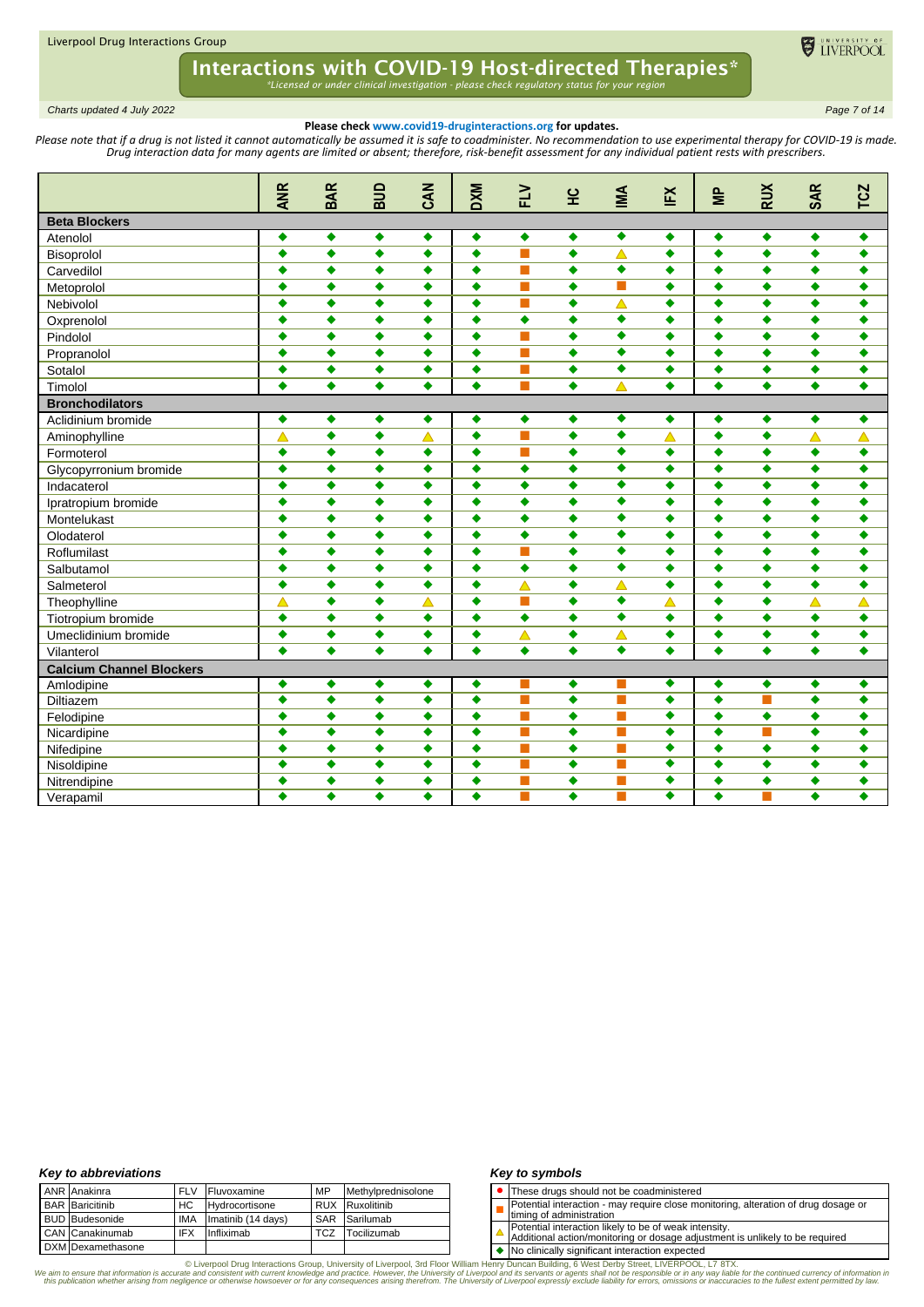

*Charts updated 4 July 2022 Page 7 of 14*

### **Please check www.covid19-druginteractions.org for updates.**

Please note that if a drug is not listed it cannot automatically be assumed it is safe to coadminister. No recommendation to use experimental therapy for COVID-19 is made. *Drug interaction data for many agents are limited or absent; therefore, risk-benefit assessment for any individual patient rests with prescribers.* 

|                                 | <b>ANR</b>       | <b>BAR</b>       | ana              | <b>ZAN</b>       | <b>DXM</b>       | $\geq$                      | 잎                    | MA                   | ĬΞ                   | $\epsilon$                   | <b>RUX</b>           | <b>SAR</b>                  | $\overline{c}$   |
|---------------------------------|------------------|------------------|------------------|------------------|------------------|-----------------------------|----------------------|----------------------|----------------------|------------------------------|----------------------|-----------------------------|------------------|
|                                 |                  |                  |                  |                  |                  |                             |                      |                      |                      |                              |                      |                             | ⊢                |
| <b>Beta Blockers</b>            |                  |                  |                  |                  |                  |                             |                      | $\blacklozenge$      |                      |                              |                      |                             |                  |
| Atenolol                        | ٠                | ٠                | $\bullet$        | ۰                | ۰                | $\blacklozenge$<br><b>T</b> | $\blacklozenge$      |                      | $\blacklozenge$      | $\bullet$<br>$\blacklozenge$ | $\blacklozenge$      | $\blacklozenge$             | $\bullet$        |
| Bisoprolol                      | $\bullet$        | $\bullet$        | $\bullet$        | ٠                | $\bullet$        | <b>The State</b>            | $\bullet$            | $\blacktriangle$     | $\bullet$            |                              | $\bullet$            | $\bullet$                   | $\bullet$        |
| Carvedilol                      | $\bullet$        | $\bullet$        | $\bullet$        | ٠                | $\bullet$        |                             | $\bullet$            | ٠<br>П               | $\bullet$            | $\bullet$                    | $\bullet$            | $\bullet$                   | $\bullet$        |
| Metoprolol                      | ٠                | $\bullet$        | $\blacklozenge$  | ٠                | $\bullet$        | <b>T</b>                    | $\bullet$            |                      | $\bullet$            | $\bullet$                    | $\bullet$            | ٠                           | $\bullet$        |
| Nebivolol                       | ٠                | $\bullet$        | ٠                | ٠                | $\bullet$        | <b>The State</b>            | $\bullet$            | $\blacktriangle$     | $\bullet$            | $\bullet$                    | ٠                    | ٠                           | ٠                |
| Oxprenolol                      | ٠                | $\bullet$        | ٠                | ٠                | $\bullet$        | $\bullet$                   | $\bullet$            | ٠                    | $\bullet$            | $\bullet$                    | $\bullet$            | $\bullet$                   | ٠                |
| Pindolol                        | ٠                | $\bullet$        | ٠                | ٠                | $\bullet$        | <b>COL</b>                  | $\bullet$            | $\overline{\bullet}$ | ٠                    | $\bullet$                    | ٠                    | $\ddot{\bullet}$            | ٠                |
| Propranolol                     | ٠                | $\bullet$        | $\ddot{\bullet}$ | ٠                | $\bullet$        | <b>Tale</b>                 | $\bullet$            | ٠                    | $\bullet$            | $\bullet$                    | ٠                    | $\ddot{\bullet}$            | $\bullet$        |
| Sotalol                         | $\ddot{\bullet}$ | $\bullet$        | $\ddot{\bullet}$ | ٠                | $\bullet$        | П                           | $\bullet$            | $\overline{\bullet}$ | $\bullet$            | $\bullet$                    | $\bullet$            | $\bullet$                   | $\bullet$        |
| Timolol                         | $\bullet$        | $\bullet$        | $\bullet$        | ٠                | $\bullet$        | <b>The State</b>            | $\overline{\bullet}$ | $\triangle$          | $\overline{\bullet}$ | $\overline{\bullet}$         | $\overline{\bullet}$ | $\overline{\bullet}$        | $\bullet$        |
| <b>Bronchodilators</b>          |                  |                  |                  |                  |                  |                             |                      |                      |                      |                              |                      |                             |                  |
| Aclidinium bromide              | ٠                | ٠                | $\bullet$        | ۰                | $\bullet$        | $\bullet$                   | ۰                    | ٠                    | $\blacklozenge$      | ٠                            | $\blacklozenge$      | $\bullet$                   | $\bullet$        |
| Aminophylline                   | Δ                | $\bullet$        | $\bullet$        | $\triangle$      | $\bullet$        | <b>T</b>                    | $\bullet$            | $\bullet$            | $\blacktriangle$     | $\bullet$                    | $\bullet$            | $\overline{\blacktriangle}$ | Δ                |
| Formoterol                      | ٠                | ٠                | ٠                | ٠                | $\bullet$        | <b>The State</b>            | ٠                    | ٠                    | ٠                    | $\bullet$                    | ٠                    | ٠                           | ٠                |
| Glycopyrronium bromide          | ٠                | $\bullet$        | ٠                | ٠                | $\bullet$        | $\bullet$                   | ٠                    | $\overline{\bullet}$ | ٠                    | $\bullet$                    | ۰                    | ٠                           | ٠                |
| Indacaterol                     | ٠                | $\bullet$        | ٠                | ٠                | ٠                | ٠                           | $\bullet$            | ٠                    | ٠                    | ٠                            | $\bullet$            | $\bullet$                   | ٠                |
| Ipratropium bromide             | ٠                | ٠                | ٠                | ٠                | $\bullet$        | ٠                           | $\bullet$            | ٠                    | ٠                    | ٠                            | $\bullet$            | $\bullet$                   | $\bullet$        |
| Montelukast                     | $\bullet$        | $\bullet$        | $\ddot{\bullet}$ | ٠                | $\bullet$        | $\bullet$                   | $\bullet$            | $\overline{\bullet}$ | ٠                    | $\bullet$                    | $\bullet$            | ٠                           | ٠                |
| Olodaterol                      | $\bullet$        | $\ddot{\bullet}$ | $\ddot{\bullet}$ | ٠                | $\bullet$        | $\bullet$                   | $\bullet$            | $\overline{\bullet}$ | $\bullet$            | $\bullet$                    | $\bullet$            | $\bullet$                   | $\ddot{\bullet}$ |
| Roflumilast                     | $\bullet$        | $\bullet$        | $\bullet$        | ٠                | $\bullet$        | П                           | $\bullet$            | $\overline{\bullet}$ | ٠                    | $\bullet$                    | $\bullet$            | $\bullet$                   | $\bullet$        |
| Salbutamol                      | $\bullet$        | $\ddot{\bullet}$ | $\ddot{\bullet}$ | $\bullet$        | $\ddot{\bullet}$ | $\ddot{\bullet}$            | $\ddot{\bullet}$     | $\overline{\bullet}$ | $\bullet$            | $\ddot{\bullet}$             | $\bullet$            | $\ddot{\bullet}$            | $\ddot{\bullet}$ |
| Salmeterol                      | ٠                | $\bullet$        | ٠                | ٠                | $\bullet$        | Δ                           | ٠                    | Δ                    | ٠                    | $\bullet$                    | ۰                    | ٠                           | ٠                |
| Theophylline                    | Δ                | $\bullet$        | ٠                | $\blacktriangle$ | $\bullet$        | <b>The State</b>            | $\bullet$            | $\overline{\bullet}$ | Δ                    | $\bullet$                    | $\bullet$            | $\blacktriangle$            | Δ                |
| Tiotropium bromide              | ٠                | $\bullet$        | ٠                | ٠                | ٠                | $\bullet$                   | ٠                    | ٠                    | $\bullet$            | $\bullet$                    | $\bullet$            | ٠                           | ٠                |
| Umeclidinium bromide            | ٠                | $\bullet$        | $\ddot{\bullet}$ | ٠                | $\bullet$        | $\triangle$                 | ۰                    | $\blacktriangle$     | ٠                    | $\bullet$                    | $\bullet$            | $\bullet$                   | ٠                |
| Vilanterol                      | $\bullet$        | $\ddot{\bullet}$ | $\ddot{\bullet}$ | $\ddot{\bullet}$ | $\bullet$        | $\bullet$                   | $\bullet$            | $\overline{\bullet}$ | $\ddot{\bullet}$     | $\bullet$                    | $\ddot{\bullet}$     | $\ddot{\bullet}$            | $\bullet$        |
| <b>Calcium Channel Blockers</b> |                  |                  |                  |                  |                  |                             |                      |                      |                      |                              |                      |                             |                  |
| Amlodipine                      | ٠                | ٠                | ٠                | ٠                | $\bullet$        |                             | ۰                    |                      | $\bullet$            | $\bullet$                    | $\blacklozenge$      | ٠                           | ۰                |
| <b>Diltiazem</b>                | $\bullet$        | $\bullet$        | $\bullet$        | ٠                | $\bullet$        | <b>T</b>                    | $\bullet$            | П                    | $\overline{\bullet}$ | $\bullet$                    | п                    | $\bullet$                   | $\bullet$        |
| Felodipine                      | ٠                | ٠                | ٠                | ٠                | ٠                | <b>The State</b>            | ٠                    | m.                   | ٠                    | ٠                            | ٠                    | ٠                           | ٠                |
| Nicardipine                     | ٠                | ٠                | ٠                | ٠                | ٠                | <b>COL</b>                  | ٠                    | m.                   | ٠                    | ٠                            | П                    | ٠                           | ٠                |
| Nifedipine                      | ٠                | $\bullet$        | ٠                | ٠                | ٠                | П                           | $\bullet$            | П                    | ٠                    | $\bullet$                    | $\bullet$            | ٠                           | ٠                |
| Nisoldipine                     | $\bullet$        | $\bullet$        | $\bullet$        | ٠                | $\bullet$        | <b>Tale</b>                 | $\bullet$            | П                    | $\overline{\bullet}$ | $\bullet$                    | $\bullet$            | $\bullet$                   | $\bullet$        |
| Nitrendipine                    | ٠                | $\bullet$        | ٠                | ٠                | ٠                | <b>The State</b>            | $\bullet$            | <b>Tale</b>          | ٠                    | $\bullet$                    | $\bullet$            | $\bullet$                   | ٠                |
| Verapamil                       | ٠                | ٠                | ٠                | ٠                | ٠                |                             | ٠                    | m.                   | ٠                    | ٠                            | П                    | ٠                           | ٠                |

### *Key to abbreviations*

| <b>ANR</b> Anakinra    | <b>FLV</b> | Fluvoxamine        | MP         | Methylprednisolone     |
|------------------------|------------|--------------------|------------|------------------------|
| <b>BAR</b> Baricitinib | HC         | Hydrocortisone     |            | <b>RUX</b> Ruxolitinib |
| <b>BUD</b> Budesonide  | <b>IMA</b> | Imatinib (14 days) | <b>SAR</b> | Sarilumab              |
| CAN Canakinumab        | <b>IFX</b> | Infliximab         | TCZ        | Tocilizumab            |
| DXM Dexamethasone      |            |                    |            |                        |

### *Key to symbols*

- ⚫ These drugs should not be coadministered
- Potential interaction may require close monitoring, alteration of drug dosage or
- П timing of administration
- 
- Potential interaction likely to be of weak intensity. Additional action/monitoring or dosage adjustment is unlikely to be required

◆ No clinically significant interaction expected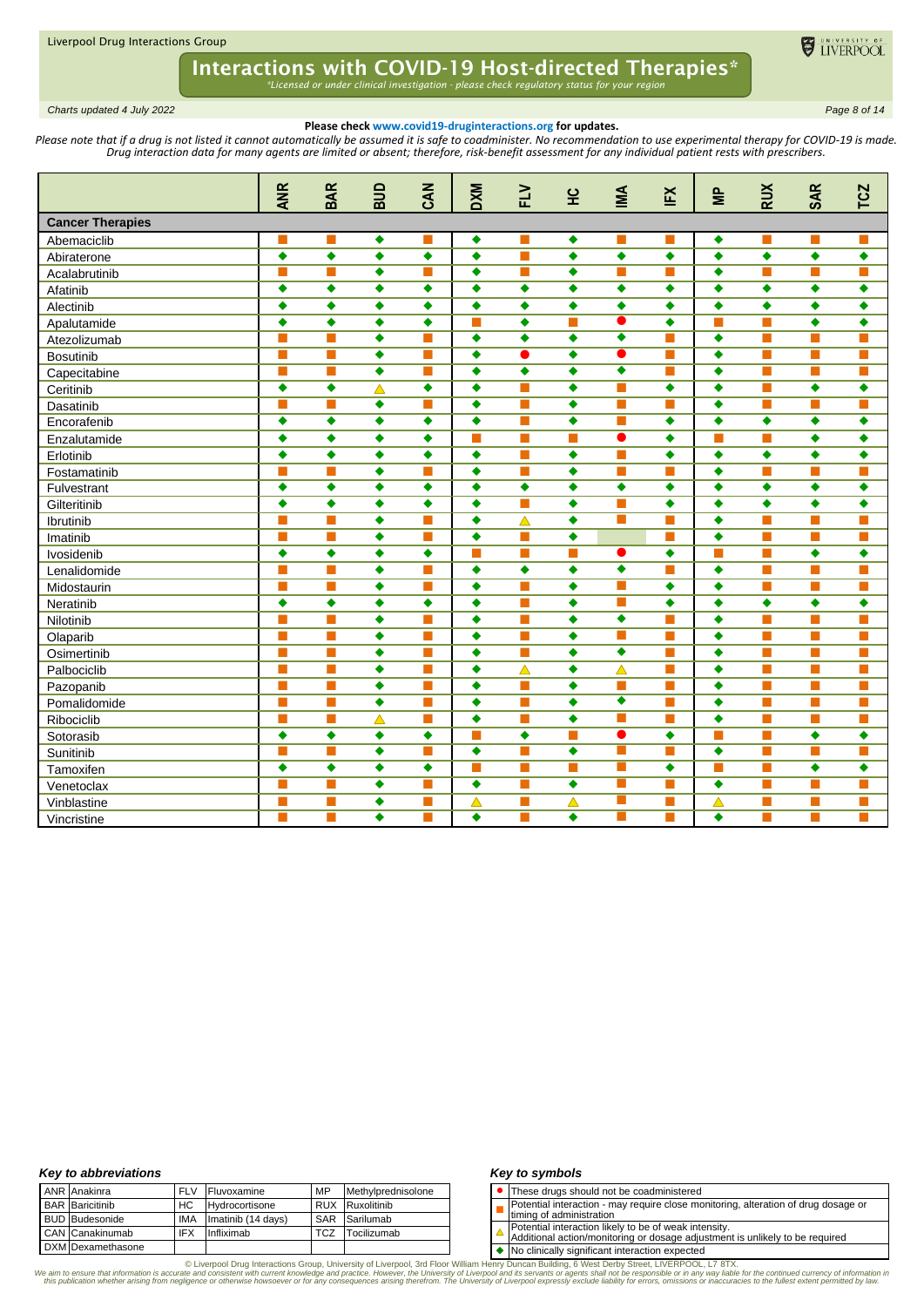

*Charts updated 4 July 2022 Page 8 of 14*

### **Please check www.covid19-druginteractions.org for updates.**

Please note that if a drug is not listed it cannot automatically be assumed it is safe to coadminister. No recommendation to use experimental therapy for COVID-19 is made. *Drug interaction data for many agents are limited or absent; therefore, risk-benefit assessment for any individual patient rests with prescribers.* 

|                         | <b>ANR</b>           | <b>BAR</b>                  | ana              | CAN            | <b>DXM</b>       | EV                | 잎                | MM                   | ĔX        | $\geq$    | <b>RUX</b>     | <b>SAR</b>       | TCZ       |
|-------------------------|----------------------|-----------------------------|------------------|----------------|------------------|-------------------|------------------|----------------------|-----------|-----------|----------------|------------------|-----------|
| <b>Cancer Therapies</b> |                      |                             |                  |                |                  |                   |                  |                      |           |           |                |                  |           |
| Abemaciclib             |                      |                             | ٠                | ш              | ٠                |                   | ۰                |                      |           | ٠         | ш              | ш                | П         |
| Abiraterone             | $\ddot{\bullet}$     | $\bullet$                   | $\bullet$        | $\bullet$      | $\bullet$        | П                 | $\bullet$        | $\ddot{\bullet}$     | $\bullet$ | $\bullet$ | $\bullet$      | $\ddot{\bullet}$ | $\bullet$ |
| Acalabrutinib           |                      | $\mathbb{R}^n$              | $\ddot{\bullet}$ | m.             | $\bullet$        | П                 | $\bullet$        | П                    | п         | $\bullet$ | П              | m,               | m,        |
| Afatinib                | ٠                    | ٠                           | ٠                | ٠              | $\bullet$        | ۰                 | $\bullet$        | $\bullet$            | ٠         | $\bullet$ | $\bullet$      | ٠                | ٠         |
| Alectinib               | ٠                    | ٠                           | ٠                | ٠              | $\bullet$        | $\bullet$         | $\bullet$        | $\bullet$            | ٠         | ٠         | $\bullet$      | $\bullet$        | ٠         |
| Apalutamide             | $\bullet$            | $\bullet$                   | $\bullet$        | $\bullet$      | п                | $\bullet$         | ш                | $\bullet$            | $\bullet$ | П         | П              | $\bullet$        | $\bullet$ |
| Atezolizumab            | П                    | $\mathcal{L}$               | ٠                | m.             | $\blacklozenge$  | $\bullet$         | ٠                | ٠                    | п         | $\bullet$ | П              | m,               | m,        |
| <b>Bosutinib</b>        | П                    | $\sim$                      | ٠                | m.             | ٠                |                   | ٠                | Ο                    | п         | ٠         | m.             | m,               | m,        |
| Capecitabine            | П                    | <b>The State</b>            | ۰                | п              | $\bullet$        | $\bullet$         | $\bullet$        | ٠                    | п         | ٠         | П              | П                | П         |
| Ceritinib               | $\overline{\bullet}$ | $\bullet$                   | $\blacktriangle$ | ٠              | $\bullet$        | П                 | $\bullet$        | П                    | $\bullet$ | $\bullet$ | $\Box$         | $\bullet$        | $\bullet$ |
| Dasatinib               | П                    | $\mathcal{L}_{\mathcal{A}}$ | $\bullet$        | $\blacksquare$ | $\bullet$        | $\blacksquare$    | $\bullet$        | П                    | п         | $\bullet$ | П              | m,               | m,        |
| Encorafenib             | ٠                    | ٠                           | ٠                | ٠              | $\bullet$        | П                 | $\bullet$        | П                    | $\bullet$ | $\bullet$ | $\bullet$      | ٠                | ٠         |
| Enzalutamide            | $\ddot{\bullet}$     | $\bullet$                   | ٠                | $\bullet$      | П                | П                 | П                | $\bullet$            | $\bullet$ | П         | П              | $\ddot{\bullet}$ | $\bullet$ |
| Erlotinib               | ٠                    | $\bullet$                   | $\bullet$        | $\bullet$      | $\bullet$        | П                 | $\bullet$        | П                    | $\bullet$ | $\bullet$ | $\bullet$      | $\bullet$        | $\bullet$ |
| Fostamatinib            | П                    | $\mathcal{L}$               | $\ddot{\bullet}$ | $\blacksquare$ | $\bullet$        | П                 | ٠                | П                    | п         | $\bullet$ | П              | m,               | m,        |
| Fulvestrant             | ٠                    | ٠                           | ٠                | ٠              | $\bullet$        | $\bullet$         | $\bullet$        | $\bullet$            | $\bullet$ | ٠         | $\bullet$      | ٠                | ٠         |
| Gilteritinib            | $\bullet$            | $\bullet$                   | $\ddot{\bullet}$ | ٠              | $\bullet$        |                   | $\bullet$        | П                    | $\bullet$ | $\bullet$ | $\bullet$      | $\bullet$        | ٠         |
| Ibrutinib               | П                    | $\mathcal{L}$               | $\bullet$        | $\blacksquare$ | $\blacklozenge$  | $\triangle$       | $\bullet$        | П                    | m.        | $\bullet$ | П              | п                | П         |
| Imatinib                | г                    | $\sim$                      | ٠                | $\sim$         | $\bullet$        | <b>The Second</b> | $\bullet$        |                      | m.        | $\bullet$ | m.             | m,               | m,        |
| Ivosidenib              | $\bullet$            | $\bullet$                   | $\bullet$        | $\bullet$      | п                | П                 | П                | $\bullet$            | $\bullet$ | П         | П              | ٠                | ٠         |
| Lenalidomide            | <b>The State</b>     | <b>The State</b>            | ٠                | m.             | $\bullet$        | $\bullet$         | $\bullet$        | $\overline{\bullet}$ | П         | $\bullet$ | П              | П                | п         |
| Midostaurin             | П                    | <b>The State</b>            | ٠                | m.             | $\bullet$        | П                 | $\bullet$        | П                    | $\bullet$ | $\bullet$ | П              | m,               | п         |
| Neratinib               | ٠                    | ٠                           | ٠                | ٠              | ٠                | П                 | ٠                | $\blacksquare$       | ٠         | ٠         | ٠              | ٠                | ٠         |
| Nilotinib               |                      |                             | ٠                | п              | $\bullet$        | П                 | $\bullet$        | ۰                    | ш         | $\bullet$ | П              | m.               | П         |
| Olaparib                | П                    | m.                          | $\bullet$        | П              | $\bullet$        | П                 | $\bullet$        | П                    | П         | $\bullet$ | $\blacksquare$ | m,               | П         |
| Osimertinib             | П                    | <b>The Street</b>           | ٠                | $\blacksquare$ | $\bullet$        | $\blacksquare$    | $\bullet$        | $\bullet$            | п         | $\bullet$ | П              | m,               | П         |
| Palbociclib             | п                    | <b>The State</b>            | ٠                | П              | $\bullet$        | $\triangle$       | $\bullet$        | $\blacktriangle$     | п         | ٠         | П              | m,               | П         |
| Pazopanib               |                      | <b>The State</b>            | ٠                | П              | $\bullet$        | П                 | $\bullet$        | П                    | П         | $\bullet$ | П              | П                | П         |
| Pomalidomide            | m.                   | $\blacksquare$              | $\ddot{\bullet}$ | П              | $\bullet$        | П                 | $\bullet$        | ۰                    | m.        | $\bullet$ | П              | п                | п         |
| Ribociclib              | m.                   | <b>The Second</b>           | $\blacktriangle$ | $\blacksquare$ | $\bullet$        | П                 | $\bullet$        | <b>The State</b>     | п         | $\bullet$ | П              | п                | п         |
| Sotorasib               | ٠                    | ٠                           | ٠                | ٠              | т                | $\bullet$         | П                | $\bullet$            | ٠         | П         | П              | ٠                | ٠         |
| Sunitinib               | <b>The State</b>     | ш                           | $\ddot{\bullet}$ | ×              | $\bullet$        | П                 | $\bullet$        | m.                   | п         | $\bullet$ | П              | П                | П         |
| Tamoxifen               | ٠                    | $\bullet$                   | $\bullet$        | ٠              | П                | $\blacksquare$    | $\blacksquare$   | П                    | $\bullet$ | П         | $\Box$         | ٠                | ٠         |
| Venetoclax              | П                    | <b>The State</b>            | ٠                | m.             | ٠                | <b>The Second</b> | $\bullet$        | $\blacksquare$       | п         | ٠         | П              | m,               | m,        |
| Vinblastine             | П                    | П                           | ٠                | ш              | $\blacktriangle$ | П                 | $\blacktriangle$ | П                    | п         | Δ         | П              | m,               | П         |
| Vincristine             |                      |                             | ٠                | m.             | $\bullet$        |                   | $\bullet$        | <b>The State</b>     | ×         | $\bullet$ | П              | ▅                | т         |

### *Key to abbreviations*

| ANR Anakinra           | <b>FLV</b> | Fluvoxamine        | MP  | Methylprednisolone |
|------------------------|------------|--------------------|-----|--------------------|
| <b>BAR</b> Baricitinib | HC         | Hydrocortisone     |     | RUX Ruxolitinib    |
| <b>BUD</b> Budesonide  | <b>IMA</b> | Imatinib (14 days) |     | SAR Sarilumab      |
| CAN Canakinumab        | <b>IFX</b> | Infliximab         | TCZ | Tocilizumab        |
| DXM Dexamethasone      |            |                    |     |                    |

### *Key to symbols*

- ⚫ These drugs should not be coadministered
- П Potential interaction - may require close monitoring, alteration of drug dosage or
- timing of administration
- Potential interaction likely to be of weak intensity. Additional action/monitoring or dosage adjustment is unlikely to be required
- 

◆ No clinically significant interaction expected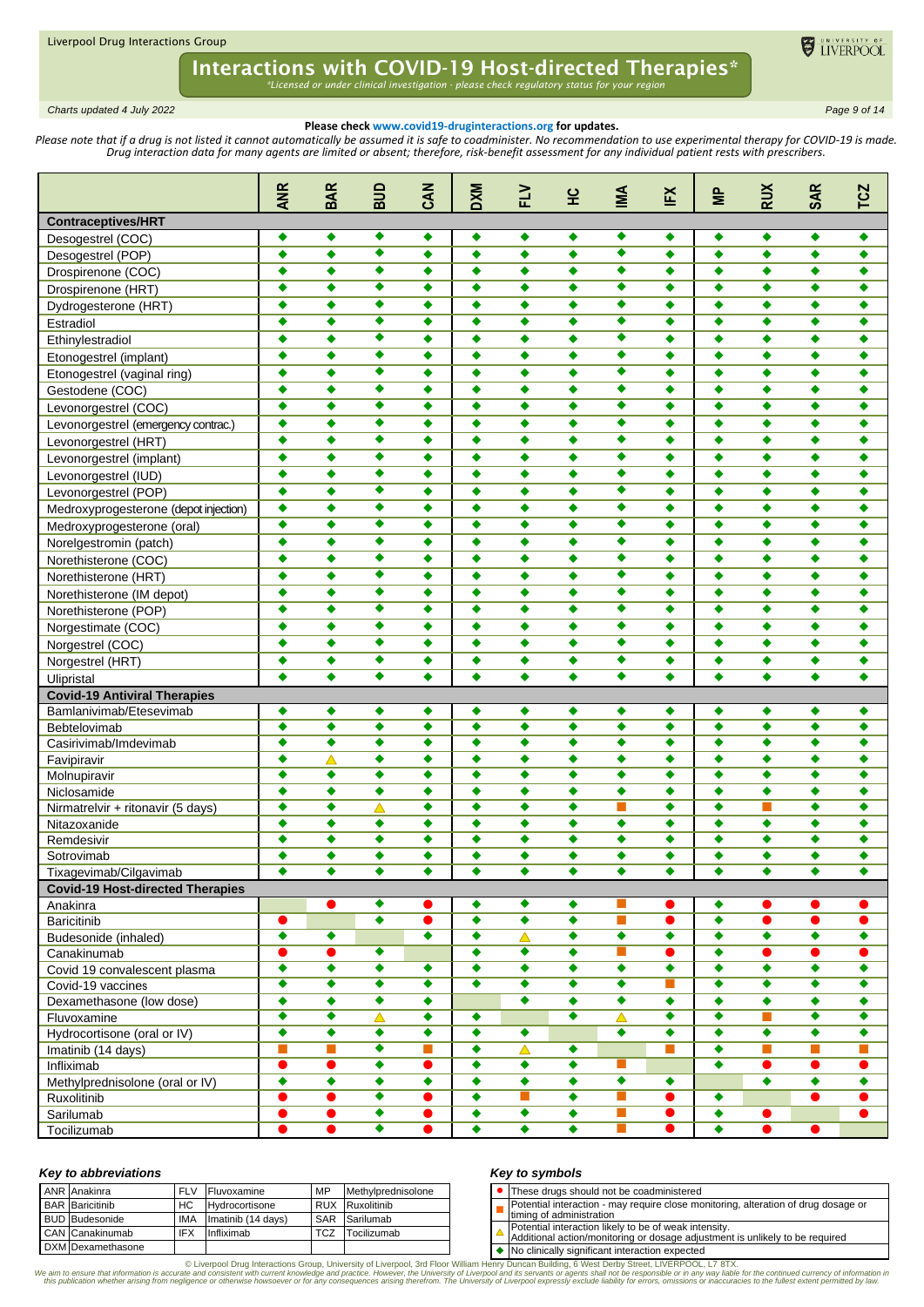

*Charts updated 4 July 2022 Page 9 of 14*

## **Please check www.covid19-druginteractions.org for updates.**

Please note that if a drug is not listed it cannot automatically be assumed it is safe to coadminister. No recommendation to use experimental therapy for COVID-19 is made. *Drug interaction data for many agents are limited or absent; therefore, risk-benefit assessment for any individual patient rests with prescribers.* 

|                                         | <b>ANR</b>           | <b>BAR</b>           | ana                  | CAN                  | <b>DXM</b>           | <b>NT</b>            | 오                    | МA                   | ĔX                   | $\geq$               | <b>RUX</b>           | <b>SAR</b>           | <b>TCZ</b>           |
|-----------------------------------------|----------------------|----------------------|----------------------|----------------------|----------------------|----------------------|----------------------|----------------------|----------------------|----------------------|----------------------|----------------------|----------------------|
| <b>Contraceptives/HRT</b>               |                      |                      |                      |                      |                      |                      |                      |                      |                      |                      |                      |                      |                      |
| Desogestrel (COC)                       | ٠                    | ٠                    | ٠                    | ٠                    | ۰                    | ٠                    | ٠                    | ٠                    | ٠                    | ٠                    | ٠                    | ٠                    | ٠                    |
| Desogestrel (POP)                       | ٠                    | ٠                    | $\overline{\bullet}$ | ٠                    | $\bullet$            | ٠                    | ٠                    | ۰                    | $\bullet$            | $\bullet$            | $\bullet$            | ٠                    | ٠                    |
| Drospirenone (COC)                      | ٠                    | ٠                    | ٠                    | ٠                    | ٠                    | ٠                    | ٠                    | ٠                    | ٠                    | ٠                    | ٠                    | ٠                    | ٠                    |
| Drospirenone (HRT)                      | ٠                    | ٠                    | ٠                    | ٠                    | ٠                    | ٠                    | ٠                    | ٠                    | ٠                    | ٠                    | ٠                    | ٠                    | ٠                    |
| Dydrogesterone (HRT)                    | ٠                    | ٠                    | ٠                    | ٠                    | $\bullet$            | $\bullet$            | $\bullet$            | ٠                    | ٠                    | ٠                    | $\bullet$            | $\bullet$            | ٠                    |
| Estradiol                               | ٠                    | ٠                    | ٠                    | ٠                    | ٠                    | ٠                    | ٠                    | ٠                    | ٠                    | $\bullet$            | $\bullet$            | $\bullet$            | ٠                    |
| Ethinylestradiol                        | ٠                    | ٠                    | ٠                    | ٠                    | $\bullet$            | ٠                    | ٠                    | ٠                    | ٠                    | $\bullet$            | ۰                    | ٠                    | ٠                    |
| Etonogestrel (implant)                  | ٠                    | ٠                    | ٠                    | ٠                    | $\bullet$            | ٠                    | ٠                    | ٠                    | ٠                    | ٠                    | ٠                    | ٠                    | ٠                    |
| Etonogestrel (vaginal ring)             | ٠                    | ٠                    | ٠                    | ٠                    | ٠                    | ٠                    | ٠                    | ٠                    | ٠                    | ٠                    | ٠                    | ٠                    | ٠                    |
| Gestodene (COC)                         | ٠                    | ٠                    | ۰                    | ٠                    | $\bullet$            | ٠                    | ٠                    | ٠                    | ٠                    | ٠                    | ۰                    | $\bullet$            | ٠                    |
| Levonorgestrel (COC)                    | ٠                    | ٠                    | ٠                    | ٠                    | ٠                    | $\bullet$            | $\bullet$            | ٠                    | ٠                    | ٠                    | $\bullet$            | ٠                    | ٠                    |
| Levonorgestrel (emergency contrac.)     | ٠                    | ٠                    | ٠                    | ٠                    | ٠                    | ٠                    | ٠                    | ٠                    | ٠                    | ٠                    | ٠                    | ٠                    | ٠                    |
| Levonorgestrel (HRT)                    | ٠                    | ٠                    | ٠                    | ٠                    | ٠                    | ٠                    | ٠                    | ٠                    | ٠                    | ٠                    | ۰                    | ٠                    | ٠                    |
| Levonorgestrel (implant)                | ٠                    | ٠                    | ٠                    | ٠                    | ٠                    | ٠                    | ٠                    | ٠                    | ٠                    | ٠                    | ٠                    | ٠                    | ٠                    |
| Levonorgestrel (IUD)                    | ٠                    | ٠                    | ٠                    | ٠                    | ٠                    | ٠                    | ٠                    | ٠                    | ٠                    | $\bullet$            | $\bullet$            | ٠                    | ٠                    |
| Levonorgestrel (POP)                    | ٠                    | ٠                    | ٠                    | ٠                    | ٠                    | $\bullet$            | $\bullet$            | ٠                    | ٠                    | $\bullet$            | ۰                    | ٠                    | ٠                    |
|                                         | ٠                    | ٠                    | ٠                    | ٠                    | ٠                    | ٠                    | ٠                    | ٠                    | ٠                    | $\bullet$            | $\bullet$            | $\bullet$            | ٠                    |
| Medroxyprogesterone (depot injection)   | ٠                    | ٠                    | $\overline{\bullet}$ | ٠                    | ٠                    | ۰                    | $\bullet$            | ٠                    | $\bullet$            | ٠                    | ۰                    | ٠                    | ٠                    |
| Medroxyprogesterone (oral)              |                      | ٠                    | ٠                    |                      |                      | ۰                    | ٠                    | ٠                    |                      | ٠                    |                      |                      |                      |
| Norelgestromin (patch)                  | ٠                    |                      |                      | ٠                    | $\bullet$            |                      |                      |                      | ٠                    |                      | ۰                    | ٠                    | ٠                    |
| Norethisterone (COC)                    | ٠                    | ٠                    | ٠                    | ٠                    | ٠                    | ٠                    | ٠                    | ٠                    | ٠                    | ٠                    | $\bullet$            | $\bullet$            | ٠                    |
| Norethisterone (HRT)                    | ٠                    | ٠                    | $\overline{\bullet}$ | ٠                    | $\bullet$            | ٠                    | ٠                    | ٠                    | ٠                    | ٠                    | ۰                    | ٠                    | ٠                    |
| Norethisterone (IM depot)               | ٠                    | ٠                    | ٠                    | ٠                    | $\bullet$            | ۰                    | ٠                    | ٠                    | ٠                    | ٠                    | $\bullet$            | ٠                    | ٠                    |
| Norethisterone (POP)                    | ٠                    | ٠                    | ٠                    | ٠                    | ٠                    | ٠                    | ٠                    | ٠                    | ٠                    | ٠                    | ٠                    | ٠                    | ٠                    |
| Norgestimate (COC)                      | ٠                    | ٠                    | ٠                    | ٠                    | ٠                    | ۰                    | ٠                    | ٠                    | ٠                    | ٠                    | ۰                    | ٠                    | ٠                    |
| Norgestrel (COC)                        | ٠                    | ٠                    | ٠                    | ٠                    | ٠                    | ٠                    | ٠                    | ٠                    | ٠                    | ٠                    | ٠                    | ٠                    | ٠                    |
| Norgestrel (HRT)                        | ٠                    | ٠                    | ٠                    | ٠                    | ٠                    | ٠                    | ٠                    | ٠                    | ٠                    | $\bullet$            | ٠                    | ٠                    | ٠                    |
| Ulipristal                              | ٠                    | ٠                    | ٠                    | ٠                    | $\bullet$            | ۰                    | $\bullet$            | ٠                    | ٠                    | ٠                    | ٠                    | ٠                    | ٠                    |
| <b>Covid-19 Antiviral Therapies</b>     |                      |                      |                      |                      |                      |                      |                      |                      |                      |                      |                      |                      |                      |
| Bamlanivimab/Etesevimab                 | ٠                    | ٠                    | ٠                    | ٠                    | ٠                    | ۰                    | ٠                    | ٠                    | ٠                    | ٠                    | ۰                    | ٠                    | ٠                    |
| Bebtelovimab                            | ٠                    | ٠                    | ٠                    | ٠                    | ٠                    | ٠                    | ٠                    | ٠                    | ٠                    | $\bullet$            | ۰                    | ٠                    | ٠                    |
| Casirivimab/Imdevimab                   | ٠                    | ٠                    | ٠                    | ٠                    | ٠                    | ۰                    | ٠                    | ٠                    | ٠                    | ٠                    | ۰                    | ٠                    | ٠                    |
| Favipiravir                             | ٠                    | $\blacktriangle$     | ٠                    | ٠                    | ٠                    | ٠                    | ٠                    | ٠                    | ٠                    | $\bullet$            | $\bullet$            | $\bullet$            | ٠                    |
| Molnupiravir                            | ٠                    | ٠                    | ٠                    | ٠                    | $\bullet$            | ۰                    | ٠                    | ٠                    | ٠                    | ٠                    | ٠                    | ٠                    | ٠                    |
| Niclosamide                             | ٠                    | ٠                    | ٠                    | ٠                    | ٠                    | ٠                    | ٠                    | ٠                    | ٠                    | ٠                    | ٠                    | ٠                    | ٠                    |
| Nirmatrelvir + ritonavir (5 days)       | ٠                    | ٠                    | $\blacktriangle$     | ٠                    | ٠                    | $\bullet$            | ٠                    | m.                   | ٠                    | $\bullet$            | П                    | ٠                    | ٠                    |
| Nitazoxanide                            | ٠                    | ٠                    | ٠                    | ٠                    | ٠                    | ٠                    | ٠                    | ٠                    | ٠                    | ٠                    | ٠                    | ٠                    | ٠                    |
| Remdesivir                              | ٠                    | ٠                    | ٠                    | ٠                    | ٠                    | ٠                    | ٠                    | ٠                    | ٠                    | ٠                    | ٠                    | ٠                    | ٠                    |
| Sotrovimab                              |                      |                      | ٠                    | ٠                    | ٠                    | ٠                    | ٠                    | ٠                    | ٠                    |                      | ٠                    | ٠                    |                      |
| Tixagevimab/Cilgavimab                  | ٠                    | ٠                    | ٠                    | ٠                    | ٠                    | ٠                    | ۰                    | ٠                    | ۰                    | ۰                    | ۰                    | ٠                    | ٠                    |
| <b>Covid-19 Host-directed Therapies</b> |                      |                      |                      |                      |                      |                      |                      |                      |                      |                      |                      |                      |                      |
| Anakinra                                |                      |                      | ٠                    |                      | ٠                    | ٠                    | ۰                    |                      |                      | ۰                    | $\bullet$            | $\bullet$            | $\bullet$            |
| <b>Baricitinib</b>                      | $\bullet$            |                      | $\overline{\bullet}$ | $\bullet$            | $\bullet$            | $\overline{\bullet}$ | $\bullet$            | П                    | $\bullet$            | ۰                    | $\bullet$            | $\bullet$            | $\bullet$            |
| Budesonide (inhaled)                    | $\overline{\bullet}$ | ۰                    |                      | $\overline{\bullet}$ | $\overline{\bullet}$ | $\blacktriangle$     | $\overline{\bullet}$ | $\overline{\bullet}$ | ۰                    | $\overline{\bullet}$ | $\overline{\bullet}$ | $\overline{\bullet}$ | $\overline{\bullet}$ |
| Canakinumab                             | $\bullet$            | $\bullet$            | ۰                    |                      | $\overline{\bullet}$ | ۰                    | ۰                    | П                    | $\bullet$            | ۰                    | $\bullet$            | $\bullet$            | $\bullet$            |
| Covid 19 convalescent plasma            | ٠                    | ۰                    | ۰                    | ٠                    | ٠                    | ٠                    | ۰                    | ٠                    | ۰                    | ۰                    | ۰                    | ٠                    | ٠                    |
| Covid-19 vaccines                       | $\overline{\bullet}$ | ۰                    | ۰                    | ۰                    | ۰                    | $\overline{\bullet}$ | ۰                    | ۰                    | П                    | ۰                    | ۰                    | $\overline{\bullet}$ | ٠                    |
| Dexamethasone (low dose)                | ٠                    | ۰                    | $\overline{\bullet}$ | ٠                    |                      | $\overline{\bullet}$ | $\bullet$            | ۰                    | ۰                    | ۰                    | ۰                    | ۰                    | ٠                    |
| Fluvoxamine                             | $\overline{\bullet}$ | $\overline{\bullet}$ | $\blacktriangle$     | ۰                    | ۰                    |                      | $\overline{\bullet}$ | $\blacktriangle$     | $\overline{\bullet}$ | $\overline{\bullet}$ | $\Box$               | $\overline{\bullet}$ | $\overline{\bullet}$ |
| Hydrocortisone (oral or IV)             | ٠                    | ٠                    | ٠                    | ٠                    | ٠                    | ۰                    |                      | ۰                    | ٠                    | ۰                    | ۰                    | ٠                    | ۰                    |
| Imatinib (14 days)                      | П                    | П                    | ۰                    | П                    | ۰                    | Δ                    | ۰                    |                      | П                    | ۰                    | П                    | П                    | П                    |
| Infliximab                              | $\bullet$            | $\bullet$            | ۰                    | $\bullet$            | $\overline{\bullet}$ | $\overline{\bullet}$ | $\bullet$            | П                    |                      | $\overline{\bullet}$ | $\bullet$            | $\bullet$            | $\bullet$            |
| Methylprednisolone (oral or IV)         | ۰                    | ۰                    | ۰                    | ۰                    | ۰                    | $\blacklozenge$      | ۰                    | ۰                    | ۰                    |                      | $\blacklozenge$      | $\blacklozenge$      | $\blacklozenge$      |
| Ruxolitinib                             | $\bullet$            | $\bullet$            | ٠                    | $\bullet$            | ٠                    | П                    | ۰                    | T.                   | $\bullet$            | ۰                    |                      | $\bullet$            | $\bullet$            |
| Sarilumab                               | $\bullet$            | $\bullet$            | ۰                    | $\bullet$            | ۰                    | $\bullet$            | ۰                    | m.                   | $\bullet$            | ۰                    | $\bullet$            |                      | $\bullet$            |
| Tocilizumab                             | $\bullet$            | $\bullet$            | $\overline{\bullet}$ | $\bullet$            | $\overline{\bullet}$ | $\overline{\bullet}$ | $\overline{\bullet}$ | П                    | $\bullet$            | ۰                    | $\overline{\bullet}$ | $\bullet$            |                      |

### *Key to abbreviations*

| ANR Anakinra             | <b>FLV</b> | Fluvoxamine        | MP         | Methylprednisolone |  | These drugs should not be coadministered                                                       |
|--------------------------|------------|--------------------|------------|--------------------|--|------------------------------------------------------------------------------------------------|
| <b>BAR</b> Baricitinib   | HC         | Hydrocortisone     | <b>RUX</b> | Ruxolitinib        |  | Potential interaction - may require close mo                                                   |
| <b>BUD Budesonide</b>    | <b>IMA</b> | Imatinib (14 days) | <b>SAR</b> | Sarilumab          |  | timing of administration                                                                       |
| CAN Canakinumab          | <b>IFX</b> | Infliximab         | TCZ        | Tocilizumab        |  | Potential interaction likely to be of weak inte<br>Additional action/monitoring or dosage adju |
| <b>DXM</b> Dexamethasone |            |                    |            |                    |  | No clinically significant interaction expected                                                 |

## *Key to symbols*

| • These drugs should not be coadministered                                                                     |
|----------------------------------------------------------------------------------------------------------------|
| Potential interaction - may require close monitoring, alteration of drug dosage or<br>timing of administration |
| Potential interaction likely to be of weak intensity                                                           |

Potential interaction likely to be of weak intensity. Additional action/monitoring or dosage adjustment is unlikely to be required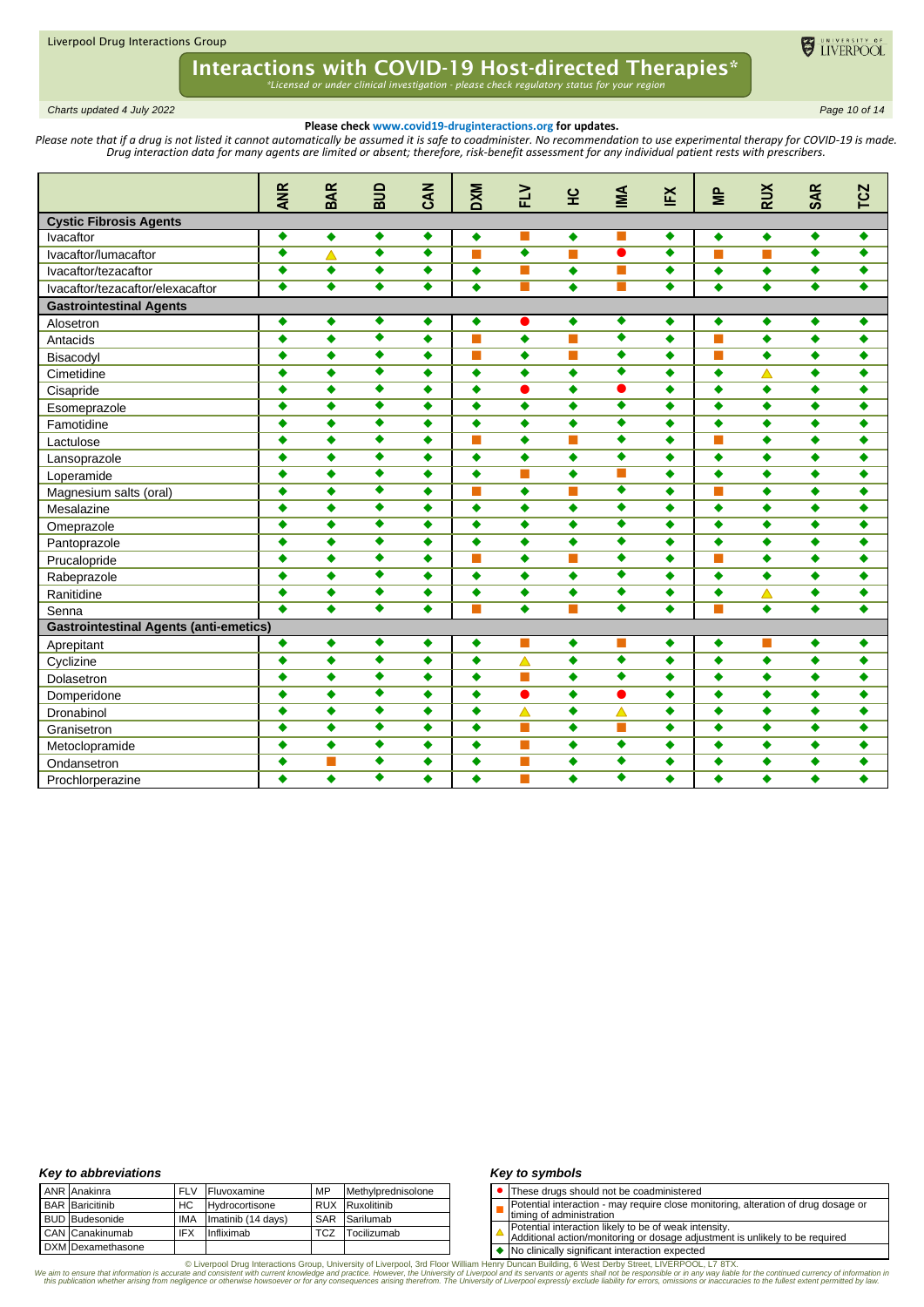

*Charts updated 4 July 2022 Page 10 of 14*

### **Please check www.covid19-druginteractions.org for updates.**

Please note that if a drug is not listed it cannot automatically be assumed it is safe to coadminister. No recommendation to use experimental therapy for COVID-19 is made. *Drug interaction data for many agents are limited or absent; therefore, risk-benefit assessment for any individual patient rests with prescribers.* 

|                                               | <b>ANR</b>       | <b>BAR</b>       | aua                  | <b>EAN</b>       | <b>DXM</b>       | FLV              | 앞                | MA                   | EX               | $\epsilon$       | <b>RUX</b>       | <b>SAR</b>       | <b>TCZ</b>       |
|-----------------------------------------------|------------------|------------------|----------------------|------------------|------------------|------------------|------------------|----------------------|------------------|------------------|------------------|------------------|------------------|
|                                               |                  |                  |                      |                  |                  |                  |                  |                      |                  |                  |                  |                  |                  |
| <b>Cystic Fibrosis Agents</b>                 |                  |                  |                      |                  |                  |                  |                  |                      |                  |                  |                  |                  |                  |
| Ivacaftor                                     | ٠                | ٠                | ٠                    | ٠                | ٠                | ٠                | ٠                |                      | ۰                | ٠                | ۰                | ٠                | ٠                |
| Ivacaftor/lumacaftor                          | ٠                | Δ                | ٠                    | ٠                | П                |                  | m.               | $\bullet$            | ٠                | П                | m.               | ٠                | ٠                |
| Ivacaftor/tezacaftor                          | ٠                | ٠                | ٠                    | ٠                | $\bullet$        | ш                | $\bullet$        | <b>COL</b>           | ۰                | $\bullet$        | $\bullet$        | ٠                | ٠                |
| Ivacaftor/tezacaftor/elexacaftor              | $\bullet$        | $\bullet$        | ٠                    | ٠                | $\bullet$        | <b>The State</b> | $\bullet$        | <b>The State</b>     | $\bullet$        | $\bullet$        | $\bullet$        | ٠                | ٠                |
| <b>Gastrointestinal Agents</b>                |                  |                  |                      |                  |                  |                  |                  |                      |                  |                  |                  |                  |                  |
| Alosetron                                     | ٠                | ٠                | ٠                    | ٠                | $\blacklozenge$  | $\bullet$        | ٠                | ٠                    | ۰                | $\bullet$        | $\blacklozenge$  | ٠                | ۰                |
| Antacids                                      | $\ddot{\bullet}$ | $\bullet$        | $\overline{\bullet}$ | ٠                | ш                | $\bullet$        | m.               | $\overline{\bullet}$ | $\blacklozenge$  | <b>The State</b> | $\bullet$        | $\bullet$        | ٠                |
| Bisacodyl                                     | ٠                | $\bullet$        | $\overline{\bullet}$ | ٠                | П                | ٠                | П                | $\overline{\bullet}$ | ٠                | <b>The State</b> | $\bullet$        | $\bullet$        | ٠                |
| Cimetidine                                    | $\bullet$        | ٠                | $\overline{\bullet}$ | ٠                | $\bullet$        | ٠                | $\bullet$        | $\overline{\bullet}$ | $\bullet$        | $\bullet$        | $\blacktriangle$ | $\ddot{\bullet}$ | ٠                |
| Cisapride                                     | $\bullet$        | $\ddot{\bullet}$ | ٠                    | $\bullet$        | $\bullet$        | $\bullet$        | $\bullet$        | $\bullet$            | $\ddot{\bullet}$ | $\bullet$        | $\ddot{\bullet}$ | $\ddot{\bullet}$ | $\ddot{\bullet}$ |
| Esomeprazole                                  | ٠                | ٠                | ٠                    | ٠                | ٠                | ۰                | ٠                | $\overline{\bullet}$ | $\bullet$        | ٠                | ٠                | ٠                | ٠                |
| Famotidine                                    | ٠                | $\bullet$        | ٠                    | ٠                | ٠                | ٠                | $\bullet$        | $\bullet$            | ٠                | $\bullet$        | $\bullet$        | $\bullet$        | ٠                |
| Lactulose                                     | ٠                | ٠                | ٠                    | ٠                | П                | ٠                | П                | ٠                    | ٠                | m.               | $\bullet$        | $\bullet$        | ٠                |
| Lansoprazole                                  | ٠                | ٠                | ٠                    | ٠                | $\bullet$        | ٠                | $\bullet$        | $\bullet$            | $\bullet$        | $\bullet$        | ٠                | $\bullet$        | ٠                |
| Loperamide                                    | ٠                | $\bullet$        | ٠                    | ٠                | $\bullet$        | П                | $\bullet$        | П                    | $\bullet$        | $\bullet$        | $\bullet$        | $\bullet$        | $\bullet$        |
| Magnesium salts (oral)                        | ٠                | $\bullet$        | ٠                    | ٠                | T                | $\bullet$        | П                | ٠                    | $\bullet$        | П                | $\bullet$        | $\bullet$        | ٠                |
| Mesalazine                                    | $\bullet$        | $\bullet$        | ٠                    | ٠                | $\ddot{\bullet}$ | $\bullet$        | $\ddot{\bullet}$ | $\bullet$            | $\bullet$        | $\bullet$        | $\bullet$        | $\ddot{\bullet}$ | $\bullet$        |
| Omeprazole                                    | ٠                | $\bullet$        | $\overline{\bullet}$ | ٠                | $\bullet$        | ٠                | ٠                | $\overline{\bullet}$ | ٠                | $\bullet$        | $\bullet$        | $\bullet$        | $\bullet$        |
| Pantoprazole                                  | ٠                | $\ddot{\bullet}$ | $\overline{\bullet}$ | ٠                | $\bullet$        | ٠                | $\bullet$        | $\overline{\bullet}$ | $\bullet$        | $\bullet$        | $\bullet$        | $\bullet$        | ٠                |
| Prucalopride                                  | ٠                | $\ddot{\bullet}$ | $\overline{\bullet}$ | ٠                | т                | ٠                | П                | ٠                    | $\bullet$        | ш                | $\bullet$        | $\ddot{\bullet}$ | $\bullet$        |
| Rabeprazole                                   | ٠                | ٠                | $\overline{\bullet}$ | ٠                | $\bullet$        | ٠                | $\bullet$        | $\overline{\bullet}$ | ٠                | $\bullet$        | $\blacklozenge$  | $\ddot{\bullet}$ | ٠                |
| Ranitidine                                    | ٠                | ٠                | $\overline{\bullet}$ | ٠                | $\bullet$        | ٠                | $\bullet$        | $\overline{\bullet}$ | ٠                | $\bullet$        | $\blacktriangle$ | $\bullet$        | $\bullet$        |
| Senna                                         | ٠                | $\bullet$        | $\overline{\bullet}$ | ٠                | т                | ٠                | П                | ٠                    | $\bullet$        |                  | ٠                | ٠                | ٠                |
| <b>Gastrointestinal Agents (anti-emetics)</b> |                  |                  |                      |                  |                  |                  |                  |                      |                  |                  |                  |                  |                  |
| Aprepitant                                    | ٠                | ٠                | ٠                    | ٠                | $\bullet$        | $\blacksquare$   | ٠                | <b>The State</b>     | ۰                | ٠                | m.               | ٠                | ٠                |
| Cyclizine                                     | ٠                | $\bullet$        | ٠                    | ٠                | $\bullet$        | $\blacktriangle$ | ٠                | ٠                    | ٠                | $\bullet$        | ۰                | ٠                | ٠                |
| Dolasetron                                    | ٠                | $\bullet$        | ٠                    | ٠                | $\bullet$        | <b>The State</b> | ٠                | ٠                    | $\bullet$        | $\bullet$        | $\bullet$        | $\bullet$        | ٠                |
| Domperidone                                   | ٠                | $\bullet$        | ٠                    | ٠                | $\bullet$        | $\bullet$        | ٠                | $\bullet$            | $\bullet$        | $\bullet$        | ۰                | $\bullet$        | ٠                |
| Dronabinol                                    | $\bullet$        | $\blacklozenge$  | ٠                    | ٠                | $\bullet$        | $\blacktriangle$ | $\bullet$        | $\blacktriangle$     | $\bullet$        | $\bullet$        | $\bullet$        | $\bullet$        | ٠                |
| Granisetron                                   | $\bullet$        | $\bullet$        | $\overline{\bullet}$ | $\bullet$        | $\bullet$        | <b>T</b>         | $\bullet$        | <b>T</b>             | $\bullet$        | $\bullet$        | $\bullet$        | $\bullet$        | $\bullet$        |
| Metoclopramide                                | ٠                | ٠                | ٠                    | ٠                | $\bullet$        | <b>Tale</b>      | ٠                | ٠                    | ٠                | $\bullet$        | ۰                | $\bullet$        | ٠                |
| Ondansetron                                   | ٠                |                  | $\overline{\bullet}$ | ٠                | ٠                | <b>Tale</b>      | $\bullet$        | ٠                    | $\bullet$        | $\bullet$        | $\ddot{\bullet}$ | $\bullet$        | ٠                |
| Prochlorperazine                              | ٠                |                  | $\overline{\bullet}$ | $\ddot{\bullet}$ | ٠                |                  | $\ddot{\bullet}$ | $\overline{\bullet}$ | $\bullet$        |                  | $\bullet$        | $\ddot{\bullet}$ |                  |

### *Key to abbreviations*

| ANR Anakinra             | <b>FLV</b> | Fluvoxamine        | MP         | Methylprednisolone |
|--------------------------|------------|--------------------|------------|--------------------|
| <b>BAR</b> Baricitinib   | HC.        | Hydrocortisone     | <b>RUX</b> | Ruxolitinib        |
| <b>BUD</b> Budesonide    | IMA        | Imatinib (14 days) | SAR        | Sarilumab          |
| CAN Canakinumab          | <b>IFX</b> | Infliximab         | TCZ        | Tocilizumab        |
| <b>DXM</b> Dexamethasone |            |                    |            |                    |

### *Key to symbols*

- ⚫ These drugs should not be coadministered
- П Potential interaction - may require close monitoring, alteration of drug dosage or
- timing of administration
- Potential interaction likely to be of weak intensity. Additional action/monitoring or dosage adjustment is unlikely to be required
- 

◆ No clinically significant interaction expected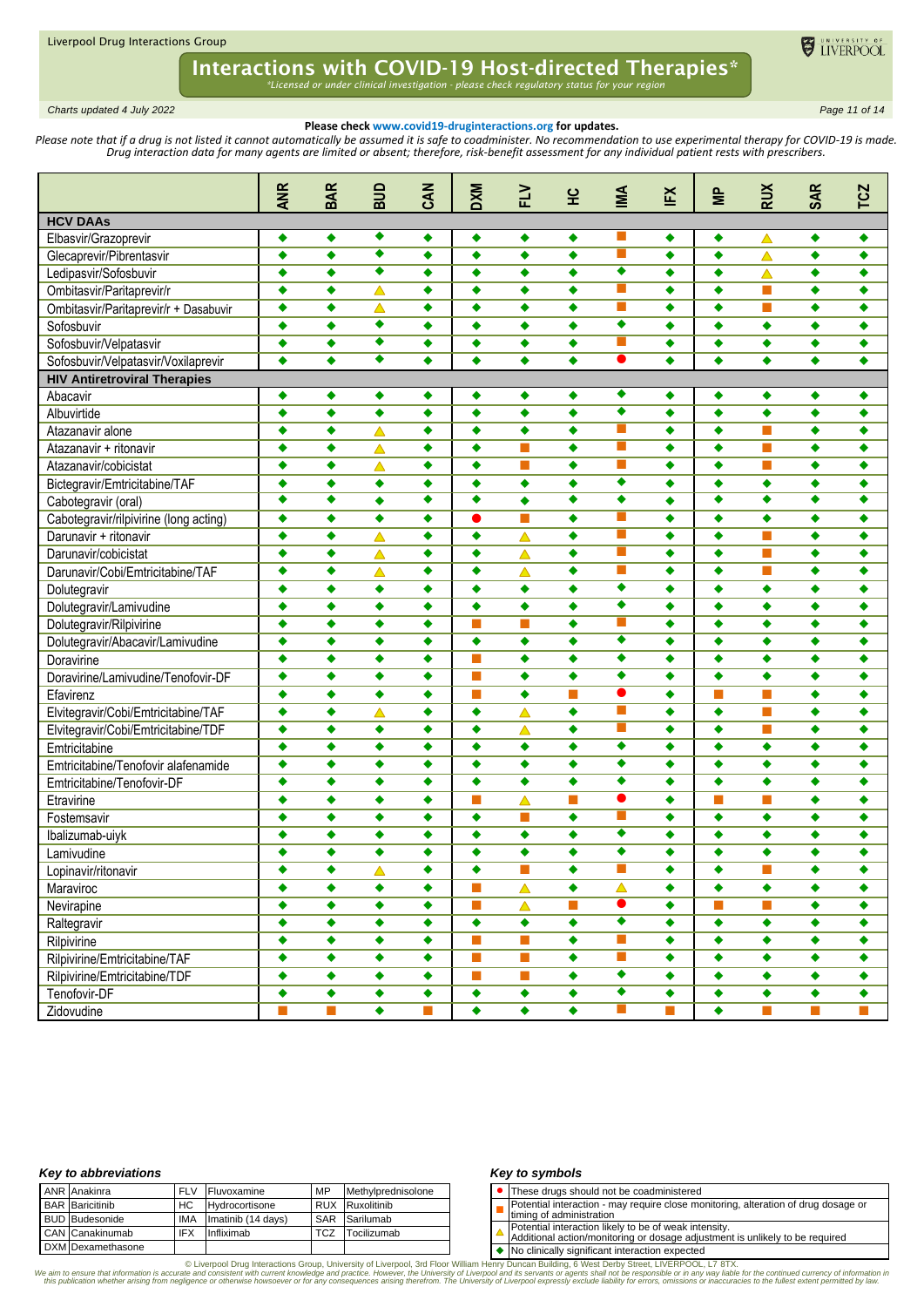

*Charts updated 4 July 2022 Page 11 of 14*

### **Please check www.covid19-druginteractions.org for updates.**

Please note that if a drug is not listed it cannot automatically be assumed it is safe to coadminister. No recommendation to use experimental therapy for COVID-19 is made. *Drug interaction data for many agents are limited or absent; therefore, risk-benefit assessment for any individual patient rests with prescribers.* 

|                                        | <b>ANR</b>       | <b>BAR</b>       | aua              | CAN       | <b>DXM</b>           | <b>NTL</b>       | 잎                    | M                             | ΙĔ        | $\equiv$         | <b>RUX</b>                  | <b>SAR</b>           | <b>TCZ</b>                  |
|----------------------------------------|------------------|------------------|------------------|-----------|----------------------|------------------|----------------------|-------------------------------|-----------|------------------|-----------------------------|----------------------|-----------------------------|
| <b>HCV DAAs</b>                        |                  |                  |                  |           |                      |                  |                      |                               |           |                  |                             |                      |                             |
| Elbasvir/Grazoprevir                   | ٠                | $\bullet$        | ٠                | ٠         | ٠                    | ٠                | ٠                    |                               | ٠         | ٠                | △                           | ٠                    | ٠                           |
| Glecaprevir/Pibrentasvir               | $\bullet$        | $\blacklozenge$  | ٠                | ٠         | $\bullet$            | ٠                | $\bullet$            | П                             | $\bullet$ | $\bullet$        | $\blacktriangle$            | $\bullet$            | ٠                           |
| Ledipasvir/Sofosbuvir                  | ٠                | ٠                | ٠                | ٠         | ٠                    | ٠                | ٠                    | ٠                             | ٠         | ٠                | $\blacktriangle$            | ٠                    | ٠                           |
| Ombitasvir/Paritaprevir/r              | ٠                | ٠                | $\blacktriangle$ | ٠         | ٠                    | ٠                | ٠                    |                               | ٠         | ٠                | ш                           | ٠                    | ٠                           |
| Ombitasvir/Paritaprevir/r + Dasabuvir  | ٠                | ٠                | $\blacktriangle$ | ٠         | ٠                    | ٠                | ٠                    | П                             | ٠         | ٠                | П                           | ٠                    | ٠                           |
| Sofosbuvir                             | ٠                | ٠                | ٠                | $\bullet$ | ٠                    | ٠                | ٠                    | ٠                             | ٠         | ٠                | ٠                           | ٠                    | ٠                           |
| Sofosbuvir/Velpatasvir                 | ٠                | ٠                | ٠                | $\bullet$ | ٠                    | ٠                | $\bullet$            | <b>Tale</b>                   | $\bullet$ | ٠                | $\bullet$                   | $\bullet$            | ٠                           |
| Sofosbuvir/Velpatasvir/Voxilaprevir    | ٠                | ٠                | ٠                | ٠         | ٠                    | ٠                | ٠                    | ●                             | ٠         | ٠                | ٠                           | ٠                    | ٠                           |
| <b>HIV Antiretroviral Therapies</b>    |                  |                  |                  |           |                      |                  |                      |                               |           |                  |                             |                      |                             |
| Abacavir                               | ٠                | ٠                | ٠                | ٠         | ۰                    | ٠                | ٠                    | ٠                             | ٠         | ٠                | ٠                           | $\bullet$            | ٠                           |
| Albuvirtide                            | $\bullet$        | ٠                | $\ddot{\bullet}$ | $\bullet$ | ٠                    | ٠                | ٠                    | ٠                             | ٠         | ٠                | ٠                           | $\bullet$            | ٠                           |
| Atazanavir alone                       | ٠                | ٠                | △                | ٠         | ٠                    | ٠                | ٠                    |                               | ٠         | ٠                | П                           | ٠                    | ٠                           |
| Atazanavir + ritonavir                 | ٠                | ٠                | △                | ٠         | ٠                    |                  | ٠                    |                               | ٠         | ٠                | П                           | ٠                    | ٠                           |
| Atazanavir/cobicistat                  | ٠                | ٠                | $\blacktriangle$ | $\bullet$ | ٠                    | П                | $\bullet$            | П                             | ٠         | ٠                | П                           | $\bullet$            | ٠                           |
| Bictegravir/Emtricitabine/TAF          | $\bullet$        | $\bullet$        | ٠                | $\bullet$ | $\bullet$            | $\bullet$        | $\bullet$            | ٠                             | ٠         | $\bullet$        | $\bullet$                   | $\bullet$            | $\bullet$                   |
| Cabotegravir (oral)                    | ٠                | ٠                | $\ddot{\bullet}$ | ٠         | $\overline{\bullet}$ | ٠                | $\overline{\bullet}$ | ٠                             | ٠         | ٠                | $\overline{\bullet}$        | $\overline{\bullet}$ | ٠                           |
| Cabotegravir/rilpivirine (long acting) | $\bullet$        | ٠                | ٠                | ٠         | 0                    | П                | ٠                    | П                             | ٠         | ٠                | ٠                           | ٠                    | ٠                           |
| Darunavir + ritonavir                  | $\ddot{\bullet}$ | ٠                | $\blacktriangle$ | ٠         | ٠                    | $\triangle$      | $\bullet$            | ш                             | ٠         | ٠                | П                           | ٠                    | ٠                           |
| Darunavir/cobicistat                   | $\bullet$        | ٠                | Δ                | ٠         | ٠                    | $\blacktriangle$ | $\bullet$            | ш                             | ٠         | ٠                | П                           | ٠                    | ٠                           |
| Darunavir/Cobi/Emtricitabine/TAF       | $\bullet$        | ٠                | $\blacktriangle$ | ٠         | ٠                    | Δ                | $\bullet$            | П                             | ٠         | ٠                | П                           | ٠                    | ٠                           |
| Dolutegravir                           | ٠                | ٠                | ٠                | ٠         | ٠                    | ٠                | ٠                    | ٠                             | ٠         | ٠                | ٠                           | ٠                    | ٠                           |
| Dolutegravir/Lamivudine                | ٠                | ٠                | ٠                | ٠         | ٠                    | ٠                | ٠                    | $\overline{\bullet}$          | ٠         | ٠                | ٠                           | ٠                    | ٠                           |
| Dolutegravir/Rilpivirine               | ٠                | ٠                | $\ddot{\bullet}$ | $\bullet$ | m.                   | П                | $\bullet$            | П                             | ٠         | ٠                | $\bullet$                   | ٠                    | ٠                           |
| Dolutegravir/Abacavir/Lamivudine       | ٠                | ٠                | ٠                | $\bullet$ | $\bullet$            | $\bullet$        | $\bullet$            | ٠                             | ٠         | $\bullet$        | $\bullet$                   | $\bullet$            | $\bullet$                   |
| Doravirine                             | ٠                | ٠                | ٠                | ٠         | ш                    | ٠                | $\bullet$            | ٠                             | ٠         | ٠                | ٠                           | ٠                    | ٠                           |
| Doravirine/Lamivudine/Tenofovir-DF     | ٠                | ٠                | ٠                | ٠         | <b>COL</b>           | ٠                | ٠                    | ٠                             | ٠         | ٠                | ٠                           | ٠                    | ٠                           |
| Efavirenz                              | $\bullet$        | ٠                | ٠                | ٠         | <b>Tale</b>          | ٠                | П                    | ●                             | ٠         |                  | П                           | ٠                    | ٠                           |
| Elvitegravir/Cobi/Emtricitabine/TAF    | $\bullet$        | $\bullet$        | Δ                | ٠         | $\blacklozenge$      | $\blacktriangle$ | ٠                    | ш                             | ٠         | $\bullet$        | П                           | $\bullet$            | ٠                           |
| Elvitegravir/Cobi/Emtricitabine/TDF    | ٠                | ٠                | ٠                | ٠         | ٠                    | Δ                | $\bullet$            | П                             | ٠         | ٠                | П                           | ٠                    | ٠                           |
| Emtricitabine                          | ٠                | ٠                | ٠                | ٠         | ٠                    | ٠                | ٠                    | ٠                             | ٠         | ٠                | ٠                           | ٠                    | ٠                           |
| Emtricitabine/Tenofovir alafenamide    | ٠                | ٠                | ٠                | ٠         | ٠                    | ٠                | ٠                    | $\overline{\bullet}$          | ٠         | ٠                | ٠                           | ٠                    | ٠                           |
| Emtricitabine/Tenofovir-DF             | $\bullet$        | $\ddot{\bullet}$ | $\ddot{\bullet}$ | $\bullet$ | ٠                    | ٠                | $\ddot{\bullet}$     | $\overline{\bullet}$          | ٠         | $\bullet$        | $\bullet$                   | $\bullet$            | ٠                           |
| Etravirine                             | ٠                | $\bullet$        | $\bullet$        | $\bullet$ | m.                   | Δ                | П                    | $\bullet$                     | $\bullet$ | <b>The State</b> | П                           | $\bullet$            | $\bullet$                   |
|                                        | ٠                | ٠                | ٠                | ٠         | ٠                    | П                | $\bullet$            | <b>Tale</b>                   | ٠         | ٠                | ٠                           | ٠                    | ٠                           |
| Fostemsavir                            | ٠                | ٠                | ٠                | ٠         | ٠                    | ٠                | ٠                    | ٠                             | ٠         | ٠                | ٠                           | ٠                    | ٠                           |
| Ibalizumab-uiyk                        |                  | ٠                | ٠                | ٠         | ٠                    | ٠                | ٠                    | ٠                             | ٠         | ٠                | ٠                           | ٠                    | ٠                           |
| Lamivudine                             |                  |                  |                  |           |                      |                  |                      |                               |           |                  |                             |                      |                             |
| Lopinavir/ritonavir                    | ٠                | ٠                | $\triangle$      | ٠         | ٠                    | п                | ٠                    |                               | ٠         | ٠                | $\mathbb{R}^n$              | ٠                    | ٠                           |
| Maraviroc                              | $\bullet$        | $\bullet$        | $\bullet$        | $\bullet$ | п                    | $\triangle$      | $\bullet$            | $\blacktriangle$<br>$\bullet$ | $\bullet$ | $\bullet$        | $\bullet$                   | $\bullet$            | $\bullet$                   |
| Nevirapine                             | ٠                | ٠                | ٠                | ٠         | m.                   | $\triangle$      | П                    | $\overline{\bullet}$          | ٠         | <b>The State</b> | T.                          | ۰                    | ۰                           |
| Raltegravir                            | ٠                | $\bullet$        | ٠                | ۰         | $\blacklozenge$      | $\blacklozenge$  | $\ddot{\bullet}$     |                               | ٠         | ٠                | $\bullet$                   | $\bullet$            | $\bullet$                   |
| Rilpivirine                            | $\bullet$        | $\bullet$        | ٠                | ٠         | П                    | <b>The State</b> | $\bullet$            | T.                            | ۰         | ۰                | $\blacklozenge$             | $\blacklozenge$      | $\blacklozenge$             |
| Rilpivirine/Emtricitabine/TAF          | $\bullet$        | $\bullet$        | $\bullet$        | ٠         | П                    | $\Box$           | $\bullet$            | П                             | ۰         | $\bullet$        | $\blacklozenge$             | $\bullet$            | ۰                           |
| Rilpivirine/Emtricitabine/TDF          | ٠                | ٠                | ٠                | ٠         | T.                   | $\Box$           | ٠                    | $\overline{\bullet}$          | ٠         | $\bullet$        | $\blacklozenge$             | ۰                    | ۰                           |
| Tenofovir-DF                           | ٠                | ۰                | ٠                | ٠         | $\blacklozenge$      | ٠                | ٠                    | ۰                             | ۰         | ۰                | ۰                           | ۰                    | ٠                           |
| Zidovudine                             | П                | T.               | ۰                | П         | $\bullet$            | $\blacklozenge$  | $\bullet$            | П                             | п         | $\bullet$        | $\mathcal{L}_{\mathcal{A}}$ | П                    | $\mathcal{L}_{\mathcal{A}}$ |

### *Key to abbreviations*

|  | <b>ANR</b> Anakinra    | <b>FLV</b> | Fluvoxamine        | MP         | Methylprednisolone |
|--|------------------------|------------|--------------------|------------|--------------------|
|  | <b>BAR</b> Baricitinib | HC         | Hydrocortisone     |            | RUX Ruxolitinib    |
|  | <b>BUD</b> Budesonide  | IMA        | Imatinib (14 days) |            | SAR Sarilumab      |
|  | CAN Canakinumab        | <b>IFX</b> | Infliximab         | <b>TCZ</b> | Tocilizumab        |
|  | DXM Dexamethasone      |            |                    |            |                    |

### *Key to symbols*

- ⚫ These drugs should not be coadministered
- Potential interaction may require close monitoring, alteration of drug dosage or
- П timing of administration
- Potential interaction likely to be of weak intensity. Additional action/monitoring or dosage adjustment is unlikely to be required
- 

◆ No clinically significant interaction expected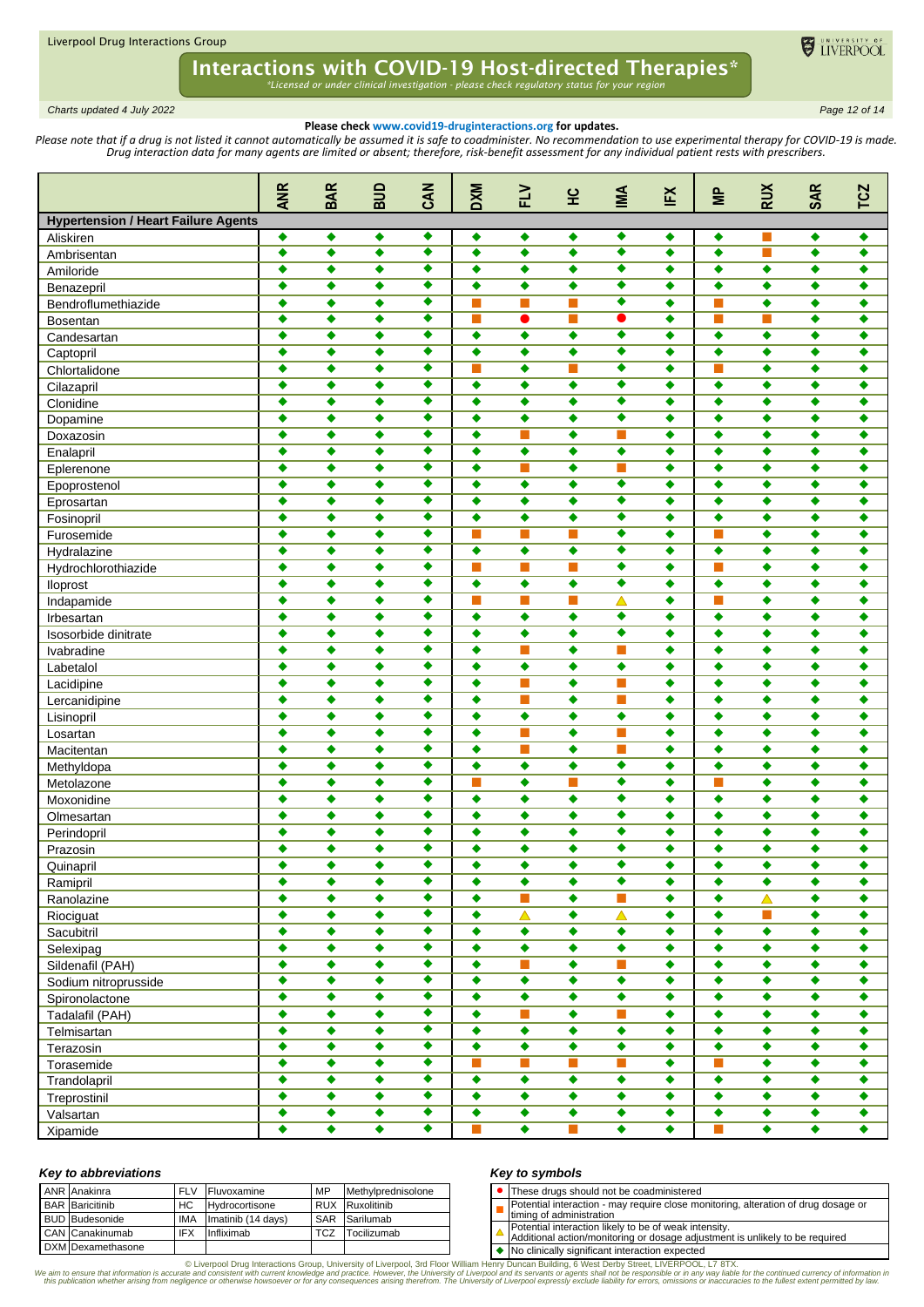

*Charts updated 4 July 2022 Page 12 of 14*

## **Please check www.covid19-druginteractions.org for updates.**

Please note that if a drug is not listed it cannot automatically be assumed it is safe to coadminister. No recommendation to use experimental therapy for COVID-19 is made. *Drug interaction data for many agents are limited or absent; therefore, risk-benefit assessment for any individual patient rests with prescribers.* 

|                                            | <b>ANR</b>           | <b>BAR</b> | ana                  | <b>CAN</b>           | <b>DXM</b>           | $\geq$           | 잎                | MI                   | ĔX        | $\equiv$    | <b>RUX</b>       | <b>SAR</b>           | <b>TCZ</b>           |
|--------------------------------------------|----------------------|------------|----------------------|----------------------|----------------------|------------------|------------------|----------------------|-----------|-------------|------------------|----------------------|----------------------|
| <b>Hypertension / Heart Failure Agents</b> |                      |            |                      |                      |                      |                  |                  |                      |           |             |                  |                      |                      |
| Aliskiren                                  | ٠                    | ٠          | ٠                    | ٠                    | ٠                    | ٠                | ٠                | ٠                    | ٠         | ٠           | П                | ٠                    | ٠                    |
| Ambrisentan                                | ٠                    | ٠          | ٠                    | ٠                    | ٠                    | ٠                | ٠                | ٠                    | ٠         | ٠           | П                | ٠                    | ٠                    |
| Amiloride                                  | ٠                    | ٠          | ٠                    | ٠                    | ٠                    | ٠                | ٠                | ٠                    | ٠         | ٠           | ٠                | ٠                    | ٠                    |
| Benazepril                                 | ٠                    | ٠          | $\bullet$            | ٠                    | ٠                    | ٠                | ٠                | ٠                    | ٠         | ٠           | ٠                | ٠                    | ٠                    |
| Bendroflumethiazide                        | $\ddot{\bullet}$     | ٠          | ٠                    | ٠                    | т                    | П                | П                | ٠                    | ٠         |             | ٠                | ٠                    | ٠                    |
| <b>Bosentan</b>                            | $\bullet$            | ٠          | ٠                    | ٠                    | П                    | $\bullet$        | П                | ●                    | ٠         | <b>Tale</b> | П                | ٠                    | ٠                    |
| Candesartan                                | ٠                    | ٠          | ٠                    | ٠                    | ٠                    | ٠                | ٠                | ٠                    | ٠         | ٠           | ٠                | ٠                    | ٠                    |
| Captopril                                  | ٠                    | $\bullet$  | ٠                    | ٠                    | $\bullet$            | ٠                | $\bullet$        | ٠                    | ٠         | $\bullet$   | $\bullet$        | ٠                    | ٠                    |
| Chlortalidone                              | ٠                    | ٠          | ٠                    | ٠                    |                      | ٠                |                  | ٠                    | ٠         |             | ٠                | ٠                    | ٠                    |
| Cilazapril                                 | ٠                    | ٠          | ٠                    | ٠                    | ٠                    | ٠                | ٠                | ٠                    | ٠         | ٠           | ٠                | ٠                    | ٠                    |
| Clonidine                                  | ٠                    | ٠          | ٠                    | ٠                    | ٠                    | ٠                | ٠                | ٠                    | ٠         | ٠           | ٠                | ٠                    | ٠                    |
| Dopamine                                   | $\bullet$            | $\bullet$  | ۰                    | ٠                    | ٠                    | ٠                | ٠                | ٠                    | ٠         | ٠           | ٠                | ٠                    | ٠                    |
| Doxazosin                                  | ٠                    | ٠          | ٠                    | ٠                    | ٠                    | ш                | $\ddot{\bullet}$ | П                    | ٠         | ٠           | ٠                | ٠                    | ٠                    |
| Enalapril                                  | $\bullet$            | ٠          | ٠                    | ٠                    | ٠                    | ٠                | ٠                | ٠                    | ٠         | ٠           | ٠                | ٠                    | ٠                    |
| Eplerenone                                 | ٠                    | ٠          | ٠                    | ٠                    | ٠                    | П                | ٠                | П                    | ٠         | ٠           | ٠                | ٠                    | ٠                    |
| Epoprostenol                               | ٠                    | ٠          | ٠                    | ٠                    | ٠                    | ٠                | ٠                | ٠                    | ٠         | ٠           | ٠                | ٠                    | ٠                    |
| Eprosartan                                 | $\bullet$            | ٠          | ۰                    | ٠                    | $\bullet$            | ٠                | $\bullet$        | ٠                    | ٠         | $\bullet$   | $\bullet$        | ٠                    | ٠                    |
| Fosinopril                                 | ٠                    | ٠          | ٠                    | ٠                    | $\bullet$            | ٠                | ٠                | ٠                    | ٠         | ٠           | ٠                | ٠                    | ٠                    |
| Furosemide                                 | ٠                    | ٠          | ٠                    | ٠                    | m,                   | П                | П                | ٠                    | ٠         | П           | ٠                | ٠                    | ٠                    |
| Hydralazine                                | ٠                    | ٠          | ٠                    | ٠                    | ٠                    | ٠                | ٠                | ٠                    | ٠         | ٠           | ٠                | ٠                    | ٠                    |
| Hydrochlorothiazide                        | $\bullet$            | $\bullet$  | ۰                    | ٠                    |                      | П                | П                | ٠                    | ٠         |             | ٠                | ٠                    | ٠                    |
| lloprost                                   | ٠                    | ٠          | ٠                    | ٠                    | $\bullet$            | ٠                | $\ddot{\bullet}$ | ٠                    | ٠         | ٠           | ٠                | ٠                    | ٠                    |
| Indapamide                                 | $\bullet$            | ٠          | ٠                    | $\overline{\bullet}$ | П                    | ▅                | П                | Δ                    | ٠         |             | ٠                | ٠                    | ٠                    |
| Irbesartan                                 | ٠                    | ٠          | ٠                    | ٠                    | ٠                    | ٠                | ٠                | ٠                    | ٠         | ٠           | ٠                | ٠                    | ٠                    |
| Isosorbide dinitrate                       | ٠                    | ٠          | ٠                    | ٠                    | ٠                    | ٠                | ٠                | ٠                    | ٠         | ٠           | ٠                | ٠                    | ٠                    |
| Ivabradine                                 | ٠                    | ٠          | $\bullet$            | ٠                    | ٠                    | П                | ٠                | П                    | ٠         | ٠           | ٠                | ٠                    | ٠                    |
| Labetalol                                  | ٠                    | ٠          | ٠                    | ٠                    | ٠                    | ٠                | ٠                | ٠                    | ٠         | ٠           | ٠                | ٠                    | ٠                    |
| Lacidipine                                 | ٠                    | ٠          | ٠                    | ٠                    | ٠                    | П                | ٠                | П                    | ٠         | ٠           | ٠                | ٠                    | ٠                    |
| Lercanidipine                              | ٠                    | ٠          | ٠                    | ٠                    | ٠                    | ш                | ٠                | m.                   | ٠         | ٠           | ٠                | ٠                    | ٠                    |
|                                            | $\bullet$            | ٠          | ۰                    | ٠                    | ٠                    | ٠                | ٠                | ٠                    | ٠         | ٠           | ٠                | ٠                    | ٠                    |
| Lisinopril                                 | ٠                    | ٠          | ٠                    | ٠                    | ٠                    |                  | $\ddot{\bullet}$ | П                    | ٠         | ٠           | ٠                | ٠                    | ٠                    |
| Losartan                                   | ٠                    | ٠          | ٠                    | ٠                    | ٠                    | ш                | ٠                | П                    | ٠         | ٠           | ٠                | ٠                    | ٠                    |
| Macitentan                                 | ٠                    | ٠          | ٠                    | ٠                    | ٠                    | ٠                | ٠                | ٠                    | ٠         | ٠           | ٠                | ٠                    | ٠                    |
| Methyldopa                                 | ٠                    | ٠          | ٠                    | ٠                    |                      | ٠                | П                | ٠                    | ٠         | ш           | ٠                | ٠                    | ٠                    |
| Metolazone                                 |                      |            |                      | ٠                    | $\bullet$            | ٠                |                  | $\overline{\bullet}$ |           | ٠           |                  |                      |                      |
| Moxonidine                                 | ٠                    | ٠          | $\bullet$            |                      |                      |                  | ٠                |                      | ٠         |             | ٠                | ٠                    | ٠                    |
| Olmesartan                                 | ٠                    | ٠          | ٠                    | ٠                    | ٠                    | ٠                | ٠                | ٠                    | ٠         | ٠           | ٠                | ٠                    | ٠                    |
| Perindopril                                | ٠                    | ٠          | ٠                    | ٠                    | ٠                    | ٠                | ٠                | ٠                    | ٠         | ٠           | ٠                | ٠                    | ٠                    |
| Prazosin                                   | ٠                    | ٠          | ٠                    | ٠                    | ٠                    | ٠                | ٠                | ٠                    | ٠         | ٠           | ٠                | ٠                    | ٠                    |
| Quinapril                                  |                      |            |                      |                      |                      |                  |                  |                      |           |             |                  |                      |                      |
| Ramipril                                   | $\bullet$            | $\bullet$  | $\bullet$            | $\overline{\bullet}$ | $\bullet$            | ٠                | ٠                | $\overline{\bullet}$ | $\bullet$ | $\bullet$   | $\blacklozenge$  | ٠                    | ٠                    |
| Ranolazine                                 | $\bullet$            | ٠          | ٠                    | ٠                    | $\bullet$            | П                | ۰                | П                    | ٠         | ٠           | $\blacktriangle$ | $\bullet$            | ۰                    |
| Riociguat                                  | ٠                    | ٠          | ۰                    | ٠                    | ٠                    | $\blacktriangle$ | ٠                | $\blacktriangle$     | ٠         | ٠           | П                | ٠                    | ٠                    |
| Sacubitril                                 | ٠                    | ۰          | ۰                    | ٠                    | ٠                    | ٠                | ٠                | ۰                    | ٠         | ٠           | ۰                | ۰                    | $\blacklozenge$      |
| Selexipag                                  | ٠                    | ٠          | $\bullet$            | ٠                    | ٠                    | ٠                | ٠                | ٠                    | ٠         | ٠           | ۰                | ٠                    | ٠                    |
| Sildenafil (PAH)                           | $\overline{\bullet}$ | $\bullet$  | $\bullet$            | $\overline{\bullet}$ | $\bullet$            | П                | ٠                | П                    | ٠         | $\bullet$   | ٠                | $\bullet$            | ۰                    |
| Sodium nitroprusside                       | ۰                    | ٠          | ۰                    | ٠                    | ۰                    | ٠                | ۰                | ۰                    | ٠         | ٠           | ۰                | $\blacklozenge$      | ۰                    |
| Spironolactone                             | ٠                    | ٠          | ۰                    | ٠                    | ٠                    | ٠                | ٠                | ۰                    | ٠         | ٠           | ۰                | ۰                    | ۰                    |
| Tadalafil (PAH)                            | ٠                    | ٠          | ۰                    | ٠                    | ٠                    | П                | $\bullet$        | П                    | ٠         | ۰           | $\bullet$        | ۰                    | ۰                    |
| Telmisartan                                | $\blacklozenge$      | ٠          | $\bullet$            | ٠                    | ٠                    | ٠                | ٠                | ۰                    | ٠         | ٠           | ۰                | ۰                    | ٠                    |
| Terazosin                                  | $\bullet$            | $\bullet$  | $\blacklozenge$      | $\overline{\bullet}$ | $\overline{\bullet}$ | $\bullet$        | $\bullet$        | $\bullet$            | ۰         | $\bullet$   | $\blacklozenge$  | $\bullet$            | $\overline{\bullet}$ |
| Torasemide                                 | ٠                    | ٠          | ۰                    | ٠                    | m.                   | П                | П                | П                    | ٠         | П           | ٠                | ٠                    | ٠                    |
| Trandolapril                               | $\bullet$            | ۰          | ۰                    | $\overline{\bullet}$ | ٠                    | $\bullet$        | ٠                | $\blacklozenge$      | ٠         | ۰           | ٠                | ۰                    | $\blacklozenge$      |
| Treprostinil                               | ٠                    | ٠          | $\bullet$            | ٠                    | ٠                    | ٠                | ٠                | ٠                    | ٠         | ۰           | ۰                | ۰                    | ۰                    |
| Valsartan                                  | $\blacklozenge$      | $\bullet$  | $\blacklozenge$      | $\overline{\bullet}$ | $\blacklozenge$      | ٠                | ٠                | $\blacklozenge$      | ۰         | $\bullet$   | $\blacklozenge$  | $\bullet$            | $\blacklozenge$      |
| Xipamide                                   | $\bullet$            | $\bullet$  | $\overline{\bullet}$ | ٠                    | $\blacksquare$       | ٠                | m,               | $\blacklozenge$      | $\bullet$ | П           | $\blacklozenge$  | $\overline{\bullet}$ | $\overline{\bullet}$ |

### *Key to abbreviations*

| ANR Anakinra           | <b>FLV</b> | <b>IFluvoxamine</b> | MF         | Methylprednisolone     |  | These drugs should not be coadministered                                                                                              |
|------------------------|------------|---------------------|------------|------------------------|--|---------------------------------------------------------------------------------------------------------------------------------------|
| <b>BAR</b> Baricitinib | НC         | Hydrocortisone      |            | <b>RUX</b> Ruxolitinib |  | Potential interaction - may require close monitoring, alteration of drug dosa                                                         |
| <b>BUD Budesonide</b>  | <b>IMA</b> | Imatinib (14 days)  |            | SAR Sarilumab          |  | Itiming of administration                                                                                                             |
| CAN Canakinumab        | <b>IFX</b> | Infliximab          | <b>TC2</b> | Tocilizumab            |  | Potential interaction likely to be of weak intensity.<br>Additional action/monitoring or dosage adjustment is unlikely to be required |
| DXM Dexamethasone      |            |                     |            |                        |  | No clinically significant interaction expected                                                                                        |

### *Key to symbols*

| .                                                                                                                                     |
|---------------------------------------------------------------------------------------------------------------------------------------|
| • These drugs should not be coadministered                                                                                            |
| Potential interaction - may require close monitoring, alteration of drug dosage or<br>timing of administration                        |
| Potential interaction likely to be of weak intensity.<br>Additional action/monitoring or dosage adjustment is unlikely to be required |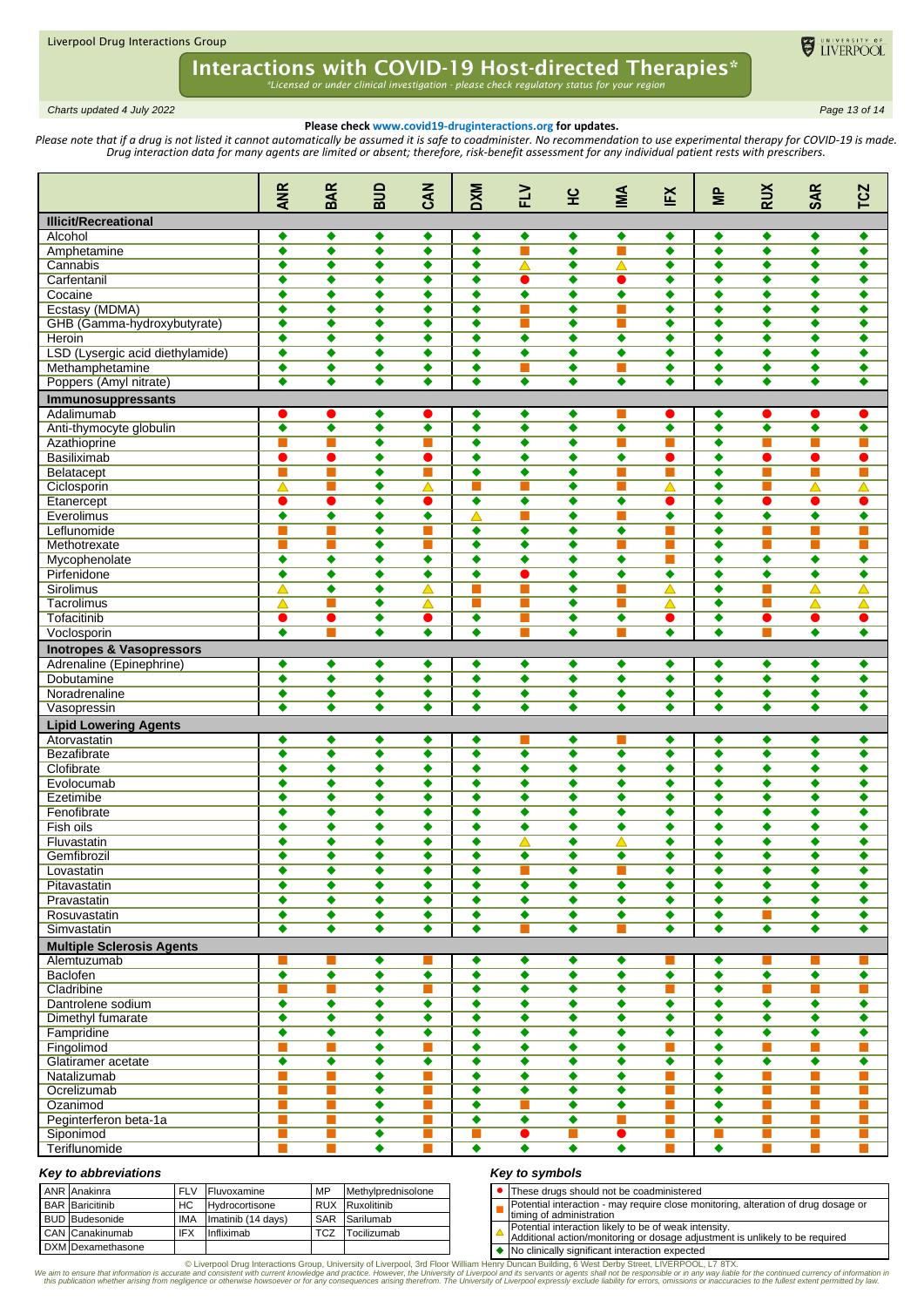

*\*Licensed or under clinical investigation - please check regulatory status for your region*

*Charts updated 4 July 2022 Page 13 of 14*

## **Please check www.covid19-druginteractions.org for updates.**

Please note that if a drug is not listed it cannot automatically be assumed it is safe to coadminister. No recommendation to use experimental therapy for COVID-19 is made. *Drug interaction data for many agents are limited or absent; therefore, risk-benefit assessment for any individual patient rests with prescribers.* 

|                                           | <b>ANR</b>                                   | <b>BAR</b>            | BUD                                          | CAN                       | <b>DXM</b>                | $\geq$                    | 잎                         | МŊ                        | ΙFΧ                       | $\equiv$                  | <b>RUX</b>                | <b>SAR</b>           | <b>TCZ</b>                  |
|-------------------------------------------|----------------------------------------------|-----------------------|----------------------------------------------|---------------------------|---------------------------|---------------------------|---------------------------|---------------------------|---------------------------|---------------------------|---------------------------|----------------------|-----------------------------|
| <b>Illicit/Recreational</b>               |                                              |                       |                                              |                           |                           |                           |                           |                           |                           |                           |                           |                      |                             |
| Alcohol                                   | ٠                                            | ٠                     | ٠                                            | ٠                         | ٠                         | ۰                         | ٠                         | ۰                         | ٠                         | ۰                         | ۰                         | ۰                    | ۰                           |
| Amphetamine                               | ٠                                            | ٠                     | ٠                                            | ٠                         | ٠                         | $\blacksquare$            | ٠                         | П                         | ٠                         | ٠                         | ٠                         | ٠                    | ٠                           |
| Cannabis                                  | ٠                                            | $\bullet$             | ٠                                            | ٠                         | ٠                         | Δ                         | ٠                         | △                         | ٠                         | ٠                         | ٠                         | ٠                    | ٠                           |
| Carfentanil                               | ٠                                            | ٠                     | ٠                                            | ٠                         | ٠                         |                           | ٠                         | 0                         | ٠                         | ٠                         | ٠                         | $\bullet$            | ٠                           |
| Cocaine                                   | $\overline{\bullet}$                         | ٠                     | ٠                                            | ٠                         | ٠                         | $\overline{\bullet}$      | ٠                         | $\bullet$                 | ٠                         | ٠                         | ٠                         | ٠                    | ٠                           |
| Ecstasy (MDMA)                            | ٠                                            | ٠                     | ٠                                            | ٠                         | $\bullet$                 |                           | ٠                         |                           | ٠                         | $\bullet$                 | ٠                         | $\bullet$            | ٠                           |
| GHB (Gamma-hydroxybutyrate)<br>Heroin     | $\overline{\bullet}$                         | ٠                     | ٠<br>$\overline{\bullet}$                    | ٠                         | ٠                         |                           | ٠<br>$\overline{\bullet}$ | П<br>$\overline{\bullet}$ | ٠                         | ٠<br>$\overline{\bullet}$ | ٠<br>$\overline{\bullet}$ | $\bullet$            | ٠                           |
|                                           | $\overline{\bullet}$<br>$\overline{\bullet}$ | ٠                     | $\overline{\bullet}$                         | $\overline{\bullet}$      | $\overline{\bullet}$      | $\overline{\bullet}$      |                           |                           | $\overline{\bullet}$<br>٠ |                           |                           | $\overline{\bullet}$ | $\overline{\bullet}$        |
| LSD (Lysergic acid diethylamide)          | $\overline{\bullet}$                         | ٠<br>$\bullet$        | $\overline{\bullet}$                         | ٠<br>٠                    | ٠<br>٠                    | ٠<br><b>COL</b>           | ٠<br>٠                    | ٠<br>П                    | ٠                         | ٠<br>٠                    | ٠<br>٠                    | ٠<br>$\bullet$       | ٠<br>٠                      |
| Methamphetamine<br>Poppers (Amyl nitrate) | ٠                                            | $\bullet$             | ۰                                            | ٠                         | ٠                         | ٠                         | ٠                         | ٠                         | ٠                         | ٠                         | ٠                         | ۰                    | ٠                           |
|                                           |                                              |                       |                                              |                           |                           |                           |                           |                           |                           |                           |                           |                      |                             |
| Immunosuppressants<br>Adalimumab          |                                              |                       | ٠                                            | e i                       | ٠                         | ٠                         | ٠                         |                           | O                         | ۰                         |                           |                      |                             |
| Anti-thymocyte globulin                   | $\overline{\bullet}$                         | $\bullet$             | ٠                                            | ٠                         | ٠                         | ٠                         | ٠                         | ٠                         | ٠                         | ٠                         | ٠                         | $\overline{\bullet}$ | ٠                           |
| Azathioprine                              | П                                            | П                     | ٠                                            | m,                        | ٠                         | ٠                         | ٠                         | П                         | П                         | $\bullet$                 | П                         | m.                   | П                           |
| <b>Basiliximab</b>                        | ●                                            | 0                     | ٠                                            | $\bullet$                 | $\overline{\bullet}$      | ٠                         | ٠                         | ٠                         | $\bullet$                 | $\bullet$                 | $\bullet$                 | $\bullet$            | $\bullet$                   |
| Belatacept                                | П                                            | П                     | ٠                                            | T.                        | ۰                         | $\bullet$                 | ٠                         | П                         | П                         | $\bullet$                 | П                         | П                    | П                           |
| Ciclosporin                               | △                                            |                       | $\overline{\bullet}$                         | Δ                         | П                         |                           | ٠                         | П                         | △                         | ٠                         | П                         | Δ                    | Δ                           |
| Etanercept                                |                                              | ●                     | $\overline{\bullet}$                         | $\bullet$                 | $\overline{\bullet}$      | $\overline{\bullet}$      | $\overline{\bullet}$      | $\overline{\bullet}$      | O                         | ٠                         | $\bullet$                 |                      | $\bullet$                   |
| Everolimus                                | ٠                                            | $\bullet$             | $\overline{\bullet}$                         | ٠                         | $\triangle$               | $\blacksquare$            | ٠                         | П                         | ٠                         | ٠                         | ٠                         | $\bullet$            | ٠                           |
| Leflunomide                               |                                              | ш                     | ٠                                            | m,                        | ٠                         | ٠                         | ٠                         | ٠                         | П                         | ٠                         | П                         | П                    | П                           |
| Methotrexate                              | П                                            | П                     | ٠                                            | m,                        | ۰                         | ٠                         | ٠                         | П                         | П                         | ٠                         | П                         | П                    | П                           |
| Mycophenolate                             | $\overline{\bullet}$                         | ٠                     | $\overline{\bullet}$                         | $\overline{\bullet}$      | $\overline{\bullet}$      | ٠                         | ٠                         | $\bullet$                 | П                         | ٠                         | $\overline{\bullet}$      | $\overline{\bullet}$ | $\overline{\bullet}$        |
| Pirfenidone                               | ٠                                            | $\bullet$             | ٠                                            | ٠                         | ۰                         | O                         | ٠                         | ٠                         | ٠                         | ٠                         | ٠                         | $\bullet$            | ٠                           |
| Sirolimus                                 | △                                            | $\bullet$             | $\overline{\bullet}$                         | $\blacktriangle$          | П                         |                           | ٠                         | П                         | Δ                         | $\bullet$                 | П                         | $\blacktriangle$     | △                           |
| Tacrolimus                                | △                                            | ш                     | ٠                                            | △                         | ı.                        |                           | ٠                         | ш                         | △                         | ٠                         | ш                         | △                    | △                           |
| Tofacitinib                               | $\bullet$                                    | $\bullet$             | $\overline{\bullet}$                         | $\bullet$                 | $\overline{\bullet}$      | $\blacksquare$            | ٠                         | ٠                         | $\bullet$                 | ٠                         | $\bullet$                 | $\bullet$            | $\bullet$                   |
| Voclosporin                               | ٠                                            | <b>The State</b>      | ٠                                            | ٠                         | $\bullet$                 |                           | ٠                         | П                         | ٠                         | ٠                         | П                         | ۰                    | ٠                           |
| <b>Inotropes &amp; Vasopressors</b>       |                                              |                       |                                              |                           |                           |                           |                           |                           |                           |                           |                           |                      |                             |
| Adrenaline (Epinephrine)                  | ٠                                            | ٠                     | ٠                                            | ٠                         | ٠                         | ٠                         | ٠                         | ٠                         | ٠                         | ٠                         | ٠                         | ٠                    | ٠                           |
| Dobutamine                                | $\overline{\bullet}$                         | ٠                     | $\overline{\bullet}$                         | $\overline{\bullet}$      | $\overline{\bullet}$      | ٠                         | ٠                         | ۰                         | ٠                         | ٠                         | $\overline{\bullet}$      | $\overline{\bullet}$ | ٠                           |
| Noradrenaline                             | $\overline{\bullet}$                         | $\overline{\bullet}$  | $\overline{\bullet}$                         | $\overline{\bullet}$      | $\overline{\bullet}$      | $\overline{\bullet}$      | $\overline{\bullet}$      | $\overline{\bullet}$      | $\overline{\bullet}$      | $\overline{\bullet}$      | $\overline{\bullet}$      | $\overline{\bullet}$ | $\overline{\bullet}$        |
| Vasopressin                               | $\overline{\bullet}$                         | $\overline{\bullet}$  | $\overline{\bullet}$                         | $\overline{\bullet}$      | $\overline{\bullet}$      | ٠                         | $\overline{\bullet}$      | ٠                         | $\overline{\bullet}$      | ٠                         | $\overline{\bullet}$      | $\overline{\bullet}$ | $\overline{\bullet}$        |
| <b>Lipid Lowering Agents</b>              |                                              |                       |                                              |                           |                           |                           |                           |                           |                           |                           |                           |                      |                             |
| Atorvastatin                              | ٠                                            | ٠<br>$\bullet$        | ٠                                            | ٠                         | ۰                         | $\bullet$                 | ٠                         | ۰                         | ٠                         | ٠<br>$\bullet$            | ۰                         | ۰<br>$\bullet$       | ۰                           |
| <b>Bezafibrate</b><br>Clofibrate          | ٠<br>٠                                       | $\bullet$             | ٠<br>٠                                       | ٠<br>٠                    | ٠<br>٠                    | ٠                         | ٠<br>٠                    | ٠                         | ٠<br>٠                    | $\bullet$                 | ٠<br>۰                    | ۰                    | ٠<br>٠                      |
| Evolocumab                                | ٠                                            | ٠                     | ٠                                            | ٠                         | $\overline{\bullet}$      | ٠                         | ٠                         | $\bullet$                 | ٠                         | $\bullet$                 | ٠                         | ٠                    | ٠                           |
| Ezetimibe                                 | ٠                                            | $\bullet$             | ٠                                            | ٠                         | ٠                         | ٠                         | ٠                         | ٠                         | ٠                         | ٠                         | ٠                         | ٠                    | ٠                           |
| Fenofibrate                               | ٠                                            | ٠                     | ٠                                            | ٠                         | ٠                         | ٠                         | ٠                         | ٠                         | ٠                         | ٠                         | ٠                         | ٠                    | ٠                           |
| Fish oils                                 | ٠                                            | ٠                     | ٠                                            | ٠                         | ٠                         | ٠                         | ٠                         | ٠                         | ٠                         | ٠                         | ٠                         | ٠                    | ٠                           |
| Fluvastatin                               | ٠                                            | ٠                     | $\overline{\bullet}$                         | ٠                         | ٠                         | Δ                         | ٠                         | Δ                         | ٠                         | ٠                         | ٠                         | ٠                    | ٠                           |
| Gemfibrozil                               | ٠                                            | ٠                     | ٠                                            | ٠                         | ٠                         | ٠                         | ٠                         | ٠                         | ٠                         | ٠                         | ٠                         | ٠                    | ٠                           |
| Lovastatin                                | ٠                                            | ۰                     | ۰                                            | ٠                         | $\bullet$                 | П                         | $\bullet$                 | П                         | ۰                         | $\bullet$                 | ۰                         | ۰                    | ٠                           |
| Pitavastatin                              | $\overline{\bullet}$                         | $\overline{\bullet}$  | $\overline{\bullet}$                         | $\overline{\bullet}$      | $\overline{\bullet}$      | ۰                         | $\overline{\bullet}$      | ۰                         | ۰                         | $\bullet$                 | ۰                         | $\overline{\bullet}$ | ٠                           |
| Pravastatin                               | $\overline{\bullet}$                         | $\overline{\bullet}$  | $\overline{\bullet}$                         | $\overline{\bullet}$      | $\overline{\bullet}$      | $\overline{\bullet}$      | $\overline{\bullet}$      | $\overline{\bullet}$      | ۰                         | $\overline{\bullet}$      | $\overline{\bullet}$      | $\overline{\bullet}$ | $\overline{\bullet}$        |
| Rosuvastatin                              | $\overline{\bullet}$                         | ۰                     | ۰                                            | ٠                         | $\bullet$                 | $\bullet$                 | ٠                         | ۰                         | ٠                         | $\bullet$                 | П                         | ۰                    | ۰                           |
| Simvastatin                               | ٠                                            | ٠                     | ٠                                            | ٠                         | ٠                         |                           | ٠                         | ш                         | ٠                         | ٠                         | ٠                         | ٠                    | ٠                           |
| <b>Multiple Sclerosis Agents</b>          |                                              |                       |                                              |                           |                           |                           |                           |                           |                           |                           |                           |                      |                             |
| Alemtuzumab                               |                                              |                       | ۰                                            |                           | ۰                         | ٠                         | ٠                         | ۰                         | н                         | ٠                         | ш                         | ш                    | ш                           |
| <b>Baclofen</b>                           | $\overline{\bullet}$                         | $\overline{\bullet}$  | $\overline{\bullet}$                         | $\overline{\bullet}$      | $\overline{\bullet}$      | $\overline{\bullet}$      | $\overline{\bullet}$      | $\overline{\bullet}$      | $\overline{\bullet}$      | $\overline{\bullet}$      | $\overline{\bullet}$      | $\overline{\bullet}$ | $\overline{\bullet}$        |
| Cladribine                                | П                                            | П                     | $\overline{\bullet}$                         | T.                        | $\overline{\bullet}$      | $\overline{\bullet}$      | $\overline{\bullet}$      | $\overline{\bullet}$      | ×                         | ٠                         | П                         | П                    | П                           |
| Dantrolene sodium                         | ٠                                            | ۰                     | ٠                                            | ٠                         | ۰                         | ٠                         | ٠                         | ۰                         | ٠                         | ٠                         | ۰                         | ۰                    | $\overline{\bullet}$        |
| Dimethyl fumarate                         | $\overline{\bullet}$                         | $\overline{\bullet}$  | $\overline{\bullet}$                         | ٠                         | $\overline{\bullet}$      | ٠                         | $\overline{\bullet}$      | ٠                         | ۰                         | $\bullet$                 | $\overline{\bullet}$      | $\overline{\bullet}$ | $\overline{\bullet}$        |
| Fampridine                                | ٠                                            | ٠<br><b>The State</b> | ۰                                            | ٠<br>m.                   | ٠<br>$\overline{\bullet}$ | ٠<br>$\overline{\bullet}$ | ٠<br>$\overline{\bullet}$ | ۰<br>$\overline{\bullet}$ | ٠                         | ٠                         | ۰                         | ٠<br>$\sim$          | ۰                           |
| Fingolimod<br>Glatiramer acetate          | П<br>$\overline{\bullet}$                    | $\overline{\bullet}$  | $\overline{\bullet}$<br>$\overline{\bullet}$ | $\overline{\bullet}$      | $\overline{\bullet}$      | ٠                         | ٠                         | ۰                         | ш<br>$\overline{\bullet}$ | $\overline{\bullet}$<br>۰ | П<br>$\overline{\bullet}$ | $\overline{\bullet}$ | T.<br>$\overline{\bullet}$  |
| Natalizumab                               | П                                            | П                     | $\overline{\bullet}$                         | П                         | $\overline{\bullet}$      | $\overline{\bullet}$      | $\overline{\bullet}$      | $\overline{\bullet}$      | П                         | $\overline{\bullet}$      | П                         | П                    | $\mathbb{R}^n$              |
| Ocrelizumab                               | П                                            | П                     | ۰                                            | П                         | $\overline{\bullet}$      | ۰                         | ٠                         | ۰                         | П                         | $\bullet$                 | П                         | П                    | П                           |
| Ozanimod                                  | П                                            | <b>Tale</b>           | ۰                                            | m.                        | ۰                         |                           | ٠                         | ۰                         | m,                        | ٠                         | П                         | m,                   | m.                          |
| Peginterferon beta-1a                     | $\blacksquare$                               | П                     | ۰                                            | T.                        | ۰                         | $\bullet$                 | ٠                         | m.                        | П                         | $\bullet$                 | П                         | П                    | П                           |
| Siponimod                                 | ш                                            | ш                     | ٠                                            | ш                         | ×                         | $\bullet$                 | $\blacksquare$            | $\bullet$                 | $\blacksquare$            | ш                         | $\mathbb{R}^n$            | T.                   | $\mathcal{C}^{\mathcal{A}}$ |
| Teriflunomide                             |                                              |                       | $\overline{\bullet}$                         | <b>The Second Service</b> | $\overline{\bullet}$      | $\overline{\bullet}$      | $\overline{\bullet}$      | $\overline{\bullet}$      | П                         | $\overline{\bullet}$      | П                         | m.                   | П                           |
|                                           |                                              |                       |                                              |                           |                           |                           |                           |                           |                           |                           |                           |                      |                             |

## *Key to abbreviations*

| ANR Anakinra           | <b>FLV</b> | Fluvoxamine        | MP         | Methylprednisolone |  | -hes         |
|------------------------|------------|--------------------|------------|--------------------|--|--------------|
| <b>BAR</b> Baricitinib | НC         | Hydrocortisone     | <b>RUX</b> | Ruxolitinib        |  | Pote         |
| <b>BUD Budesonide</b>  | <b>IMA</b> | Imatinib (14 days) | SAR        | Sarilumab          |  | timin        |
| CAN Canakinumab        | IFX        | Infliximab         | TCZ        | Tocilizumab        |  | Pote<br>Addi |
| DXM Dexamethasone      |            |                    |            |                    |  | $N_0$ c      |

## *Key to symbols*

| • These drugs should not be coadministered           |  |
|------------------------------------------------------|--|
| Potential interaction - may require close monitoring |  |

ing, alteration of drug dosage or the interaction - may i<br>the administration

Potential interaction likely to be of weak intensity. Additional action/monitoring or dosage adjustment is unlikely to be required

clinically significant interaction expected